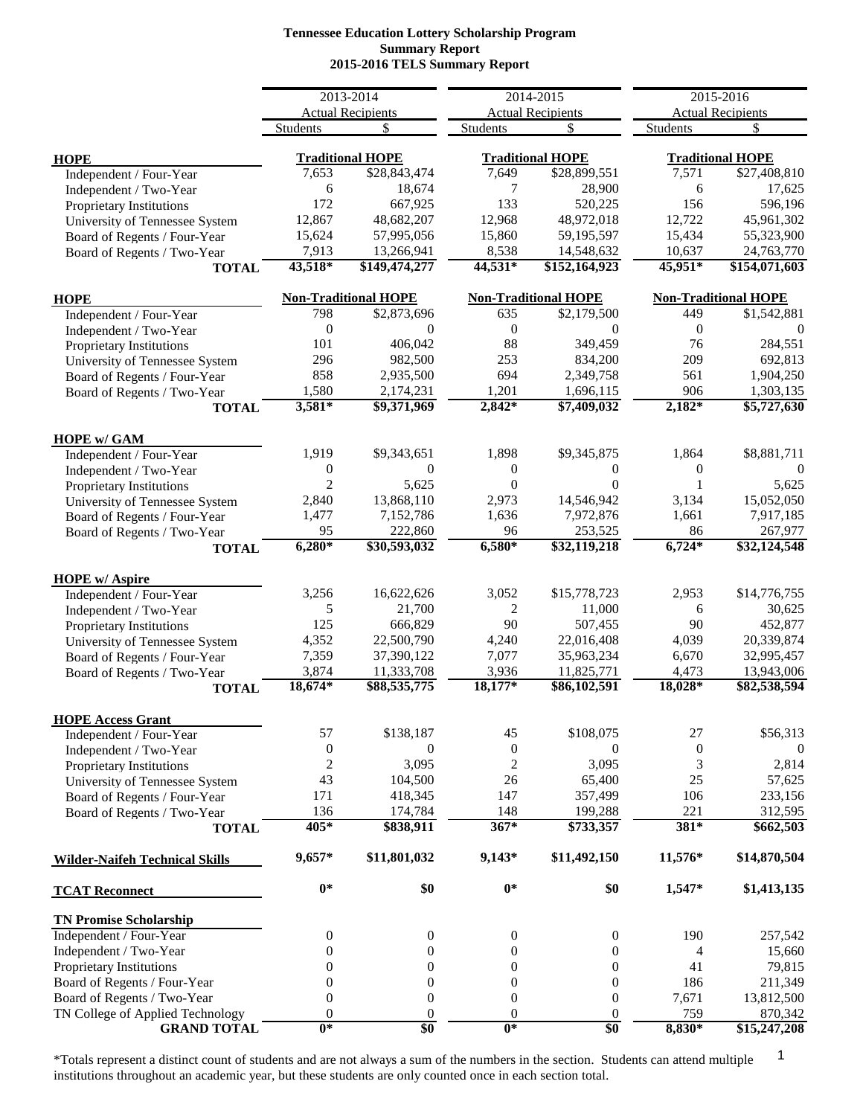# **Tennessee Education Lottery Scholarship Program Summary Report 2015-2016 TELS Summary Report**

|                                       |                  | 2013-2014                       |                  | 2014-2015                      |                     | 2015-2016                       |
|---------------------------------------|------------------|---------------------------------|------------------|--------------------------------|---------------------|---------------------------------|
|                                       |                  |                                 |                  |                                |                     |                                 |
|                                       | <b>Students</b>  | <b>Actual Recipients</b><br>\$. | <b>Students</b>  | <b>Actual Recipients</b><br>\$ | <b>Students</b>     | <b>Actual Recipients</b><br>\$. |
|                                       |                  |                                 |                  |                                |                     |                                 |
| <b>HOPE</b>                           |                  | <b>Traditional HOPE</b>         |                  | <b>Traditional HOPE</b>        |                     | <b>Traditional HOPE</b>         |
| Independent / Four-Year               | 7,653            | \$28,843,474                    | 7,649            | \$28,899,551                   | 7,571               | \$27,408,810                    |
| Independent / Two-Year                | 6                | 18,674                          | 7                | 28,900                         | 6                   | 17,625                          |
| Proprietary Institutions              | 172              | 667,925                         | 133              | 520,225                        | 156                 | 596,196                         |
| University of Tennessee System        | 12,867           | 48,682,207                      | 12,968           | 48,972,018                     | 12,722              | 45,961,302                      |
| Board of Regents / Four-Year          | 15,624           | 57,995,056                      | 15,860           | 59,195,597                     | 15,434              | 55,323,900                      |
| Board of Regents / Two-Year           | 7,913            | 13,266,941                      | 8,538            | 14,548,632                     | 10,637              | 24,763,770                      |
| <b>TOTAL</b>                          | 43,518*          | \$149,474,277                   | 44,531*          | \$152,164,923                  | 45,951*             | \$154,071,603                   |
|                                       |                  |                                 |                  |                                |                     |                                 |
| <b>HOPE</b>                           |                  | <b>Non-Traditional HOPE</b>     |                  | <b>Non-Traditional HOPE</b>    |                     | <b>Non-Traditional HOPE</b>     |
| Independent / Four-Year               | 798              | \$2,873,696                     | 635              | \$2,179,500                    | 449                 | \$1,542,881                     |
| Independent / Two-Year                | $\boldsymbol{0}$ | $\Omega$                        | $\mathbf{0}$     | $\Omega$                       | $\mathbf{0}$        | $\Omega$                        |
| Proprietary Institutions              | 101              | 406,042                         | 88               | 349,459                        | 76                  | 284,551                         |
| University of Tennessee System        | 296              | 982,500                         | 253              | 834,200                        | 209                 | 692,813                         |
| Board of Regents / Four-Year          | 858              | 2,935,500                       | 694              | 2,349,758                      | 561                 | 1,904,250                       |
| Board of Regents / Two-Year           | 1,580            | 2,174,231                       | 1,201            | 1,696,115                      | 906                 | 1,303,135                       |
| <b>TOTAL</b>                          | $3,581*$         | \$9,371,969                     | $2,842*$         | \$7,409,032                    | $2,182*$            | \$5,727,630                     |
|                                       |                  |                                 |                  |                                |                     |                                 |
| <b>HOPE w/ GAM</b>                    |                  |                                 |                  |                                |                     |                                 |
| Independent / Four-Year               | 1,919            | \$9,343,651                     | 1,898            | \$9,345,875                    | 1,864               | \$8,881,711                     |
| Independent / Two-Year                | $\mathbf{0}$     | $\Omega$                        | $\theta$         | $\theta$                       | $\boldsymbol{0}$    | $\theta$                        |
| Proprietary Institutions              | $\overline{2}$   | 5,625                           | $\Omega$         | $\Omega$                       | 1                   | 5,625                           |
| University of Tennessee System        | 2,840            | 13,868,110                      | 2,973            | 14,546,942                     | 3,134               | 15,052,050                      |
| Board of Regents / Four-Year          | 1,477            | 7,152,786                       | 1,636            | 7,972,876                      | 1,661               | 7,917,185                       |
| Board of Regents / Two-Year           | 95               | 222,860                         | 96               | 253,525                        | 86                  | 267,977                         |
| <b>TOTAL</b>                          | $6,280*$         | \$30,593,032                    | $6,580*$         | \$32,119,218                   | $6,\overline{724*}$ | \$32,124,548                    |
| <b>HOPE w/ Aspire</b>                 |                  |                                 |                  |                                |                     |                                 |
| Independent / Four-Year               | 3,256            | 16,622,626                      | 3,052            | \$15,778,723                   | 2,953               | \$14,776,755                    |
| Independent / Two-Year                | 5                | 21,700                          | 2                | 11,000                         | 6                   | 30,625                          |
|                                       | 125              | 666,829                         | 90               | 507,455                        | 90                  | 452,877                         |
| Proprietary Institutions              |                  |                                 |                  |                                |                     |                                 |
| University of Tennessee System        | 4,352            | 22,500,790                      | 4,240            | 22,016,408                     | 4,039               | 20,339,874                      |
| Board of Regents / Four-Year          | 7,359            | 37,390,122                      | 7,077            | 35,963,234                     | 6,670               | 32,995,457                      |
| Board of Regents / Two-Year           | 3,874            | 11,333,708                      | 3,936            | 11,825,771                     | 4,473               | 13,943,006                      |
| <b>TOTAL</b>                          | 18,674*          | \$88,535,775                    | 18,177*          | \$86,102,591                   | 18,028*             | \$82,538,594                    |
| <b>HOPE Access Grant</b>              |                  |                                 |                  |                                |                     |                                 |
| Independent / Four-Year               | 57               | \$138,187                       | 45               | \$108,075                      | 27                  | \$56,313                        |
| Independent / Two-Year                | $\boldsymbol{0}$ | 0                               | $\boldsymbol{0}$ | $\theta$                       | $\boldsymbol{0}$    | $\theta$                        |
| Proprietary Institutions              | $\overline{c}$   | 3,095                           | $\boldsymbol{2}$ | 3,095                          | 3                   | 2,814                           |
| University of Tennessee System        | 43               | 104,500                         | 26               | 65,400                         | 25                  | 57,625                          |
| Board of Regents / Four-Year          | 171              | 418,345                         | 147              | 357,499                        | 106                 | 233,156                         |
| Board of Regents / Two-Year           | 136              | 174,784                         | 148              | 199,288                        | 221                 | 312,595                         |
| <b>TOTAL</b>                          | 405*             | \$838,911                       | $367*$           | \$733,357                      | $381*$              | \$662,503                       |
|                                       |                  |                                 |                  |                                |                     |                                 |
| <b>Wilder-Naifeh Technical Skills</b> | $9,657*$         | \$11,801,032                    | $9,143*$         | \$11,492,150                   | 11,576*             | \$14,870,504                    |
| <b>TCAT Reconnect</b>                 | $0*$             | \$0                             | $0*$             | \$0                            | 1,547*              | \$1,413,135                     |
| <b>TN Promise Scholarship</b>         |                  |                                 |                  |                                |                     |                                 |
| Independent / Four-Year               | 0                | 0                               | $\boldsymbol{0}$ | $\boldsymbol{0}$               | 190                 | 257,542                         |
| Independent / Two-Year                | $\theta$         | $\boldsymbol{0}$                | $\boldsymbol{0}$ | $\mathbf{0}$                   | 4                   | 15,660                          |
| Proprietary Institutions              | $\mathbf{0}$     | $\theta$                        | $\boldsymbol{0}$ | $\mathbf{0}$                   | 41                  | 79,815                          |
| Board of Regents / Four-Year          | $\Omega$         | $\theta$                        | $\theta$         | $\mathbf{0}$                   | 186                 | 211,349                         |
| Board of Regents / Two-Year           | $\theta$         | $\boldsymbol{0}$                | $\boldsymbol{0}$ | $\mathbf{0}$                   | 7,671               | 13,812,500                      |
| TN College of Applied Technology      | $\theta$         | $\boldsymbol{0}$                | $\mathbf{0}$     | $\mathbf{0}$                   | 759                 | 870,342                         |
| <b>GRAND TOTAL</b>                    | $0*$             | \$0                             | $0*$             | \$0                            | 8,830*              | \$15,247,208                    |
|                                       |                  |                                 |                  |                                |                     |                                 |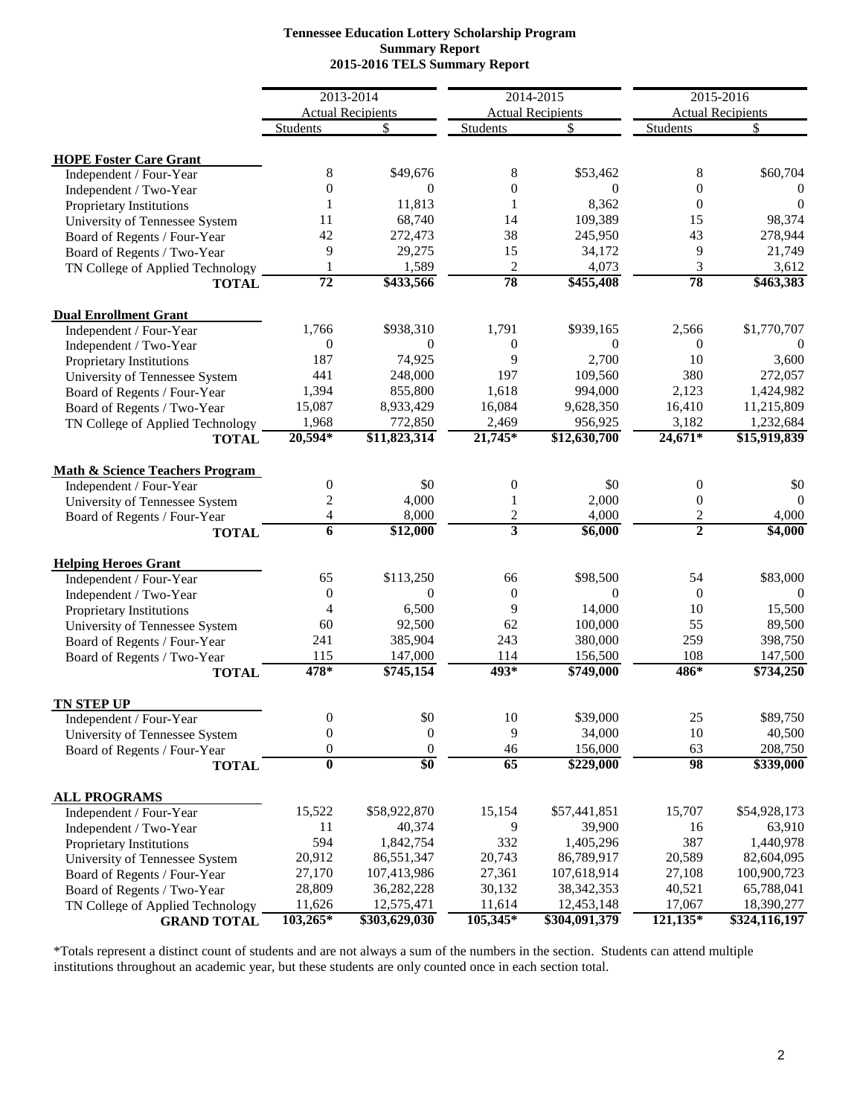## **2015-2016 TELS Summary Report Tennessee Education Lottery Scholarship Program Summary Report**

|                                            | 2013-2014               |                                |                         |                                | 2015-2016        |                                |  |
|--------------------------------------------|-------------------------|--------------------------------|-------------------------|--------------------------------|------------------|--------------------------------|--|
|                                            |                         |                                |                         | 2014-2015                      |                  |                                |  |
|                                            | <b>Students</b>         | <b>Actual Recipients</b><br>\$ | Students                | <b>Actual Recipients</b><br>\$ | Students         | <b>Actual Recipients</b><br>\$ |  |
|                                            |                         |                                |                         |                                |                  |                                |  |
| <b>HOPE Foster Care Grant</b>              |                         |                                |                         |                                |                  |                                |  |
| Independent / Four-Year                    | 8                       | \$49,676                       | 8                       | \$53,462                       | 8                | \$60,704                       |  |
| Independent / Two-Year                     | $\theta$                | $\mathbf{0}$                   | $\theta$                | $\Omega$                       | $\theta$         | $\Omega$                       |  |
| Proprietary Institutions                   |                         | 11,813                         | 1                       | 8,362                          | $\overline{0}$   | $\Omega$                       |  |
| University of Tennessee System             | 11                      | 68,740                         | 14                      | 109,389                        | 15               | 98,374                         |  |
| Board of Regents / Four-Year               | 42                      | 272,473                        | 38                      | 245,950                        | 43               | 278,944                        |  |
| Board of Regents / Two-Year                | 9                       | 29,275                         | 15                      | 34,172                         | 9                | 21,749                         |  |
| TN College of Applied Technology           | 1                       | 1,589                          | $\overline{c}$          | 4,073                          | 3                | 3,612                          |  |
| <b>TOTAL</b>                               | $\overline{72}$         | \$433,566                      | 78                      | \$455,408                      | 78               | \$463,383                      |  |
| <b>Dual Enrollment Grant</b>               |                         |                                |                         |                                |                  |                                |  |
| Independent / Four-Year                    | 1,766                   | \$938,310                      | 1,791                   | \$939,165                      | 2,566            | \$1,770,707                    |  |
| Independent / Two-Year                     | $\mathbf{0}$            | $\Omega$                       | $\boldsymbol{0}$        | $\Omega$                       | $\mathbf{0}$     |                                |  |
| Proprietary Institutions                   | 187                     | 74,925                         | 9                       | 2,700                          | 10               | 3,600                          |  |
| University of Tennessee System             | 441                     | 248,000                        | 197                     | 109,560                        | 380              | 272,057                        |  |
| Board of Regents / Four-Year               | 1,394                   | 855,800                        | 1,618                   | 994,000                        | 2,123            | 1,424,982                      |  |
| Board of Regents / Two-Year                | 15,087                  | 8,933,429                      | 16,084                  | 9,628,350                      | 16,410           | 11,215,809                     |  |
| TN College of Applied Technology           | 1,968                   | 772,850                        | 2,469                   | 956,925                        | 3,182            | 1,232,684                      |  |
| <b>TOTAL</b>                               | 20,594*                 | \$11,823,314                   | 21,745*                 | \$12,630,700                   | $24,671*$        | \$15,919,839                   |  |
| <b>Math &amp; Science Teachers Program</b> |                         |                                |                         |                                |                  |                                |  |
| Independent / Four-Year                    | $\overline{0}$          | \$0                            | $\mathbf{0}$            | \$0                            | 0                | \$0                            |  |
| University of Tennessee System             | 2                       | 4,000                          | 1                       | 2,000                          | $\boldsymbol{0}$ | $\Omega$                       |  |
| Board of Regents / Four-Year               | 4                       | 8,000                          | $\overline{c}$          | 4,000                          | $\overline{c}$   | 4,000                          |  |
| <b>TOTAL</b>                               | 6                       | $\overline{$12,000}$           | $\overline{\mathbf{3}}$ | $\sqrt{$6,000}$                | $\overline{2}$   | \$4,000                        |  |
| <b>Helping Heroes Grant</b>                |                         |                                |                         |                                |                  |                                |  |
| Independent / Four-Year                    | 65                      | \$113,250                      | 66                      | \$98,500                       | 54               | \$83,000                       |  |
| Independent / Two-Year                     | $\theta$                | $\Omega$                       | $\mathbf{0}$            | $\Omega$                       | $\mathbf{0}$     | $\Omega$                       |  |
| Proprietary Institutions                   | $\overline{4}$          | 6,500                          | 9                       | 14,000                         | 10               | 15,500                         |  |
| University of Tennessee System             | 60                      | 92,500                         | 62                      | 100,000                        | 55               | 89,500                         |  |
| Board of Regents / Four-Year               | 241                     | 385,904                        | 243                     | 380,000                        | 259              | 398,750                        |  |
| Board of Regents / Two-Year                | 115                     | 147,000                        | 114                     | 156,500                        | 108              | 147,500                        |  |
| <b>TOTAL</b>                               | 478*                    | \$745,154                      | $493*$                  | \$749,000                      | $486*$           | \$734,250                      |  |
| <b>TN STEP UP</b>                          |                         |                                |                         |                                |                  |                                |  |
| Independent / Four-Year                    | $\boldsymbol{0}$        | $\$0$                          | 10                      | \$39,000                       | 25               | \$89,750                       |  |
| University of Tennessee System             | $\boldsymbol{0}$        | $\boldsymbol{0}$               | 9                       | 34,000                         | 10               | 40,500                         |  |
| Board of Regents / Four-Year               | $\boldsymbol{0}$        | $\boldsymbol{0}$               | 46                      | 156,000                        | 63               | 208,750                        |  |
| <b>TOTAL</b>                               | $\overline{\mathbf{0}}$ | \$0                            | 65                      | \$229,000                      | 98               | \$339,000                      |  |
| <b>ALL PROGRAMS</b>                        |                         |                                |                         |                                |                  |                                |  |
| Independent / Four-Year                    | 15,522                  | \$58,922,870                   | 15,154                  | \$57,441,851                   | 15,707           | \$54,928,173                   |  |
| Independent / Two-Year                     | 11                      | 40,374                         | 9                       | 39,900                         | 16               | 63,910                         |  |
| Proprietary Institutions                   | 594                     | 1,842,754                      | 332                     | 1,405,296                      | 387              | 1,440,978                      |  |
| University of Tennessee System             | 20,912                  | 86,551,347                     | 20,743                  | 86,789,917                     | 20,589           | 82,604,095                     |  |
| Board of Regents / Four-Year               | 27,170                  | 107,413,986                    | 27,361                  | 107,618,914                    | 27,108           | 100,900,723                    |  |
| Board of Regents / Two-Year                | 28,809                  | 36,282,228                     | 30,132                  | 38, 342, 353                   | 40,521           | 65,788,041                     |  |
| TN College of Applied Technology           | 11,626                  | 12,575,471                     | 11,614                  | 12,453,148                     | 17,067           | 18,390,277                     |  |
| <b>GRAND TOTAL</b>                         | 103,265*                | \$303,629,030                  | 105,345*                | \$304,091,379                  | 121,135*         | \$324,116,197                  |  |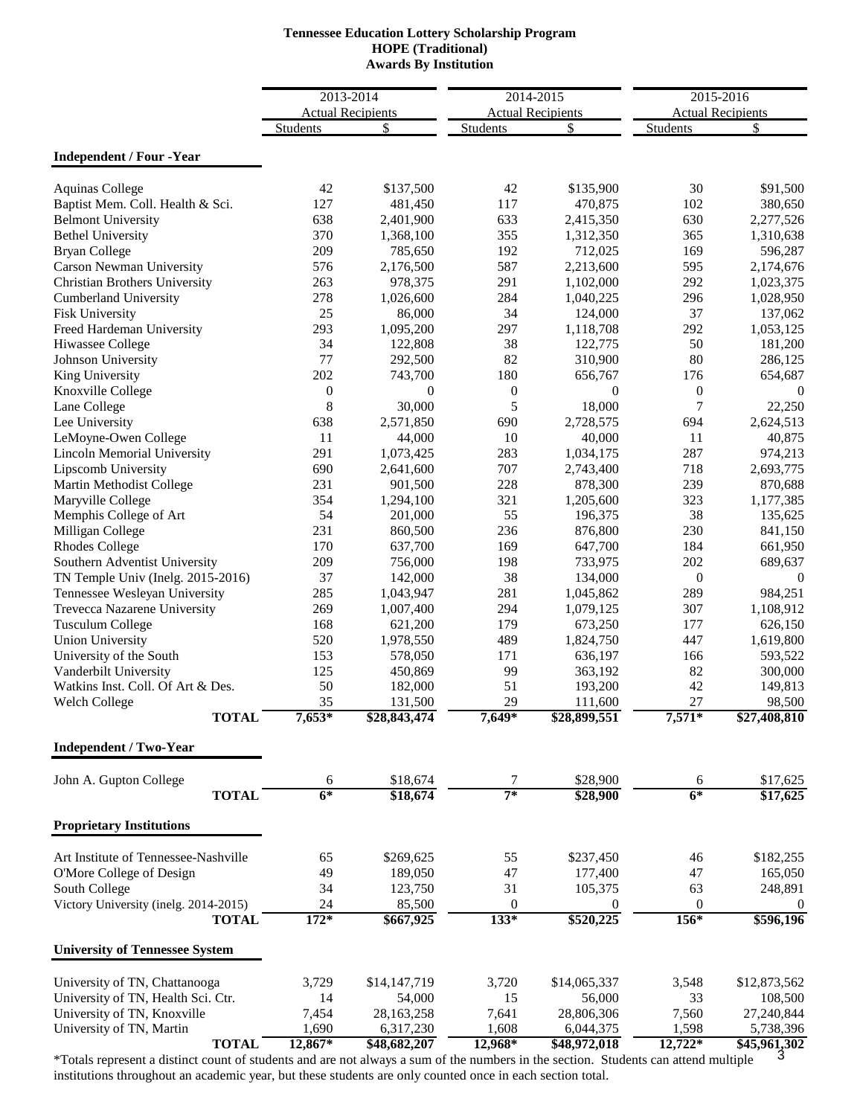# **Tennessee Education Lottery Scholarship Program Awards By Institution HOPE (Traditional)**

|                                                               |                  | 2013-2014                | 2014-2015        |                          | $2015 - 2016$    |                          |
|---------------------------------------------------------------|------------------|--------------------------|------------------|--------------------------|------------------|--------------------------|
|                                                               |                  | <b>Actual Recipients</b> |                  | <b>Actual Recipients</b> |                  | <b>Actual Recipients</b> |
|                                                               | <b>Students</b>  | \$                       | <b>Students</b>  | \$                       | <b>Students</b>  | \$                       |
| <b>Independent / Four -Year</b>                               |                  |                          |                  |                          |                  |                          |
|                                                               |                  |                          |                  |                          |                  |                          |
| <b>Aquinas College</b>                                        | 42               | \$137,500                | 42<br>117        | \$135,900                | 30               | \$91,500                 |
| Baptist Mem. Coll. Health & Sci.<br><b>Belmont University</b> | 127<br>638       | 481,450<br>2,401,900     | 633              | 470,875                  | 102<br>630       | 380,650<br>2,277,526     |
| <b>Bethel University</b>                                      | 370              | 1,368,100                | 355              | 2,415,350<br>1,312,350   | 365              | 1,310,638                |
| <b>Bryan College</b>                                          | 209              | 785,650                  | 192              | 712,025                  | 169              | 596,287                  |
| <b>Carson Newman University</b>                               | 576              | 2,176,500                | 587              | 2,213,600                | 595              | 2,174,676                |
| <b>Christian Brothers University</b>                          | 263              | 978,375                  | 291              | 1,102,000                | 292              | 1,023,375                |
| <b>Cumberland University</b>                                  | 278              | 1,026,600                | 284              | 1,040,225                | 296              | 1,028,950                |
| <b>Fisk University</b>                                        | 25               | 86,000                   | 34               | 124,000                  | 37               | 137,062                  |
| Freed Hardeman University                                     | 293              | 1,095,200                | 297              | 1,118,708                | 292              | 1,053,125                |
| Hiwassee College                                              | 34               | 122,808                  | 38               | 122,775                  | 50               | 181,200                  |
| Johnson University                                            | 77               | 292,500                  | 82               | 310,900                  | 80               | 286,125                  |
| King University                                               | 202              | 743,700                  | 180              | 656,767                  | 176              | 654,687                  |
| Knoxville College                                             | $\boldsymbol{0}$ | $\theta$                 | $\boldsymbol{0}$ | $\theta$                 | $\boldsymbol{0}$ | $\theta$                 |
| Lane College                                                  | 8                | 30,000                   | 5                | 18,000                   | 7                | 22,250                   |
| Lee University                                                | 638              | 2,571,850                | 690              | 2,728,575                | 694              | 2,624,513                |
| LeMoyne-Owen College                                          | 11               | 44,000                   | 10               | 40,000                   | 11               | 40,875                   |
| <b>Lincoln Memorial University</b>                            | 291              | 1,073,425                | 283              | 1,034,175                | 287              | 974,213                  |
| Lipscomb University                                           | 690              | 2,641,600                | 707              | 2,743,400                | 718              | 2,693,775                |
| Martin Methodist College                                      | 231              | 901,500                  | 228              | 878,300                  | 239              | 870,688                  |
| Maryville College                                             | 354              | 1,294,100                | 321              | 1,205,600                | 323              | 1,177,385                |
| Memphis College of Art                                        | 54               | 201,000                  | 55               | 196,375                  | 38               | 135,625                  |
| Milligan College                                              | 231              | 860,500                  | 236              | 876,800                  | 230              | 841,150                  |
| <b>Rhodes College</b>                                         | 170              | 637,700                  | 169              | 647,700                  | 184              | 661,950                  |
| Southern Adventist University                                 | 209              | 756,000                  | 198              | 733,975                  | 202              | 689,637                  |
| TN Temple Univ (Inelg. 2015-2016)                             | 37               | 142,000                  | 38               | 134,000                  | $\boldsymbol{0}$ | $\theta$                 |
| Tennessee Wesleyan University                                 | 285              | 1,043,947                | 281              | 1,045,862                | 289              | 984,251                  |
| Trevecca Nazarene University                                  | 269              | 1,007,400                | 294              | 1,079,125                | 307              | 1,108,912                |
| <b>Tusculum College</b>                                       | 168              | 621,200                  | 179              | 673,250                  | 177              | 626,150                  |
| <b>Union University</b>                                       | 520              | 1,978,550                | 489              | 1,824,750                | 447              | 1,619,800                |
| University of the South                                       | 153              | 578,050                  | 171              | 636,197                  | 166              | 593,522                  |
| Vanderbilt University                                         | 125              | 450,869                  | 99               | 363,192                  | 82               | 300,000                  |
| Watkins Inst. Coll. Of Art & Des.                             | 50               | 182,000                  | 51               | 193,200                  | 42               | 149,813                  |
| Welch College                                                 | 35               | 131,500                  | 29               | 111,600                  | 27               | 98,500                   |
| <b>TOTAL</b>                                                  | 7,653*           | \$28,843,474             | 7,649*           | \$28,899,551             | 7,571*           | \$27,408,810             |
| <b>Independent / Two-Year</b>                                 |                  |                          |                  |                          |                  |                          |
| John A. Gupton College                                        | 6                | \$18,674                 | 7                | \$28,900                 | 6                | \$17,625                 |
| <b>TOTAL</b>                                                  | $6*$             | \$18,674                 | $7^*$            | \$28,900                 | $6*$             | \$17,625                 |
| <b>Proprietary Institutions</b>                               |                  |                          |                  |                          |                  |                          |
|                                                               |                  |                          |                  |                          |                  |                          |
| Art Institute of Tennessee-Nashville                          | 65               | \$269,625                | 55               | \$237,450                | 46               | \$182,255                |
| O'More College of Design                                      | 49               | 189,050                  | 47               | 177,400                  | 47               | 165,050                  |
| South College                                                 | 34               | 123,750                  | 31               | 105,375                  | 63               | 248,891                  |
| Victory University (inelg. 2014-2015)                         | 24               | 85,500                   | $\mathbf{0}$     | $\boldsymbol{0}$         | 0                | $\theta$                 |
| <b>TOTAL</b>                                                  | $172*$           | \$667,925                | $133*$           | \$520,225                | $156*$           | \$596,196                |
| <b>University of Tennessee System</b>                         |                  |                          |                  |                          |                  |                          |
| University of TN, Chattanooga                                 | 3,729            | \$14,147,719             | 3,720            | \$14,065,337             | 3,548            | \$12,873,562             |
| University of TN, Health Sci. Ctr.                            | 14               | 54,000                   | 15               | 56,000                   | 33               | 108,500                  |
| University of TN, Knoxville                                   | 7,454            | 28,163,258               | 7,641            | 28,806,306               | 7,560            | 27,240,844               |
| University of TN, Martin                                      | 1,690            | 6,317,230                | 1,608            | 6,044,375                | 1,598            | 5,738,396                |
| <b>TOTAL</b>                                                  | 12,867*          | \$48,682,207             | 12,968*          | \$48,972,018             | 12,722*          | \$45,961,302             |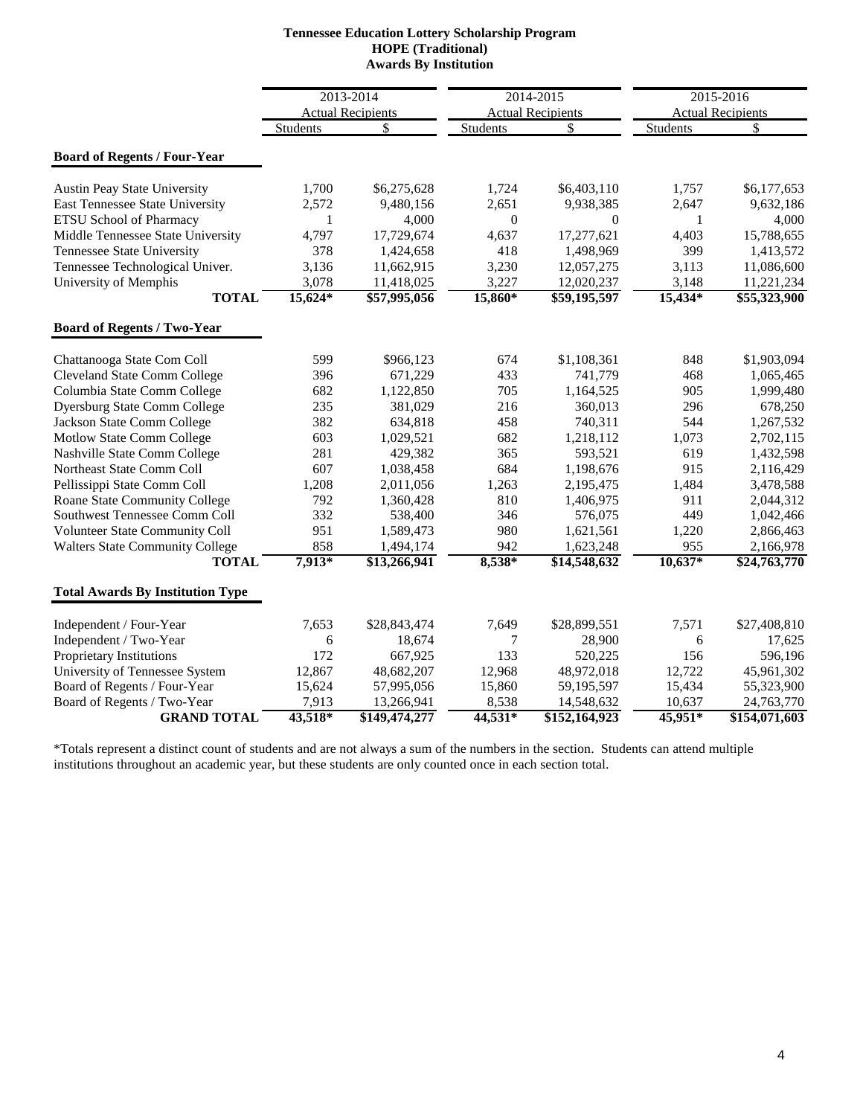| <b>Tennessee Education Lottery Scholarship Program</b> |
|--------------------------------------------------------|
| <b>HOPE</b> (Traditional)                              |
| <b>Awards By Institution</b>                           |

|                                         |              | 2013-2014                |                  | 2014-2015                |                 | 2015-2016                |
|-----------------------------------------|--------------|--------------------------|------------------|--------------------------|-----------------|--------------------------|
|                                         |              | <b>Actual Recipients</b> |                  | <b>Actual Recipients</b> |                 | <b>Actual Recipients</b> |
|                                         | Students     | \$                       | <b>Students</b>  | \$                       | <b>Students</b> | \$                       |
| <b>Board of Regents / Four-Year</b>     |              |                          |                  |                          |                 |                          |
| <b>Austin Peay State University</b>     | 1,700        | \$6,275,628              | 1,724            | \$6,403,110              | 1,757           | \$6,177,653              |
| East Tennessee State University         | 2,572        | 9,480,156                | 2,651            | 9,938,385                | 2,647           | 9,632,186                |
| <b>ETSU School of Pharmacy</b>          | $\mathbf{1}$ | 4,000                    | $\boldsymbol{0}$ | $\overline{0}$           | 1               | 4,000                    |
| Middle Tennessee State University       | 4,797        | 17,729,674               | 4,637            | 17,277,621               | 4,403           | 15,788,655               |
| <b>Tennessee State University</b>       | 378          | 1,424,658                | 418              | 1,498,969                | 399             | 1,413,572                |
| Tennessee Technological Univer.         | 3,136        | 11,662,915               | 3,230            | 12,057,275               | 3,113           | 11,086,600               |
| University of Memphis                   | 3,078        | 11,418,025               | 3,227            | 12,020,237               | 3,148           | 11,221,234               |
| <b>TOTAL</b>                            | $15,624*$    | \$57,995,056             | $15,860*$        | \$59,195,597             | $15,434*$       | \$55,323,900             |
| <b>Board of Regents / Two-Year</b>      |              |                          |                  |                          |                 |                          |
| Chattanooga State Com Coll              | 599          | \$966,123                | 674              | \$1,108,361              | 848             | \$1,903,094              |
| <b>Cleveland State Comm College</b>     | 396          | 671,229                  | 433              | 741,779                  | 468             | 1,065,465                |
| Columbia State Comm College             | 682          | 1,122,850                | 705              | 1,164,525                | 905             | 1,999,480                |
| <b>Dyersburg State Comm College</b>     | 235          | 381,029                  | 216              | 360,013                  | 296             | 678,250                  |
| Jackson State Comm College              | 382          | 634,818                  | 458              | 740,311                  | 544             | 1,267,532                |
| Motlow State Comm College               | 603          | 1,029,521                | 682              | 1,218,112                | 1,073           | 2,702,115                |
| Nashville State Comm College            | 281          | 429,382                  | 365              | 593,521                  | 619             | 1,432,598                |
| Northeast State Comm Coll               | 607          | 1,038,458                | 684              | 1,198,676                | 915             | 2,116,429                |
| Pellissippi State Comm Coll             | 1,208        | 2,011,056                | 1,263            | 2,195,475                | 1,484           | 3,478,588                |
| Roane State Community College           | 792          | 1,360,428                | 810              | 1,406,975                | 911             | 2,044,312                |
| Southwest Tennessee Comm Coll           | 332          | 538,400                  | 346              | 576,075                  | 449             | 1,042,466                |
| Volunteer State Community Coll          | 951          | 1,589,473                | 980              | 1,621,561                | 1,220           | 2,866,463                |
| <b>Walters State Community College</b>  | 858          | 1,494,174                | 942              | 1,623,248                | 955             | 2,166,978                |
| <b>TOTAL</b>                            | 7,913*       | \$13,266,941             | 8,538*           | \$14,548,632             | $10,637*$       | \$24,763,770             |
| <b>Total Awards By Institution Type</b> |              |                          |                  |                          |                 |                          |
| Independent / Four-Year                 | 7,653        | \$28,843,474             | 7,649            | \$28,899,551             | 7,571           | \$27,408,810             |
| Independent / Two-Year                  | 6            | 18,674                   | 7                | 28,900                   | 6               | 17,625                   |
| Proprietary Institutions                | 172          | 667,925                  | 133              | 520,225                  | 156             | 596,196                  |
| University of Tennessee System          | 12,867       | 48,682,207               | 12,968           | 48,972,018               | 12,722          | 45,961,302               |
| Board of Regents / Four-Year            | 15,624       | 57,995,056               | 15,860           | 59,195,597               | 15,434          | 55,323,900               |
| Board of Regents / Two-Year             | 7,913        | 13,266,941               | 8,538            | 14,548,632               | 10,637          | 24,763,770               |
| <b>GRAND TOTAL</b>                      | 43,518*      | \$149,474,277            | 44,531*          | \$152,164,923            | $45,951*$       | \$154,071,603            |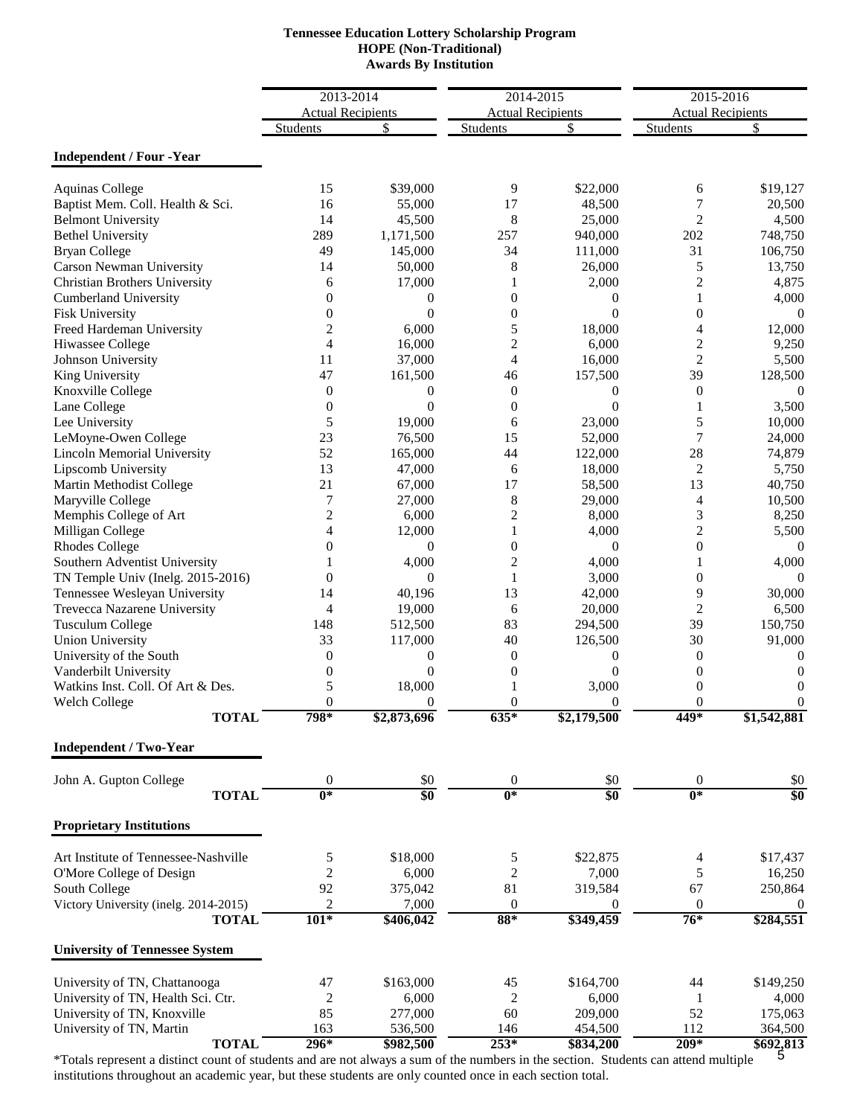# **HOPE (Non-Traditional) Awards By Institution Tennessee Education Lottery Scholarship Program**

|                                       | 2013-2014                |                  | 2014-2015                |                  | 2015-2016                |                |
|---------------------------------------|--------------------------|------------------|--------------------------|------------------|--------------------------|----------------|
|                                       | <b>Actual Recipients</b> |                  | <b>Actual Recipients</b> |                  | <b>Actual Recipients</b> |                |
|                                       | Students                 | \$               | Students                 | \$               | <b>Students</b>          | \$             |
|                                       |                          |                  |                          |                  |                          |                |
| <b>Independent / Four -Year</b>       |                          |                  |                          |                  |                          |                |
| <b>Aquinas College</b>                | 15                       | \$39,000         | 9                        | \$22,000         | 6                        | \$19,127       |
| Baptist Mem. Coll. Health & Sci.      | 16                       | 55,000           | 17                       | 48,500           | 7                        | 20,500         |
| <b>Belmont University</b>             | 14                       | 45,500           | 8                        | 25,000           | $\overline{2}$           | 4,500          |
| <b>Bethel University</b>              | 289                      | 1,171,500        | 257                      | 940,000          | 202                      | 748,750        |
| <b>Bryan College</b>                  | 49                       | 145,000          | 34                       | 111,000          | 31                       | 106,750        |
| Carson Newman University              | 14                       | 50,000           | 8                        | 26,000           | 5                        | 13,750         |
| <b>Christian Brothers University</b>  | 6                        | 17,000           | 1                        | 2,000            | $\overline{c}$           | 4,875          |
| <b>Cumberland University</b>          | $\theta$                 | 0                | $\overline{0}$           | 0                | 1                        | 4,000          |
| Fisk University                       | $\theta$                 | $\Omega$         | $\theta$                 | $\Omega$         | $\boldsymbol{0}$         | 0              |
| Freed Hardeman University             | $\overline{c}$           | 6,000            | 5                        | 18,000           | 4                        | 12,000         |
| Hiwassee College                      | $\overline{4}$           | 16,000           | 2                        | 6,000            | $\overline{c}$           | 9,250          |
| Johnson University                    | 11                       | 37,000           | 4                        | 16,000           | $\overline{2}$           | 5,500          |
| King University                       | 47                       | 161,500          | 46                       | 157,500          | 39                       | 128,500        |
| Knoxville College                     | $\theta$                 | $\overline{0}$   | $\mathbf{0}$             | $\Omega$         | $\boldsymbol{0}$         | $\Omega$       |
| Lane College                          | $\overline{0}$           | $\Omega$         | $\theta$                 | $\Omega$         | 1                        | 3,500          |
| Lee University                        | 5                        | 19,000           | 6                        | 23,000           | 5                        | 10,000         |
| LeMoyne-Owen College                  | 23                       | 76,500           | 15                       | 52,000           | $\overline{7}$           | 24,000         |
| <b>Lincoln Memorial University</b>    | 52                       | 165,000          | 44                       | 122,000          | 28                       | 74,879         |
| Lipscomb University                   | 13                       | 47,000           | 6                        | 18,000           | $\overline{c}$           | 5,750          |
| Martin Methodist College              | 21                       | 67,000           | 17                       | 58,500           | 13                       | 40,750         |
| Maryville College                     | 7                        | 27,000           | 8                        | 29,000           | $\overline{4}$           | 10,500         |
| Memphis College of Art                | 2                        | 6,000            | $\overline{c}$           | 8,000            | 3                        | 8,250          |
| Milligan College                      | 4                        | 12,000           | 1                        | 4,000            | $\overline{c}$           | 5,500          |
| <b>Rhodes College</b>                 | $\overline{0}$           | $\Omega$         | $\boldsymbol{0}$         | $\Omega$         | $\boldsymbol{0}$         | $\Omega$       |
| Southern Adventist University         |                          | 4,000            | $\overline{c}$           | 4,000            | $\mathbf{1}$             | 4,000          |
| TN Temple Univ (Inelg. 2015-2016)     | $\overline{0}$           | $\Omega$         | $\mathbf{1}$             | 3,000            | $\boldsymbol{0}$         | 0              |
| Tennessee Wesleyan University         | 14                       | 40,196           | 13                       | 42,000           | 9                        | 30,000         |
| Trevecca Nazarene University          | 4                        | 19,000           | 6                        | 20,000           | $\overline{2}$           | 6,500          |
| <b>Tusculum College</b>               | 148                      | 512,500          | 83                       | 294,500          | 39                       | 150,750        |
| <b>Union University</b>               | 33                       | 117,000          | 40                       | 126,500          | 30                       | 91,000         |
| University of the South               | $\theta$                 | $\theta$         | $\overline{0}$           | 0                | 0                        | $\mathbf{0}$   |
| Vanderbilt University                 | $\overline{0}$           | $\theta$         | $\overline{0}$           | $\theta$         | $\boldsymbol{0}$         | 0              |
| Watkins Inst. Coll. Of Art & Des.     | 5                        | 18,000           |                          | 3,000            | $\boldsymbol{0}$         | 0              |
| <b>Welch College</b>                  | $\theta$                 | $\Omega$         | $\theta$                 | $\Omega$         | $\mathbf{0}$             | $\overline{0}$ |
| TOTAL                                 | 798*                     | \$2,873,696      | $635*$                   | \$2,179,500      | 449*                     | \$1,542,881    |
| <b>Independent / Two-Year</b>         |                          |                  |                          |                  |                          |                |
| John A. Gupton College                | $\boldsymbol{0}$         | \$0              | $\mathbf{0}$             | \$0              | $\boldsymbol{0}$         | \$0            |
| <b>TOTAL</b>                          | $\overline{0^*}$         | $\overline{\$0}$ | $\overline{0^*}$         | $\overline{\$0}$ | $0*$                     | \$0            |
| <b>Proprietary Institutions</b>       |                          |                  |                          |                  |                          |                |
|                                       |                          |                  |                          |                  |                          |                |
| Art Institute of Tennessee-Nashville  | 5                        | \$18,000         | 5                        | \$22,875         | 4                        | \$17,437       |
| O'More College of Design              | $\overline{c}$           | 6,000            | $\overline{c}$           | 7,000            | 5                        | 16,250         |
| South College                         | 92                       | 375,042          | 81                       | 319,584          | 67                       | 250,864        |
| Victory University (inelg. 2014-2015) | 2                        | 7,000            | $\boldsymbol{0}$         | $\bf{0}$         | $\boldsymbol{0}$         | $\theta$       |
| <b>TOTAL</b>                          | $101*$                   | \$406,042        | $88*$                    | \$349,459        | $76*$                    | \$284,551      |
| <b>University of Tennessee System</b> |                          |                  |                          |                  |                          |                |
| University of TN, Chattanooga         | 47                       | \$163,000        | 45                       | \$164,700        | 44                       | \$149,250      |
| University of TN, Health Sci. Ctr.    | 2                        | 6,000            | 2                        | 6,000            | 1                        | 4,000          |
| University of TN, Knoxville           | 85                       | 277,000          | 60                       | 209,000          | 52                       | 175,063        |
| University of TN, Martin              | 163                      | 536,500          | 146                      | 454,500          | 112                      | 364,500        |
| <b>TOTAL</b>                          | $296*$                   | \$982,500        | $253*$                   | \$834,200        | $209*$                   | \$692,813      |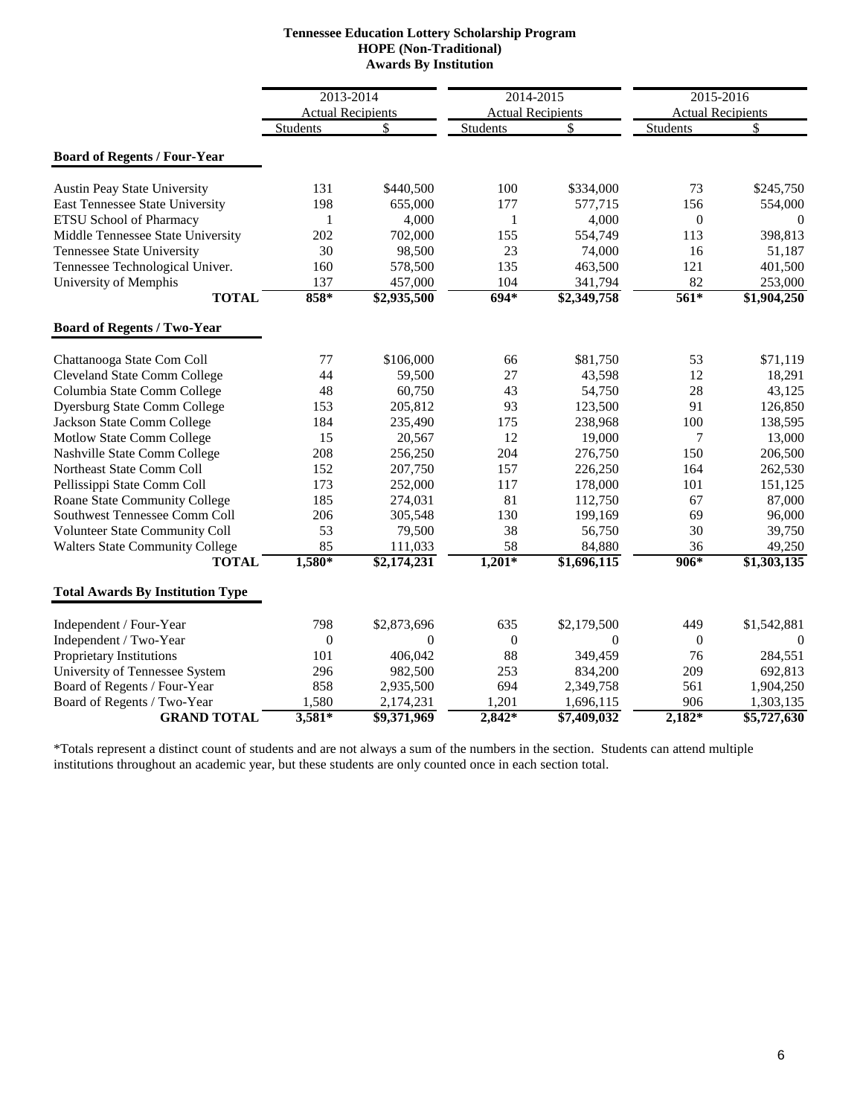| <b>Tennessee Education Lottery Scholarship Program</b> |
|--------------------------------------------------------|
| <b>HOPE</b> (Non-Traditional)                          |
| <b>Awards By Institution</b>                           |

|                                         | 2013-2014<br><b>Actual Recipients</b> |             | 2014-2015<br><b>Actual Recipients</b> |             |                 | 2015-2016<br><b>Actual Recipients</b> |  |
|-----------------------------------------|---------------------------------------|-------------|---------------------------------------|-------------|-----------------|---------------------------------------|--|
|                                         | <b>Students</b>                       | \$          | <b>Students</b>                       | \$          | <b>Students</b> | \$                                    |  |
| <b>Board of Regents / Four-Year</b>     |                                       |             |                                       |             |                 |                                       |  |
|                                         |                                       |             |                                       |             |                 |                                       |  |
| <b>Austin Peay State University</b>     | 131                                   | \$440,500   | 100                                   | \$334,000   | 73              | \$245,750                             |  |
| East Tennessee State University         | 198                                   | 655,000     | 177                                   | 577,715     | 156             | 554,000                               |  |
| <b>ETSU School of Pharmacy</b>          | 1                                     | 4,000       | $\mathbf{1}$                          | 4,000       | $\overline{0}$  | $\mathbf{0}$                          |  |
| Middle Tennessee State University       | 202                                   | 702,000     | 155                                   | 554,749     | 113             | 398,813                               |  |
| Tennessee State University              | 30                                    | 98,500      | 23                                    | 74,000      | 16              | 51,187                                |  |
| Tennessee Technological Univer.         | 160                                   | 578,500     | 135                                   | 463,500     | 121             | 401,500                               |  |
| University of Memphis                   | 137                                   | 457,000     | 104                                   | 341,794     | 82              | 253,000                               |  |
| <b>TOTAL</b>                            | $858*$                                | \$2,935,500 | $694*$                                | \$2,349,758 | $561*$          | \$1,904,250                           |  |
| <b>Board of Regents / Two-Year</b>      |                                       |             |                                       |             |                 |                                       |  |
| Chattanooga State Com Coll              | 77                                    | \$106,000   | 66                                    | \$81,750    | 53              | \$71,119                              |  |
| <b>Cleveland State Comm College</b>     | 44                                    | 59,500      | 27                                    | 43,598      | 12              | 18,291                                |  |
| Columbia State Comm College             | 48                                    | 60,750      | 43                                    | 54,750      | 28              | 43,125                                |  |
| <b>Dyersburg State Comm College</b>     | 153                                   | 205,812     | 93                                    | 123,500     | 91              | 126,850                               |  |
| Jackson State Comm College              | 184                                   | 235,490     | 175                                   | 238,968     | 100             | 138,595                               |  |
| Motlow State Comm College               | 15                                    | 20,567      | 12                                    | 19,000      | 7               | 13,000                                |  |
| Nashville State Comm College            | 208                                   | 256,250     | 204                                   | 276,750     | 150             | 206,500                               |  |
| Northeast State Comm Coll               | 152                                   | 207,750     | 157                                   | 226,250     | 164             | 262,530                               |  |
| Pellissippi State Comm Coll             | 173                                   | 252,000     | 117                                   | 178,000     | 101             | 151,125                               |  |
| Roane State Community College           | 185                                   | 274,031     | 81                                    | 112,750     | 67              | 87,000                                |  |
| Southwest Tennessee Comm Coll           | 206                                   | 305,548     | 130                                   | 199,169     | 69              | 96,000                                |  |
| Volunteer State Community Coll          | 53                                    | 79,500      | 38                                    | 56,750      | 30              | 39,750                                |  |
| <b>Walters State Community College</b>  | 85                                    | 111,033     | 58                                    | 84,880      | 36              | 49,250                                |  |
| <b>TOTAL</b>                            | 1,580*                                | \$2,174,231 | $1,201*$                              | \$1,696,115 | 906*            | \$1,303,135                           |  |
| <b>Total Awards By Institution Type</b> |                                       |             |                                       |             |                 |                                       |  |
| Independent / Four-Year                 | 798                                   | \$2,873,696 | 635                                   | \$2,179,500 | 449             | \$1,542,881                           |  |
| Independent / Two-Year                  | $\mathbf{0}$                          | $\Omega$    | $\mathbf{0}$                          | $\Omega$    | $\theta$        | $\Omega$                              |  |
| Proprietary Institutions                | 101                                   | 406,042     | 88                                    | 349,459     | 76              | 284,551                               |  |
| University of Tennessee System          | 296                                   | 982,500     | 253                                   | 834,200     | 209             | 692,813                               |  |
| Board of Regents / Four-Year            | 858                                   | 2,935,500   | 694                                   | 2,349,758   | 561             | 1,904,250                             |  |
| Board of Regents / Two-Year             | 1,580                                 | 2,174,231   | 1,201                                 | 1,696,115   | 906             | 1,303,135                             |  |
| <b>GRAND TOTAL</b>                      | $3,581*$                              | \$9,371,969 | $2,842*$                              | \$7,409,032 | $2,182*$        | \$5,727,630                           |  |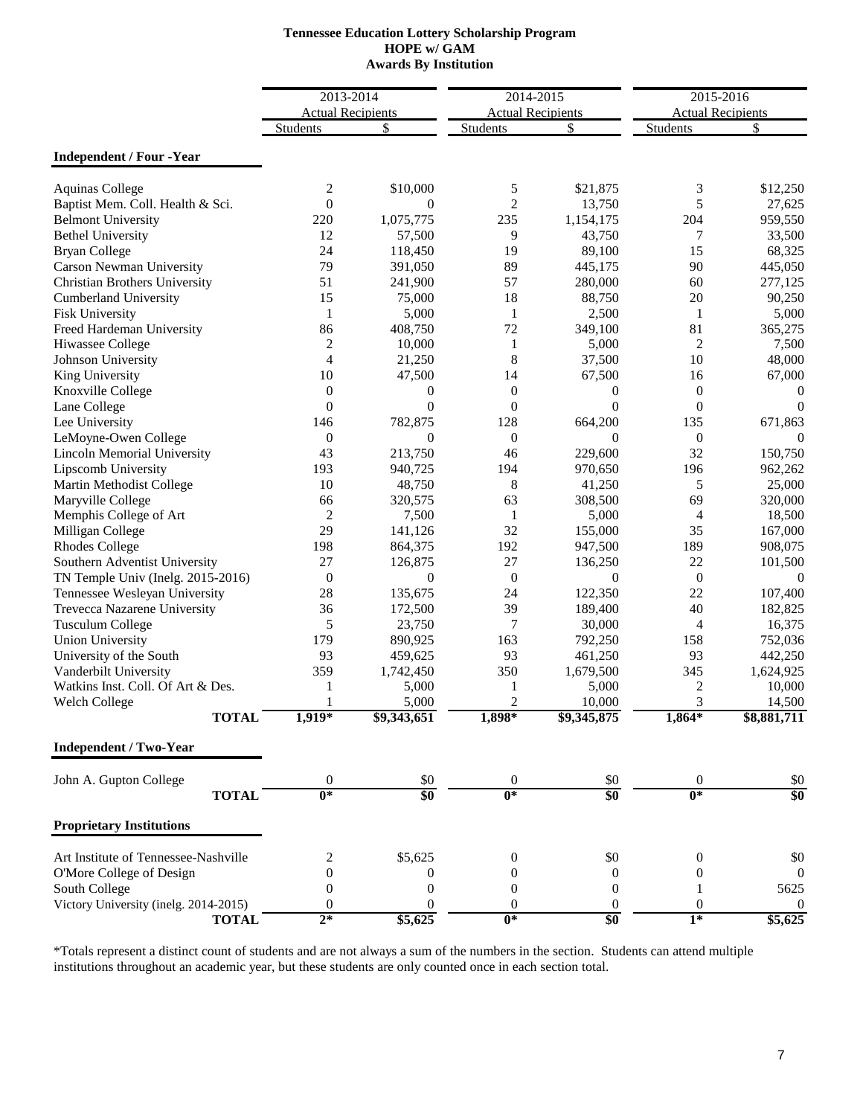# **HOPE w/ GAM Tennessee Education Lottery Scholarship Program Awards By Institution**

|                                        | 2013-2014                           |                      |                                       |                         | 2015-2016                |                       |
|----------------------------------------|-------------------------------------|----------------------|---------------------------------------|-------------------------|--------------------------|-----------------------|
|                                        | <b>Actual Recipients</b>            |                      | 2014-2015<br><b>Actual Recipients</b> |                         | <b>Actual Recipients</b> |                       |
|                                        | <b>Students</b>                     | \$                   | <b>Students</b>                       | \$                      | Students                 | \$                    |
| <b>Independent / Four -Year</b>        |                                     |                      |                                       |                         |                          |                       |
| <b>Aquinas College</b>                 | 2                                   | \$10,000             | 5                                     | \$21,875                | 3                        | \$12,250              |
| Baptist Mem. Coll. Health & Sci.       | $\overline{0}$                      | $\Omega$             | $\overline{c}$                        | 13,750                  | 5                        | 27,625                |
| <b>Belmont University</b>              | 220                                 | 1,075,775            | 235                                   | 1,154,175               | 204                      | 959,550               |
| <b>Bethel University</b>               | 12                                  | 57,500               | 9                                     | 43,750                  | 7                        | 33,500                |
| <b>Bryan College</b>                   | 24                                  | 118,450              | 19                                    | 89,100                  | 15                       | 68,325                |
| Carson Newman University               | 79                                  | 391,050              | 89                                    | 445,175                 | 90                       | 445,050               |
| Christian Brothers University          | 51                                  | 241,900              | 57                                    | 280,000                 | 60                       | 277,125               |
| <b>Cumberland University</b>           | 15                                  | 75,000               | 18                                    | 88,750                  | 20                       | 90,250                |
| <b>Fisk University</b>                 | $\mathbf{1}$                        | 5,000                | $\mathbf{1}$                          | 2,500                   | $\mathbf{1}$             | 5,000                 |
| Freed Hardeman University              | 86                                  | 408,750              | 72                                    | 349,100                 | 81                       | 365,275               |
| Hiwassee College                       | $\overline{c}$                      | 10,000               | $\mathbf{1}$                          | 5,000                   | $\overline{2}$           | 7,500                 |
| Johnson University                     | $\overline{4}$                      | 21,250               | 8                                     | 37,500                  | 10                       | 48,000                |
| King University                        | 10                                  | 47,500               | 14                                    | 67,500                  | 16                       | 67,000                |
| Knoxville College                      | $\theta$                            | $\overline{0}$       | $\mathbf{0}$                          | $\mathbf{0}$            | $\boldsymbol{0}$         | 0                     |
| Lane College                           | $\theta$                            | $\theta$             | $\theta$                              | $\Omega$                | $\mathbf{0}$             | $\theta$              |
| Lee University                         | 146                                 | 782,875              | 128                                   | 664,200                 | 135                      | 671,863               |
| LeMoyne-Owen College                   | $\boldsymbol{0}$                    | $\theta$             | $\mathbf{0}$                          | $\theta$                | $\boldsymbol{0}$         | $\theta$              |
| <b>Lincoln Memorial University</b>     | 43                                  | 213,750              | 46                                    | 229,600                 | 32                       | 150,750               |
| Lipscomb University                    | 193                                 | 940,725              | 194                                   | 970,650                 | 196                      | 962,262               |
| Martin Methodist College               | 10                                  | 48,750               | 8                                     | 41,250                  | 5                        | 25,000                |
| Maryville College                      | 66                                  | 320,575              | 63                                    | 308,500                 | 69                       | 320,000               |
| Memphis College of Art                 | $\overline{2}$                      | 7,500                | 1                                     | 5,000                   | 4                        | 18,500                |
| Milligan College                       | 29                                  | 141,126              | 32                                    | 155,000                 | 35                       | 167,000               |
| <b>Rhodes College</b>                  | 198                                 | 864,375              | 192                                   | 947,500                 | 189                      | 908,075               |
| Southern Adventist University          | 27                                  | 126,875              | 27                                    | 136,250                 | 22                       | 101,500               |
| TN Temple Univ (Inelg. 2015-2016)      | $\boldsymbol{0}$                    | $\mathbf{0}$         | $\overline{0}$                        | $\theta$                | $\boldsymbol{0}$         | $\Omega$              |
| Tennessee Wesleyan University          | 28                                  | 135,675              | 24                                    | 122,350                 | 22                       | 107,400               |
| Trevecca Nazarene University           | 36                                  | 172,500              | 39                                    | 189,400                 | 40                       | 182,825               |
|                                        | 5                                   | 23,750               | $\overline{7}$                        | 30,000                  | 4                        |                       |
| <b>Tusculum College</b>                |                                     |                      | 163                                   |                         |                          | 16,375                |
| <b>Union University</b>                | 179                                 | 890,925              |                                       | 792,250                 | 158                      | 752,036               |
| University of the South                | 93<br>359                           | 459,625              | 93                                    | 461,250                 | 93                       | 442,250               |
| Vanderbilt University                  |                                     | 1,742,450            | 350                                   | 1,679,500               | 345                      | 1,624,925             |
| Watkins Inst. Coll. Of Art & Des.      | 1                                   | 5,000                | 1                                     | 5,000                   | $\overline{c}$           | 10,000                |
| <b>Welch College</b><br><b>TOTAL</b>   | $1,919*$                            | 5,000<br>\$9,343,651 | $\overline{2}$<br>1,898*              | 10,000<br>\$9,345,875   | 3<br>$1,864*$            | 14,500<br>\$8,881,711 |
| <b>Independent / Two-Year</b>          |                                     |                      |                                       |                         |                          |                       |
|                                        |                                     |                      |                                       |                         |                          |                       |
| John A. Gupton College<br><b>TOTAL</b> | $\boldsymbol{0}$<br>$\overline{0*}$ | \$0<br>\$0           | $\boldsymbol{0}$<br>$0*$              | \$0<br>$\overline{\$0}$ | $\boldsymbol{0}$<br>$0*$ | \$0<br>\$0            |
| <b>Proprietary Institutions</b>        |                                     |                      |                                       |                         |                          |                       |
|                                        |                                     |                      |                                       |                         |                          |                       |
| Art Institute of Tennessee-Nashville   | 2                                   | \$5,625              | $\theta$                              | \$0                     | 0                        | \$0                   |
| O'More College of Design               | $\overline{0}$                      | 0                    | $\theta$                              | $\boldsymbol{0}$        | 0                        | $\mathbf{0}$          |
| South College                          | $\theta$                            | $\boldsymbol{0}$     | $\boldsymbol{0}$                      | $\boldsymbol{0}$        | 1                        | 5625                  |
| Victory University (inelg. 2014-2015)  | $\theta$                            | $\theta$             | $\theta$                              | $\boldsymbol{0}$        | $\boldsymbol{0}$         | 0                     |
| <b>TOTAL</b>                           | $2*$                                | \$5,625              | $\overline{0^*}$                      | \$0                     | $1*$                     | \$5,625               |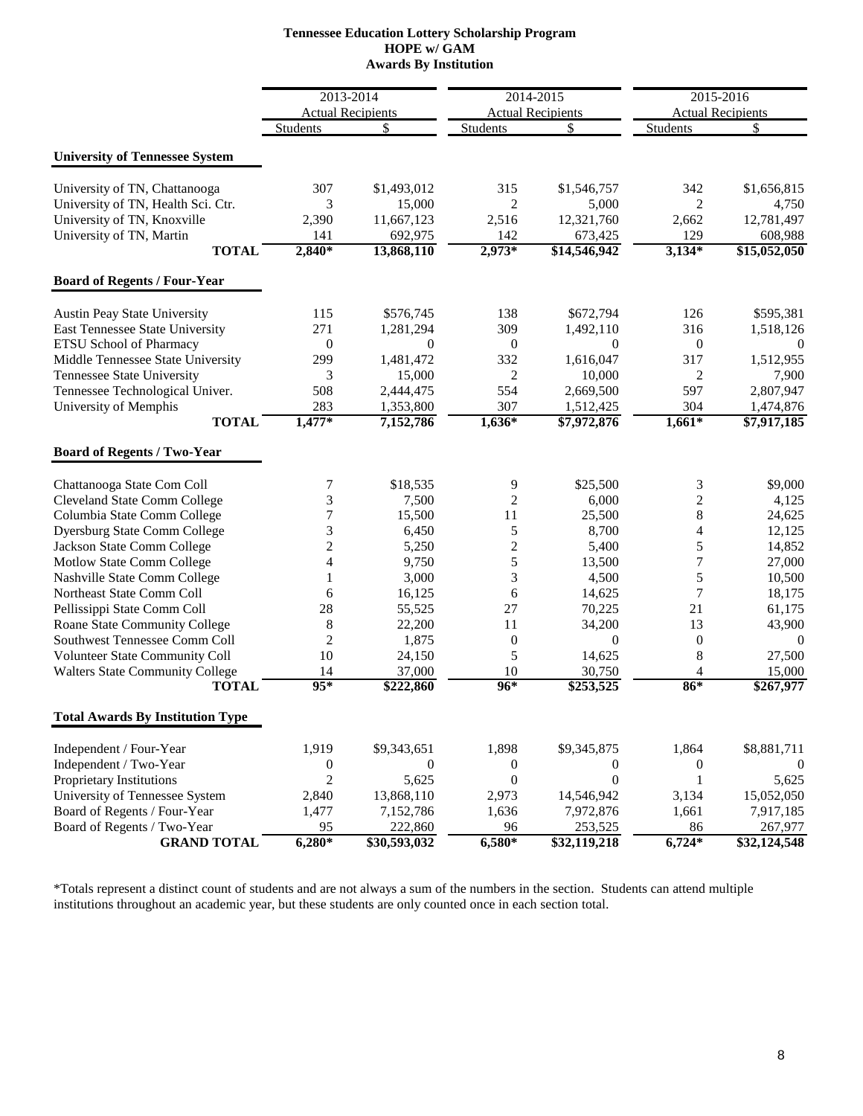### **HOPE w/ GAM Awards By Institution Tennessee Education Lottery Scholarship Program**

|                                         | 2013-2014        |                          | 2014-2015        |                          | 2015-2016               |                          |
|-----------------------------------------|------------------|--------------------------|------------------|--------------------------|-------------------------|--------------------------|
|                                         |                  | <b>Actual Recipients</b> |                  | <b>Actual Recipients</b> |                         | <b>Actual Recipients</b> |
|                                         | Students         | \$                       | <b>Students</b>  | \$                       | <b>Students</b>         | \$                       |
| <b>University of Tennessee System</b>   |                  |                          |                  |                          |                         |                          |
| University of TN, Chattanooga           | 307              | \$1,493,012              | 315              | \$1,546,757              | 342                     | \$1,656,815              |
| University of TN, Health Sci. Ctr.      | 3                | 15,000                   | 2                | 5,000                    | 2                       | 4,750                    |
| University of TN, Knoxville             | 2,390            | 11,667,123               | 2,516            | 12,321,760               | 2,662                   | 12,781,497               |
| University of TN, Martin                | 141              | 692,975                  | 142              | 673,425                  | 129                     | 608,988                  |
| <b>TOTAL</b>                            | $2,840*$         | 13,868,110               | $2,973*$         | \$14,546,942             | $3,134*$                | \$15,052,050             |
| <b>Board of Regents / Four-Year</b>     |                  |                          |                  |                          |                         |                          |
|                                         |                  |                          |                  |                          |                         |                          |
| <b>Austin Peay State University</b>     | 115              | \$576,745                | 138              | \$672,794                | 126                     | \$595,381                |
| East Tennessee State University         | 271              | 1,281,294                | 309              | 1,492,110                | 316                     | 1,518,126                |
| ETSU School of Pharmacy                 | $\boldsymbol{0}$ | $\Omega$                 | $\boldsymbol{0}$ | $\Omega$                 | $\boldsymbol{0}$        | $\Omega$                 |
| Middle Tennessee State University       | 299              | 1,481,472                | 332              | 1,616,047                | 317                     | 1,512,955                |
| Tennessee State University              | 3                | 15,000                   | 2                | 10,000                   | 2                       | 7,900                    |
| Tennessee Technological Univer.         | 508              | 2,444,475                | 554              | 2,669,500                | 597                     | 2,807,947                |
| University of Memphis<br><b>TOTAL</b>   | 283<br>$1,477*$  | 1,353,800<br>7,152,786   | 307<br>$1,636*$  | 1,512,425<br>\$7,972,876 | 304<br>$1,661*$         | 1,474,876<br>\$7,917,185 |
|                                         |                  |                          |                  |                          |                         |                          |
| <b>Board of Regents / Two-Year</b>      |                  |                          |                  |                          |                         |                          |
| Chattanooga State Com Coll              | 7                | \$18,535                 | 9                | \$25,500                 | 3                       | \$9,000                  |
| <b>Cleveland State Comm College</b>     | 3                | 7,500                    | $\overline{c}$   | 6,000                    | $\overline{c}$          | 4,125                    |
| Columbia State Comm College             | 7                | 15,500                   | 11               | 25,500                   | 8                       | 24,625                   |
| <b>Dyersburg State Comm College</b>     | 3                | 6,450                    | 5                | 8,700                    | $\overline{\mathbf{4}}$ | 12,125                   |
| Jackson State Comm College              | $\overline{c}$   | 5,250                    | $\overline{c}$   | 5,400                    | 5                       | 14,852                   |
| Motlow State Comm College               | 4                | 9,750                    | 5                | 13,500                   | $\tau$                  | 27,000                   |
| Nashville State Comm College            |                  | 3,000                    | 3                | 4,500                    | 5                       | 10,500                   |
| Northeast State Comm Coll               | 6                | 16,125                   | 6                | 14,625                   | 7                       | 18,175                   |
| Pellissippi State Comm Coll             | 28               | 55,525                   | 27               | 70,225                   | 21                      | 61,175                   |
| Roane State Community College           | 8                | 22,200                   | 11               | 34,200                   | 13                      | 43,900                   |
| <b>Southwest Tennessee Comm Coll</b>    | $\overline{2}$   | 1,875                    | $\boldsymbol{0}$ | $\overline{0}$           | $\boldsymbol{0}$        | $\mathbf{0}$             |
| Volunteer State Community Coll          | 10               | 24,150                   | 5                | 14,625                   | $\,8\,$                 | 27,500                   |
| <b>Walters State Community College</b>  | 14               | 37,000                   | 10               | 30,750                   | 4                       | 15,000                   |
| <b>TOTAL</b>                            | $95*$            | \$222,860                | 96*              | \$253,525                | $86*$                   | \$267,977                |
| <b>Total Awards By Institution Type</b> |                  |                          |                  |                          |                         |                          |
| Independent / Four-Year                 | 1,919            | \$9,343,651              | 1,898            | \$9,345,875              | 1,864                   | \$8,881,711              |
| Independent / Two-Year                  | $\boldsymbol{0}$ | $\overline{0}$           | $\boldsymbol{0}$ | $\overline{0}$           | $\boldsymbol{0}$        | $\theta$                 |
| <b>Proprietary Institutions</b>         | $\overline{2}$   | 5,625                    | $\boldsymbol{0}$ | $\overline{0}$           | 1                       | 5,625                    |
| University of Tennessee System          | 2,840            | 13,868,110               | 2,973            | 14,546,942               | 3,134                   | 15,052,050               |
| Board of Regents / Four-Year            | 1,477            | 7,152,786                | 1,636            | 7,972,876                | 1,661                   | 7,917,185                |
| Board of Regents / Two-Year             | 95               | 222,860                  | 96               | 253,525                  | 86                      | 267,977                  |
| <b>GRAND TOTAL</b>                      | $6,280*$         | \$30,593,032             | $6,580*$         | \$32,119,218             | $6,724*$                | \$32,124,548             |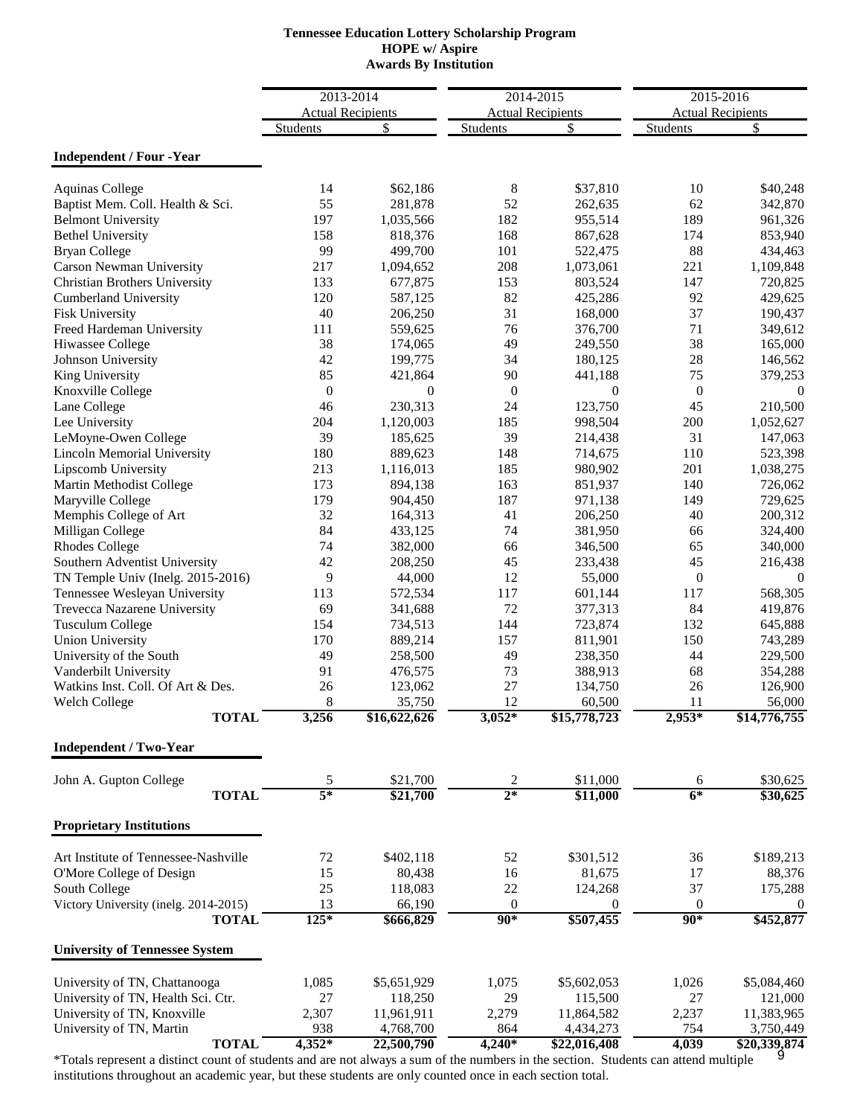# **Tennessee Education Lottery Scholarship Program HOPE w/ Aspire Awards By Institution**

|                                       |                  | 2013-2014                |                  | 2014-2015                |                  | 2015-2016                |  |
|---------------------------------------|------------------|--------------------------|------------------|--------------------------|------------------|--------------------------|--|
|                                       |                  | <b>Actual Recipients</b> |                  | <b>Actual Recipients</b> |                  | <b>Actual Recipients</b> |  |
|                                       | <b>Students</b>  | \$                       | <b>Students</b>  | \$                       | <b>Students</b>  | \$                       |  |
|                                       |                  |                          |                  |                          |                  |                          |  |
| <b>Independent / Four -Year</b>       |                  |                          |                  |                          |                  |                          |  |
| <b>Aquinas College</b>                | 14               | \$62,186                 | 8                | \$37,810                 | 10               | \$40,248                 |  |
| Baptist Mem. Coll. Health & Sci.      | 55               | 281,878                  | 52               | 262,635                  | 62               | 342,870                  |  |
| <b>Belmont University</b>             | 197              | 1,035,566                | 182              | 955,514                  | 189              | 961,326                  |  |
| <b>Bethel University</b>              | 158              | 818,376                  | 168              | 867,628                  | 174              | 853,940                  |  |
| <b>Bryan College</b>                  | 99               | 499,700                  | 101              | 522,475                  | 88               | 434,463                  |  |
| Carson Newman University              | 217              | 1,094,652                | 208              | 1,073,061                | 221              | 1,109,848                |  |
| Christian Brothers University         | 133              | 677,875                  | 153              | 803,524                  | 147              | 720,825                  |  |
| <b>Cumberland University</b>          | 120              | 587,125                  | 82               | 425,286                  | 92               | 429,625                  |  |
| Fisk University                       | 40               | 206,250                  | 31               | 168,000                  | 37               | 190,437                  |  |
| Freed Hardeman University             | 111              | 559,625                  | 76               | 376,700                  | 71               | 349,612                  |  |
| Hiwassee College                      | 38               | 174,065                  | 49               | 249,550                  | 38               | 165,000                  |  |
| Johnson University                    | 42               | 199,775                  | 34               | 180,125                  | 28               | 146,562                  |  |
| King University                       | 85               | 421,864                  | 90               | 441,188                  | 75               | 379,253                  |  |
| Knoxville College                     | $\boldsymbol{0}$ | $\overline{0}$           | $\boldsymbol{0}$ | $\theta$                 | $\boldsymbol{0}$ | $\boldsymbol{0}$         |  |
| Lane College                          | 46               | 230,313                  | 24               | 123,750                  | 45               | 210,500                  |  |
| Lee University                        | 204              | 1,120,003                | 185              | 998,504                  | 200              | 1,052,627                |  |
| LeMoyne-Owen College                  | 39               | 185,625                  | 39               |                          | 31               | 147,063                  |  |
| <b>Lincoln Memorial University</b>    | 180              | 889,623                  | 148              | 214,438                  | 110              |                          |  |
|                                       | 213              |                          |                  | 714,675                  | 201              | 523,398                  |  |
| Lipscomb University                   |                  | 1,116,013                | 185              | 980,902                  |                  | 1,038,275                |  |
| Martin Methodist College              | 173              | 894,138                  | 163              | 851,937                  | 140              | 726,062                  |  |
| Maryville College                     | 179              | 904,450                  | 187              | 971,138                  | 149              | 729,625                  |  |
| Memphis College of Art                | 32               | 164,313                  | 41               | 206,250                  | 40               | 200,312                  |  |
| Milligan College                      | 84               | 433,125                  | 74               | 381,950                  | 66               | 324,400                  |  |
| <b>Rhodes College</b>                 | 74               | 382,000                  | 66               | 346,500                  | 65               | 340,000                  |  |
| Southern Adventist University         | 42               | 208,250                  | 45               | 233,438                  | 45               | 216,438                  |  |
| TN Temple Univ (Inelg. 2015-2016)     | 9                | 44,000                   | 12               | 55,000                   | $\boldsymbol{0}$ | $\boldsymbol{0}$         |  |
| Tennessee Wesleyan University         | 113              | 572,534                  | 117              | 601,144                  | 117              | 568,305                  |  |
| Trevecca Nazarene University          | 69               | 341,688                  | 72               | 377,313                  | 84               | 419,876                  |  |
| <b>Tusculum College</b>               | 154              | 734,513                  | 144              | 723,874                  | 132              | 645,888                  |  |
| <b>Union University</b>               | 170              | 889,214                  | 157              | 811,901                  | 150              | 743,289                  |  |
| University of the South               | 49               | 258,500                  | 49               | 238,350                  | 44               | 229,500                  |  |
| Vanderbilt University                 | 91               | 476,575                  | 73               | 388,913                  | 68               | 354,288                  |  |
| Watkins Inst. Coll. Of Art & Des.     | 26               | 123,062                  | 27               | 134,750                  | 26               | 126,900                  |  |
| <b>Welch College</b>                  | 8                | 35,750                   | 12               | 60,500                   | 11               | 56,000                   |  |
| <b>TOTAL</b>                          | 3,256            | \$16,622,626             | $3,052*$         | \$15,778,723             | $2,953*$         | \$14,776,755             |  |
| <b>Independent / Two-Year</b>         |                  |                          |                  |                          |                  |                          |  |
|                                       |                  |                          |                  |                          |                  |                          |  |
| John A. Gupton College                | 5<br>$5*$        | \$21,700                 | 2<br>$2*$        | \$11,000                 | 6<br>$6*$        | \$30,625                 |  |
| <b>TOTAL</b>                          |                  | \$21,700                 |                  | \$11,000                 |                  | \$30,625                 |  |
| <b>Proprietary Institutions</b>       |                  |                          |                  |                          |                  |                          |  |
| Art Institute of Tennessee-Nashville  | $72\,$           | \$402,118                | 52               | \$301,512                | 36               | \$189,213                |  |
| O'More College of Design              | 15               | 80,438                   | 16               | 81,675                   | 17               | 88,376                   |  |
| South College                         | 25               | 118,083                  | $22\,$           | 124,268                  | 37               | 175,288                  |  |
| Victory University (inelg. 2014-2015) | 13               | 66,190                   | $\mathbf{0}$     | $\boldsymbol{0}$         | $\mathbf{0}$     | $\boldsymbol{0}$         |  |
| <b>TOTAL</b>                          | 125*             | \$666,829                | $90*$            | \$507,455                | $90*$            | \$452,877                |  |
| <b>University of Tennessee System</b> |                  |                          |                  |                          |                  |                          |  |
|                                       |                  |                          |                  |                          |                  |                          |  |
| University of TN, Chattanooga         | 1,085            | \$5,651,929              | 1,075            | \$5,602,053              | 1,026            | \$5,084,460              |  |
| University of TN, Health Sci. Ctr.    | 27               | 118,250                  | 29               | 115,500                  | 27               | 121,000                  |  |
| University of TN, Knoxville           | 2,307            | 11,961,911               | 2,279            | 11,864,582               | 2,237            | 11,383,965               |  |
| University of TN, Martin              | 938              | 4,768,700                | 864              | 4,434,273                | 754              | 3,750,449                |  |
| <b>TOTAL</b>                          | $4,352*$         | 22,500,790               | $4,240*$         | \$22,016,408             | 4,039            | \$20,339,874             |  |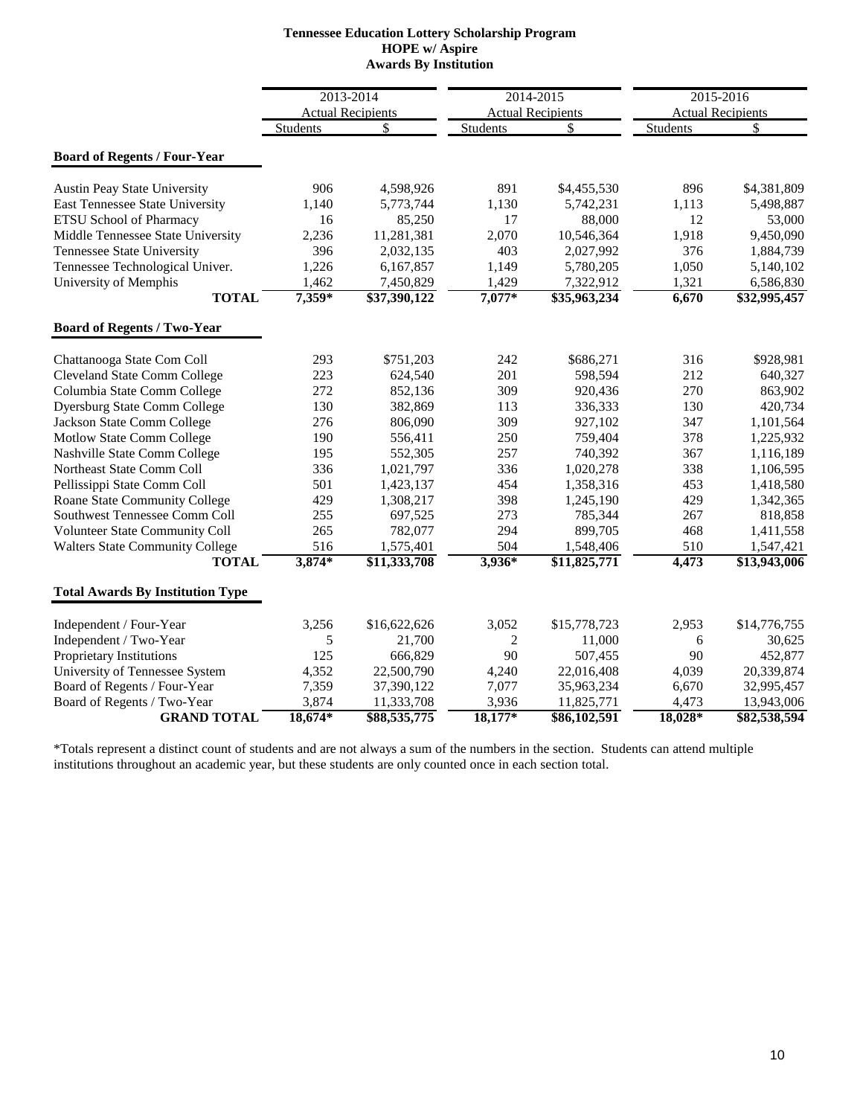#### **Tennessee Education Lottery Scholarship Program HOPE w/ Aspire Awards By Institution**

|                                         |           | 2013-2014                | 2014-2015      |                          | 2015-2016       |                          |
|-----------------------------------------|-----------|--------------------------|----------------|--------------------------|-----------------|--------------------------|
|                                         |           | <b>Actual Recipients</b> |                | <b>Actual Recipients</b> |                 | <b>Actual Recipients</b> |
|                                         | Students  | \$                       | Students       | \$                       | <b>Students</b> | \$                       |
| <b>Board of Regents / Four-Year</b>     |           |                          |                |                          |                 |                          |
| <b>Austin Peay State University</b>     | 906       | 4,598,926                | 891            | \$4,455,530              | 896             | \$4,381,809              |
| East Tennessee State University         | 1,140     | 5,773,744                | 1,130          | 5,742,231                | 1,113           | 5,498,887                |
| <b>ETSU School of Pharmacy</b>          | 16        | 85,250                   | 17             | 88,000                   | 12              | 53,000                   |
| Middle Tennessee State University       | 2,236     | 11,281,381               | 2,070          | 10,546,364               | 1,918           | 9,450,090                |
| <b>Tennessee State University</b>       | 396       | 2,032,135                | 403            | 2,027,992                | 376             | 1,884,739                |
| Tennessee Technological Univer.         | 1,226     | 6,167,857                | 1,149          | 5,780,205                | 1,050           | 5,140,102                |
| University of Memphis                   | 1,462     | 7,450,829                | 1,429          | 7,322,912                | 1,321           | 6,586,830                |
| <b>TOTAL</b>                            | $7,359*$  | \$37,390,122             | $7,077*$       | \$35,963,234             | 6,670           | \$32,995,457             |
| <b>Board of Regents / Two-Year</b>      |           |                          |                |                          |                 |                          |
| Chattanooga State Com Coll              | 293       | \$751,203                | 242            | \$686,271                | 316             | \$928,981                |
| <b>Cleveland State Comm College</b>     | 223       | 624,540                  | 201            | 598,594                  | 212             | 640,327                  |
| Columbia State Comm College             | 272       | 852,136                  | 309            | 920,436                  | 270             | 863,902                  |
| <b>Dyersburg State Comm College</b>     | 130       | 382,869                  | 113            | 336,333                  | 130             | 420,734                  |
| Jackson State Comm College              | 276       | 806,090                  | 309            | 927,102                  | 347             | 1,101,564                |
| Motlow State Comm College               | 190       | 556,411                  | 250            | 759,404                  | 378             | 1,225,932                |
| Nashville State Comm College            | 195       | 552,305                  | 257            | 740,392                  | 367             | 1,116,189                |
| Northeast State Comm Coll               | 336       | 1,021,797                | 336            | 1,020,278                | 338             | 1,106,595                |
| Pellissippi State Comm Coll             | 501       | 1,423,137                | 454            | 1,358,316                | 453             | 1,418,580                |
| Roane State Community College           | 429       | 1,308,217                | 398            | 1,245,190                | 429             | 1,342,365                |
| Southwest Tennessee Comm Coll           | 255       | 697,525                  | 273            | 785,344                  | 267             | 818,858                  |
| Volunteer State Community Coll          | 265       | 782,077                  | 294            | 899,705                  | 468             | 1,411,558                |
| <b>Walters State Community College</b>  | 516       | 1,575,401                | 504            | 1,548,406                | 510             | 1,547,421                |
| <b>TOTAL</b>                            | $3,874*$  | \$11,333,708             | 3,936*         | \$11,825,771             | 4,473           | \$13,943,006             |
| <b>Total Awards By Institution Type</b> |           |                          |                |                          |                 |                          |
| Independent / Four-Year                 | 3,256     | \$16,622,626             | 3,052          | \$15,778,723             | 2,953           | \$14,776,755             |
| Independent / Two-Year                  | 5         | 21,700                   | $\overline{2}$ | 11,000                   | 6               | 30,625                   |
| Proprietary Institutions                | 125       | 666,829                  | 90             | 507,455                  | 90              | 452,877                  |
| University of Tennessee System          | 4,352     | 22,500,790               | 4,240          | 22,016,408               | 4,039           | 20,339,874               |
| Board of Regents / Four-Year            | 7,359     | 37,390,122               | 7,077          | 35,963,234               | 6,670           | 32,995,457               |
| Board of Regents / Two-Year             | 3,874     | 11,333,708               | 3,936          | 11,825,771               | 4,473           | 13,943,006               |
| <b>GRAND TOTAL</b>                      | $18,674*$ | \$88,535,775             | $18,177*$      | \$86,102,591             | 18,028*         | \$82,538,594             |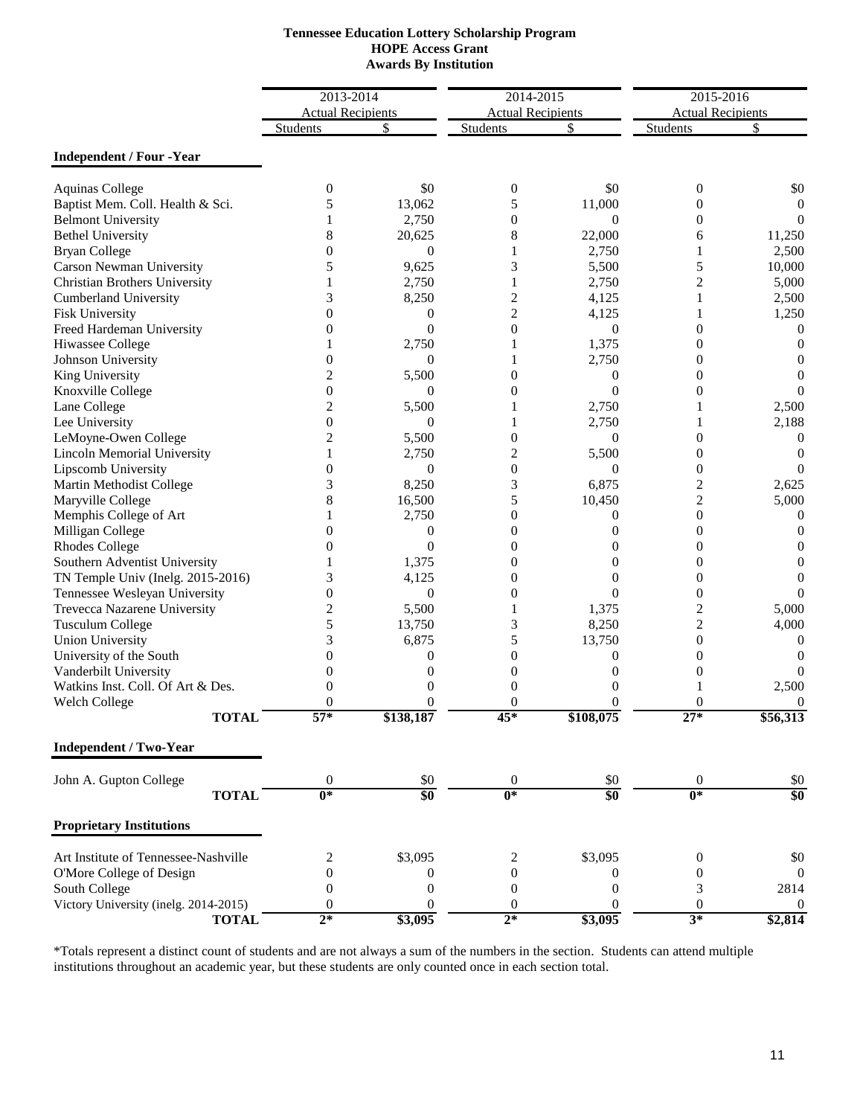| <b>Tennessee Education Lottery Scholarship Program</b> |
|--------------------------------------------------------|
| <b>HOPE Access Grant</b>                               |
| <b>Awards By Institution</b>                           |

|                                       | 2013-2014                |                  | 2014-2015                |                  | 2015-2016                |                  |
|---------------------------------------|--------------------------|------------------|--------------------------|------------------|--------------------------|------------------|
|                                       | <b>Actual Recipients</b> |                  | <b>Actual Recipients</b> |                  | <b>Actual Recipients</b> |                  |
|                                       | <b>Students</b>          |                  | <b>Students</b>          | S                | <b>Students</b>          |                  |
| <b>Independent / Four -Year</b>       |                          |                  |                          |                  |                          |                  |
| <b>Aquinas College</b>                | $\boldsymbol{0}$         | \$0              | $\boldsymbol{0}$         | \$0              | 0                        | \$0              |
| Baptist Mem. Coll. Health & Sci.      | 5                        | 13,062           | 5                        | 11,000           | $\theta$                 | 0                |
| <b>Belmont University</b>             |                          | 2,750            | $\theta$                 | $\overline{0}$   | 0                        |                  |
| <b>Bethel University</b>              | 8                        | 20,625           | 8                        | 22,000           | 6                        | 11,250           |
| <b>Bryan College</b>                  | $\theta$                 | $\theta$         | 1                        | 2,750            | 1                        | 2,500            |
| Carson Newman University              | 5                        | 9,625            | 3                        | 5,500            | 5                        | 10,000           |
| Christian Brothers University         |                          | 2,750            | 1                        | 2,750            | $\overline{2}$           | 5,000            |
| <b>Cumberland University</b>          | 3                        | 8,250            | $\overline{c}$           | 4,125            | 1                        | 2,500            |
| Fisk University                       | 0                        | 0                | $\overline{2}$           | 4,125            | 1                        | 1,250            |
| Freed Hardeman University             | 0                        | $\Omega$         | $\theta$                 | $\theta$         | 0                        | $\theta$         |
| Hiwassee College                      |                          | 2,750            |                          | 1,375            | $\overline{0}$           | $\theta$         |
| Johnson University                    | 0                        | $\overline{0}$   |                          | 2,750            | $\overline{0}$           | 0                |
| King University                       | 2                        | 5,500            | $\theta$                 | $\mathbf{0}$     | $\theta$                 | $\mathbf{0}$     |
| Knoxville College                     | 0                        | $\overline{0}$   | $\boldsymbol{0}$         | $\theta$         | 0                        | 0                |
| Lane College                          | 2                        | 5,500            |                          | 2,750            |                          | 2,500            |
| Lee University                        | $\overline{0}$           | $\overline{0}$   | 1                        | 2,750            | 1                        | 2,188            |
| LeMoyne-Owen College                  | 2                        | 5,500            | $\boldsymbol{0}$         | $\overline{0}$   | $\boldsymbol{0}$         | 0                |
| <b>Lincoln Memorial University</b>    |                          | 2,750            | $\overline{c}$           | 5,500            | $\overline{0}$           | 0                |
| Lipscomb University                   | 0                        | $\boldsymbol{0}$ | $\overline{0}$           | $\theta$         | 0                        | $\Omega$         |
| Martin Methodist College              | 3                        | 8,250            | 3                        | 6,875            | 2                        | 2,625            |
| Maryville College                     | 8                        | 16,500           | 5                        | 10,450           | $\overline{c}$           | 5,000            |
| Memphis College of Art                |                          | 2,750            | $\theta$                 | $\overline{0}$   | $\boldsymbol{0}$         | $\theta$         |
| Milligan College                      | 0                        | $\boldsymbol{0}$ | $\overline{0}$           | $\overline{0}$   | 0                        | 0                |
| <b>Rhodes College</b>                 | 0                        | $\Omega$         | $\theta$                 | 0                | $\overline{0}$           | 0                |
| Southern Adventist University         |                          | 1,375            | $\boldsymbol{0}$         | 0                | $\overline{0}$           | $\theta$         |
| TN Temple Univ (Inelg. 2015-2016)     | 3                        | 4,125            | $\theta$                 | 0                | $\overline{0}$           | $\left( \right)$ |
| Tennessee Wesleyan University         | $\theta$                 | $\overline{0}$   | $\Omega$                 | $\Omega$         | $\overline{0}$           | $\Omega$         |
| Trevecca Nazarene University          | 2                        | 5,500            | 1                        | 1,375            | 2                        | 5,000            |
| <b>Tusculum College</b>               | 5                        | 13,750           | 3                        | 8,250            | $\overline{c}$           | 4,000            |
| <b>Union University</b>               | 3                        | 6,875            | 5                        | 13,750           | $\boldsymbol{0}$         | $\theta$         |
| University of the South               | 0                        | $\overline{0}$   | $\overline{0}$           | $\theta$         | $\overline{0}$           | 0                |
| Vanderbilt University                 | 0                        | $\theta$         | $\boldsymbol{0}$         | $\Omega$         | $\overline{0}$           | 0                |
| Watkins Inst. Coll. Of Art & Des.     | 0                        | $\theta$         | $\overline{0}$           | $\overline{0}$   | 1                        | 2,500            |
| <b>Welch College</b>                  | $\theta$                 | $\theta$         | $\Omega$                 | $\Omega$         | 0                        | $\overline{0}$   |
| <b>TOTAL</b>                          | $57^{\circ}$             | \$138,187        | 45*                      | \$108,075        | $27*$                    | \$56,313         |
| <b>Independent / Two-Year</b>         |                          |                  |                          |                  |                          |                  |
| John A. Gupton College                | $\boldsymbol{0}$         | \$0              | $\boldsymbol{0}$         | \$0              | $\mathbf{0}$             | \$0              |
| <b>TOTAL</b>                          | $\overline{0^*}$         | $\overline{\$0}$ | $0*$                     | \$0              | $0*$                     | \$0              |
| <b>Proprietary Institutions</b>       |                          |                  |                          |                  |                          |                  |
| Art Institute of Tennessee-Nashville  | 2                        | \$3,095          | 2                        | \$3,095          | $\boldsymbol{0}$         | \$0              |
| O'More College of Design              | $\overline{0}$           | $\boldsymbol{0}$ | $\boldsymbol{0}$         | 0                | $\boldsymbol{0}$         | $\mathbf{0}$     |
| South College                         | $\mathbf{0}$             | $\boldsymbol{0}$ | $\boldsymbol{0}$         | $\mathbf{0}$     | 3                        | 2814             |
| Victory University (inelg. 2014-2015) | $\theta$                 | $\boldsymbol{0}$ | $\boldsymbol{0}$         | $\boldsymbol{0}$ | $\mathbf{0}$             | $\bf{0}$         |
| <b>TOTAL</b>                          | $2*$                     | \$3,095          | $2*$                     | \$3,095          | $3*$                     | \$2,814          |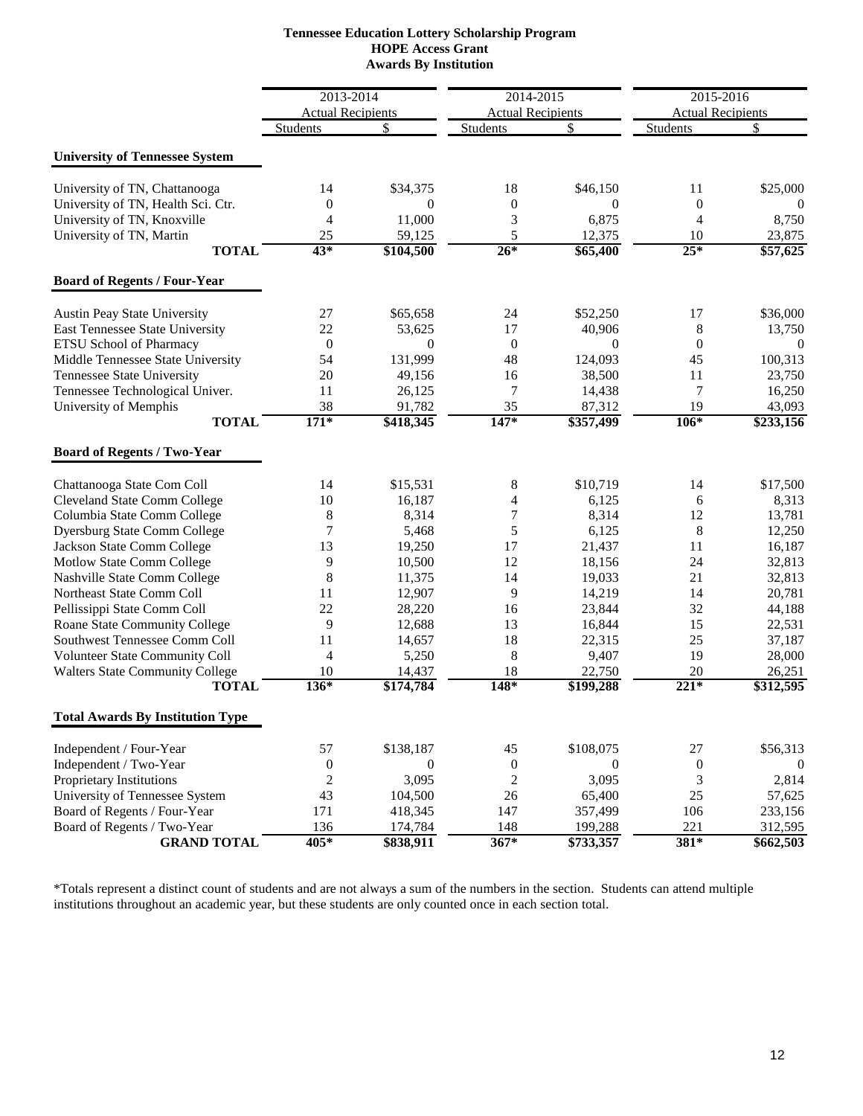| <b>Tennessee Education Lottery Scholarship Program</b> |
|--------------------------------------------------------|
| <b>HOPE Access Grant</b>                               |
| <b>Awards By Institution</b>                           |

|                                         | 2013-2014                |              | 2014-2015                |                   | 2015-2016                |           |
|-----------------------------------------|--------------------------|--------------|--------------------------|-------------------|--------------------------|-----------|
|                                         | <b>Actual Recipients</b> |              | <b>Actual Recipients</b> |                   | <b>Actual Recipients</b> |           |
|                                         | <b>Students</b>          | \$           | <b>Students</b>          | \$                | Students                 | \$        |
| <b>University of Tennessee System</b>   |                          |              |                          |                   |                          |           |
| University of TN, Chattanooga           | 14                       | \$34,375     | 18                       | \$46,150          | 11                       | \$25,000  |
| University of TN, Health Sci. Ctr.      | $\mathbf{0}$             | $\theta$     | $\theta$                 | $\Omega$          | $\boldsymbol{0}$         | $\Omega$  |
| University of TN, Knoxville             | $\overline{4}$           | 11,000       | 3                        | 6,875             | 4                        | 8,750     |
| University of TN, Martin                | 25                       | 59,125       | 5                        | 12,375            | 10                       | 23,875    |
| <b>TOTAL</b>                            | 43*                      | \$104,500    | $26*$                    | \$65,400          | $25*$                    | \$57,625  |
| <b>Board of Regents / Four-Year</b>     |                          |              |                          |                   |                          |           |
| <b>Austin Peay State University</b>     | 27                       | \$65,658     | 24                       | \$52,250          | 17                       | \$36,000  |
| East Tennessee State University         | 22                       | 53,625       | 17                       | 40,906            | $\,8\,$                  | 13,750    |
| ETSU School of Pharmacy                 | $\boldsymbol{0}$         | $\Omega$     | $\boldsymbol{0}$         | $\overline{0}$    | $\boldsymbol{0}$         | $\theta$  |
| Middle Tennessee State University       | 54                       | 131,999      | 48                       | 124,093           | 45                       | 100,313   |
| Tennessee State University              | 20                       | 49,156       | 16                       | 38,500            | 11                       | 23,750    |
| Tennessee Technological Univer.         | 11                       | 26,125       | 7                        | 14,438            | 7                        | 16,250    |
| University of Memphis                   | 38                       | 91,782       | 35                       | 87,312            | 19                       | 43,093    |
| <b>TOTAL</b>                            | $171*$                   | \$418,345    | $147*$                   | \$357,499         | $106*$                   | \$233,156 |
| <b>Board of Regents / Two-Year</b>      |                          |              |                          |                   |                          |           |
| Chattanooga State Com Coll              | 14                       | \$15,531     | 8                        | \$10,719          | 14                       | \$17,500  |
| <b>Cleveland State Comm College</b>     | 10                       | 16,187       | 4                        | 6,125             | 6                        | 8,313     |
| Columbia State Comm College             | $\,8\,$                  | 8,314        | $\overline{7}$           | 8,314             | 12                       | 13,781    |
| <b>Dyersburg State Comm College</b>     | 7                        | 5,468        | 5                        | 6,125             | $\,8\,$                  | 12,250    |
| Jackson State Comm College              | 13                       | 19,250       | 17                       | 21,437            | 11                       | 16,187    |
| Motlow State Comm College               | 9                        | 10,500       | 12                       | 18,156            | 24                       | 32,813    |
| Nashville State Comm College            | 8                        | 11,375       | 14                       | 19,033            | 21                       | 32,813    |
| Northeast State Comm Coll               | 11                       | 12,907       | 9                        | 14,219            | 14                       | 20,781    |
| Pellissippi State Comm Coll             | 22                       | 28,220       | 16                       | 23,844            | 32                       | 44,188    |
| Roane State Community College           | 9                        | 12,688       | 13                       | 16,844            | 15                       | 22,531    |
| Southwest Tennessee Comm Coll           | 11                       | 14,657       | 18                       | 22,315            | 25                       | 37,187    |
| Volunteer State Community Coll          | 4                        | 5,250        | 8                        | 9,407             | 19                       | 28,000    |
| <b>Walters State Community College</b>  | 10                       | 14,437       | 18                       | 22,750            | 20                       | 26,251    |
| <b>TOTAL</b>                            | $136*$                   | \$174,784    | $148*$                   | $\sqrt{$199,288}$ | $221*$                   | \$312,595 |
| <b>Total Awards By Institution Type</b> |                          |              |                          |                   |                          |           |
| Independent / Four-Year                 | 57                       | \$138,187    | 45                       | \$108,075         | $27\,$                   | \$56,313  |
| Independent / Two-Year                  | $\boldsymbol{0}$         | $\mathbf{0}$ | $\boldsymbol{0}$         | $\mathbf{0}$      | $\boldsymbol{0}$         | $\theta$  |
| Proprietary Institutions                | $\sqrt{2}$               | 3,095        | $\boldsymbol{2}$         | 3,095             | 3                        | 2,814     |
| University of Tennessee System          | 43                       | 104,500      | 26                       | 65,400            | 25                       | 57,625    |
| Board of Regents / Four-Year            | 171                      | 418,345      | 147                      | 357,499           | 106                      | 233,156   |
| Board of Regents / Two-Year             | 136                      | 174,784      | 148                      | 199,288           | 221                      | 312,595   |
| <b>GRAND TOTAL</b>                      | 405*                     | \$838,911    | $367*$                   | \$733,357         | 381*                     | \$662,503 |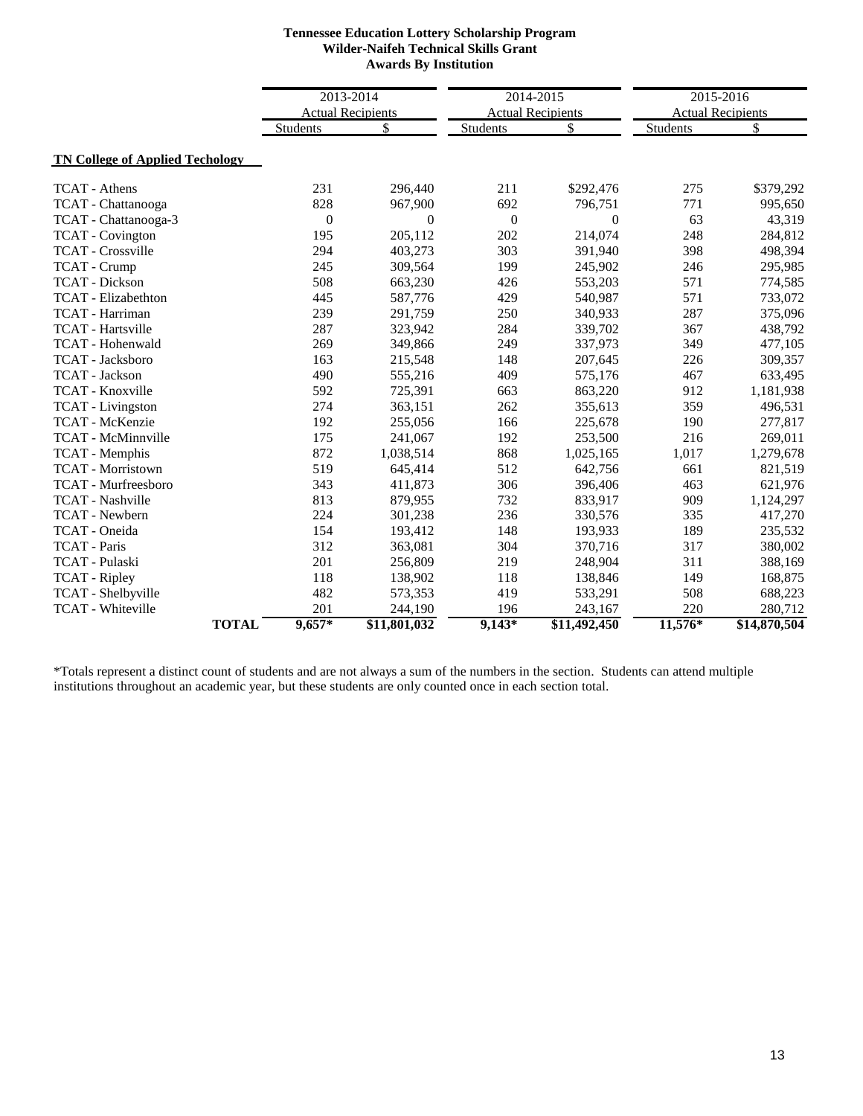### **Tennessee Education Lottery Scholarship Program Wilder-Naifeh Technical Skills Grant Awards By Institution**

|                                        | 2013-2014                |                | 2014-2015        |                          | 2015-2016                |              |
|----------------------------------------|--------------------------|----------------|------------------|--------------------------|--------------------------|--------------|
|                                        | <b>Actual Recipients</b> |                |                  | <b>Actual Recipients</b> | <b>Actual Recipients</b> |              |
|                                        | Students                 | \$             | <b>Students</b>  | \$                       | Students                 | \$           |
| <b>TN College of Applied Techology</b> |                          |                |                  |                          |                          |              |
| <b>TCAT</b> - Athens                   | 231                      | 296,440        | 211              | \$292,476                | 275                      | \$379,292    |
| TCAT - Chattanooga                     | 828                      | 967,900        | 692              | 796,751                  | 771                      | 995,650      |
| TCAT - Chattanooga-3                   | $\boldsymbol{0}$         | $\overline{0}$ | $\boldsymbol{0}$ | $\overline{0}$           | 63                       | 43,319       |
| <b>TCAT</b> - Covington                | 195                      | 205,112        | 202              | 214,074                  | 248                      | 284,812      |
| <b>TCAT</b> - Crossville               | 294                      | 403,273        | 303              | 391,940                  | 398                      | 498,394      |
| <b>TCAT</b> - Crump                    | 245                      | 309,564        | 199              | 245,902                  | 246                      | 295,985      |
| <b>TCAT</b> - Dickson                  | 508                      | 663,230        | 426              | 553,203                  | 571                      | 774,585      |
| <b>TCAT</b> - Elizabethton             | 445                      | 587,776        | 429              | 540.987                  | 571                      | 733,072      |
| TCAT - Harriman                        | 239                      | 291,759        | 250              | 340,933                  | 287                      | 375,096      |
| <b>TCAT</b> - Hartsville               | 287                      | 323,942        | 284              | 339,702                  | 367                      | 438,792      |
| <b>TCAT</b> - Hohenwald                | 269                      | 349,866        | 249              | 337,973                  | 349                      | 477,105      |
| TCAT - Jacksboro                       | 163                      | 215,548        | 148              | 207,645                  | 226                      | 309,357      |
| <b>TCAT</b> - Jackson                  | 490                      | 555,216        | 409              | 575,176                  | 467                      | 633,495      |
| <b>TCAT</b> - Knoxville                | 592                      | 725,391        | 663              | 863,220                  | 912                      | 1,181,938    |
| <b>TCAT</b> - Livingston               | 274                      | 363,151        | 262              | 355,613                  | 359                      | 496,531      |
| TCAT - McKenzie                        | 192                      | 255,056        | 166              | 225,678                  | 190                      | 277,817      |
| <b>TCAT - McMinnville</b>              | 175                      | 241,067        | 192              | 253,500                  | 216                      | 269,011      |
| TCAT - Memphis                         | 872                      | 1,038,514      | 868              | 1,025,165                | 1,017                    | 1,279,678    |
| <b>TCAT - Morristown</b>               | 519                      | 645,414        | 512              | 642,756                  | 661                      | 821,519      |
| <b>TCAT</b> - Murfreesboro             | 343                      | 411,873        | 306              | 396,406                  | 463                      | 621,976      |
| <b>TCAT</b> - Nashville                | 813                      | 879,955        | 732              | 833,917                  | 909                      | 1,124,297    |
| TCAT - Newbern                         | 224                      | 301,238        | 236              | 330,576                  | 335                      | 417,270      |
| TCAT - Oneida                          | 154                      | 193,412        | 148              | 193,933                  | 189                      | 235,532      |
| <b>TCAT</b> - Paris                    | 312                      | 363,081        | 304              | 370,716                  | 317                      | 380,002      |
| TCAT - Pulaski                         | 201                      | 256,809        | 219              | 248,904                  | 311                      | 388,169      |
| <b>TCAT</b> - Ripley                   | 118                      | 138,902        | 118              | 138,846                  | 149                      | 168,875      |
| TCAT - Shelbyville                     | 482                      | 573,353        | 419              | 533,291                  | 508                      | 688,223      |
| <b>TCAT</b> - Whiteville               | 201                      | 244,190        | 196              | 243,167                  | 220                      | 280,712      |
| <b>TOTAL</b>                           | $9,657*$                 | \$11,801,032   | $9,143*$         | \$11,492,450             | $11,576*$                | \$14,870,504 |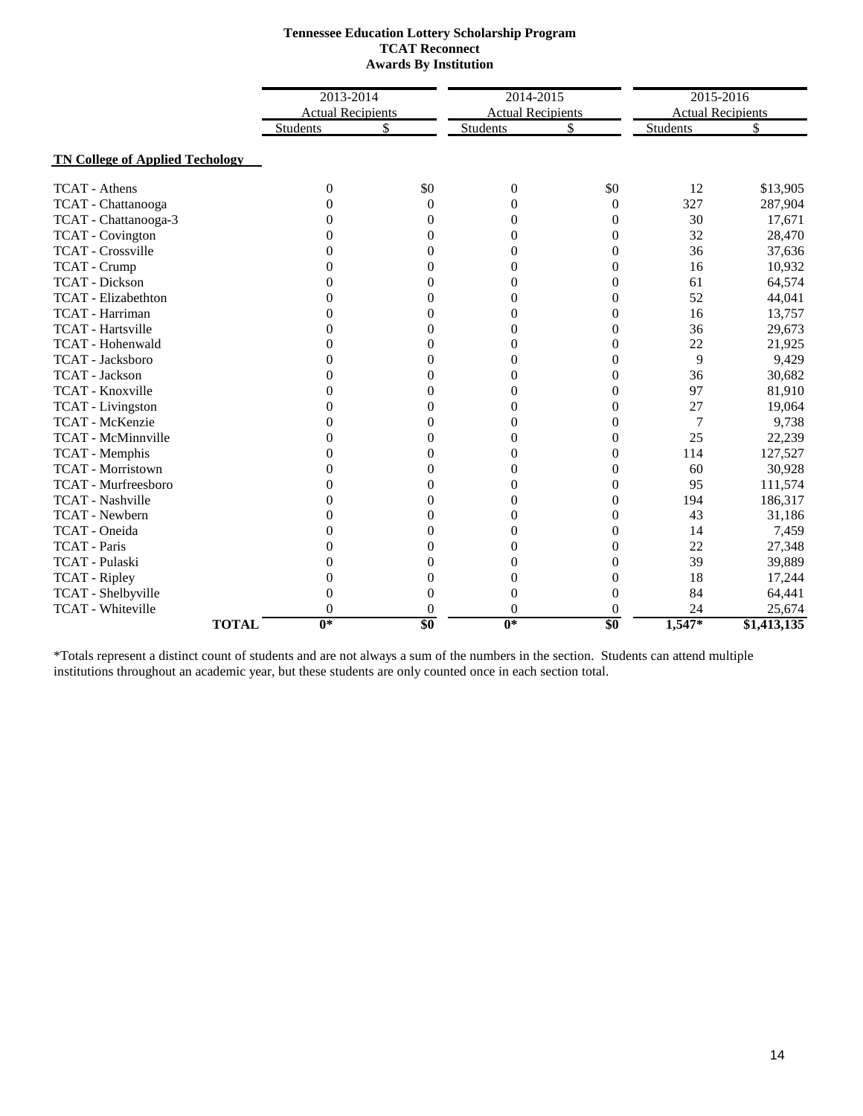#### **Tennessee Education Lottery Scholarship Program TCAT Reconnect Awards By Institution**

|                                        |                          | 2013-2014      |                          | 2014-2015        |                          | 2015-2016   |
|----------------------------------------|--------------------------|----------------|--------------------------|------------------|--------------------------|-------------|
|                                        | <b>Actual Recipients</b> |                | <b>Actual Recipients</b> |                  | <b>Actual Recipients</b> |             |
|                                        | Students                 | \$             | Students                 | \$               | Students                 | \$          |
| <b>TN College of Applied Techology</b> |                          |                |                          |                  |                          |             |
| <b>TCAT</b> - Athens                   | $\theta$                 | \$0            | $\boldsymbol{0}$         | \$0              | 12                       | \$13,905    |
| TCAT - Chattanooga                     | $\theta$                 | $\theta$       | $\overline{0}$           | $\theta$         | 327                      | 287,904     |
| TCAT - Chattanooga-3                   | $\theta$                 | $\overline{0}$ | $\overline{0}$           | $\boldsymbol{0}$ | 30                       | 17,671      |
| <b>TCAT</b> - Covington                | $\theta$                 | $\overline{0}$ | $\overline{0}$           | $\overline{0}$   | 32                       | 28,470      |
| <b>TCAT</b> - Crossville               | $\Omega$                 | $\Omega$       | $\Omega$                 | $\theta$         | 36                       | 37,636      |
| TCAT - Crump                           | $\Omega$                 | $\theta$       | $\Omega$                 | $\theta$         | 16                       | 10,932      |
| <b>TCAT</b> - Dickson                  | $\Omega$                 | $\theta$       | $\theta$                 | $\theta$         | 61                       | 64,574      |
| <b>TCAT</b> - Elizabethton             | $\theta$                 | $\overline{0}$ | $\overline{0}$           | $\overline{0}$   | 52                       | 44,041      |
| TCAT - Harriman                        | $\Omega$                 | $\theta$       | $\theta$                 | $\theta$         | 16                       | 13,757      |
| <b>TCAT</b> - Hartsville               | 0                        | $\theta$       | $\theta$                 | $\overline{0}$   | 36                       | 29,673      |
| TCAT - Hohenwald                       | $\Omega$                 | $\theta$       | $\theta$                 | $\overline{0}$   | 22                       | 21,925      |
| <b>TCAT</b> - Jacksboro                | $\theta$                 | $\overline{0}$ | $\overline{0}$           | $\overline{0}$   | 9                        | 9,429       |
| <b>TCAT</b> - Jackson                  | $\theta$                 | $\theta$       | $\theta$                 | $\overline{0}$   | 36                       | 30,682      |
| <b>TCAT</b> - Knoxville                | $\Omega$                 | 0              | $\Omega$                 | $\theta$         | 97                       | 81,910      |
| <b>TCAT</b> - Livingston               | $\Omega$                 | $\Omega$       | $\Omega$                 | $\theta$         | 27                       | 19,064      |
| TCAT - McKenzie                        | $\Omega$                 | $\theta$       | $\theta$                 | $\theta$         | 7                        | 9,738       |
| <b>TCAT - McMinnville</b>              | $\theta$                 | $\theta$       | $\theta$                 | $\theta$         | 25                       | 22,239      |
| TCAT - Memphis                         | $\Omega$                 | $\theta$       | $\theta$                 | $\theta$         | 114                      | 127,527     |
| <b>TCAT</b> - Morristown               | $\Omega$                 | $\theta$       | $\theta$                 | $\overline{0}$   | 60                       | 30,928      |
| <b>TCAT</b> - Murfreesboro             | 0                        | $\theta$       | $\theta$                 | $\overline{0}$   | 95                       | 111,574     |
| <b>TCAT</b> - Nashville                | $\theta$                 | $\theta$       | $\theta$                 | $\overline{0}$   | 194                      | 186,317     |
| <b>TCAT</b> - Newbern                  | $\Omega$                 | $\theta$       | $\theta$                 | $\theta$         | 43                       | 31,186      |
| TCAT - Oneida                          | $\theta$                 | $\theta$       | $\theta$                 | $\overline{0}$   | 14                       | 7,459       |
| <b>TCAT</b> - Paris                    | $\Omega$                 | $\theta$       | $\theta$                 | $\theta$         | 22                       | 27,348      |
| TCAT - Pulaski                         | $\Omega$                 | $\theta$       | $\theta$                 | $\theta$         | 39                       | 39,889      |
| <b>TCAT</b> - Ripley                   | $\Omega$                 | $\theta$       | $\theta$                 | $\theta$         | 18                       | 17,244      |
| TCAT - Shelbyville                     | $\theta$                 | $\theta$       | $\overline{0}$           | $\overline{0}$   | 84                       | 64,441      |
| <b>TCAT</b> - Whiteville               | $\overline{0}$           | $\theta$       | $\overline{0}$           | $\overline{0}$   | 24                       | 25,674      |
| <b>TOTAL</b>                           | $0*$                     | \$0            | $0*$                     | \$0              | $1,547*$                 | \$1,413,135 |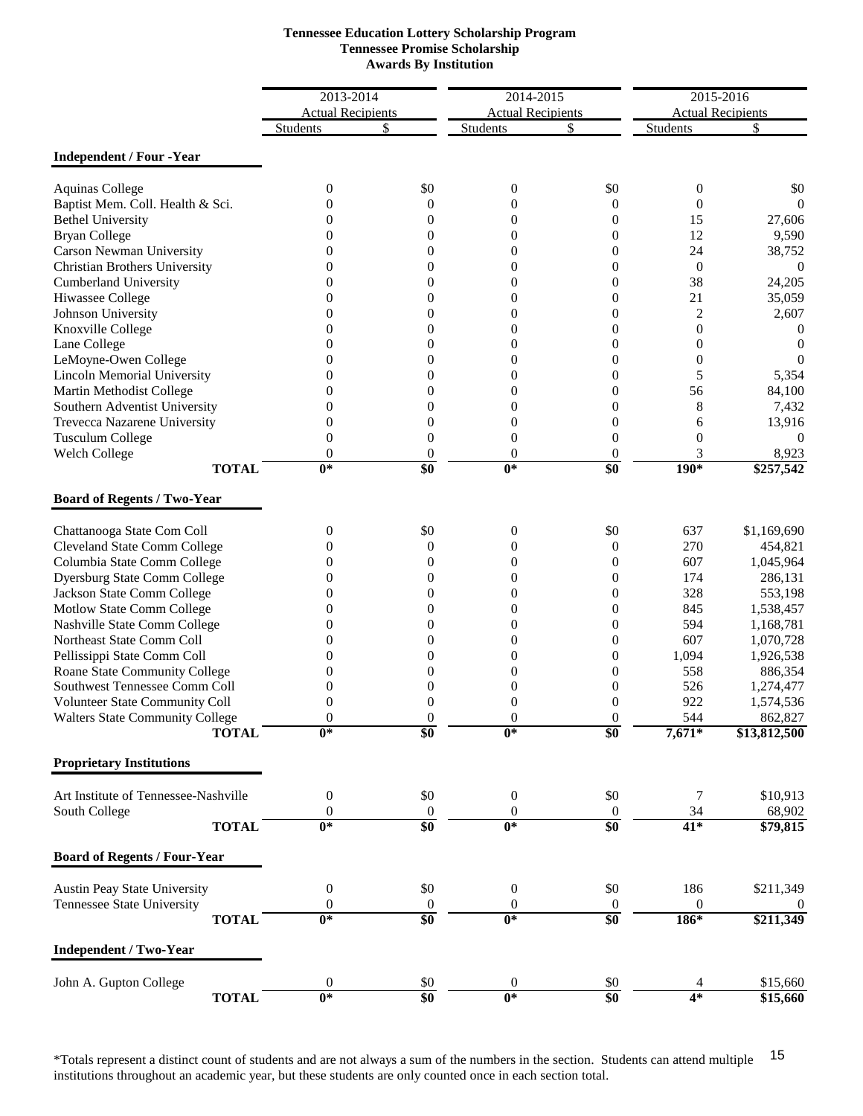| <b>Tennessee Education Lottery Scholarship Program</b> |
|--------------------------------------------------------|
| <b>Tennessee Promise Scholarship</b>                   |
| <b>Awards By Institution</b>                           |

|                                        | 2013-2014                 |                  | 2014-2015                            |                  | 2015-2016                |                  |
|----------------------------------------|---------------------------|------------------|--------------------------------------|------------------|--------------------------|------------------|
|                                        | <b>Actual Recipients</b>  |                  |                                      |                  | <b>Actual Recipients</b> |                  |
|                                        | <b>Students</b>           | \$               | <b>Actual Recipients</b><br>Students | \$               | Students                 | \$               |
|                                        |                           |                  |                                      |                  |                          |                  |
| <b>Independent / Four -Year</b>        |                           |                  |                                      |                  |                          |                  |
| <b>Aquinas College</b>                 | 0                         | \$0              | $\boldsymbol{0}$                     | \$0              | 0                        | \$0              |
| Baptist Mem. Coll. Health & Sci.       | 0                         | $\theta$         | $\Omega$                             | $\theta$         | $\overline{0}$           | $\theta$         |
| <b>Bethel University</b>               | 0                         | $\Omega$         | $\theta$                             | $\overline{0}$   | 15                       | 27,606           |
| <b>Bryan College</b>                   | 0                         | $\theta$         | $\boldsymbol{0}$                     | $\boldsymbol{0}$ | 12                       | 9,590            |
| <b>Carson Newman University</b>        | 0                         | 0                | $\boldsymbol{0}$                     | $\boldsymbol{0}$ | 24                       | 38,752           |
| <b>Christian Brothers University</b>   | 0                         | 0                | $\overline{0}$                       | $\overline{0}$   | $\overline{0}$           | $\boldsymbol{0}$ |
| <b>Cumberland University</b>           | 0                         | 0                | $\theta$                             | $\theta$         | 38                       | 24,205           |
| Hiwassee College                       | 0                         | 0                | $\theta$                             | $\theta$         | 21                       | 35,059           |
| Johnson University                     | 0                         | $\Omega$         | $\Omega$                             | $\theta$         | 2                        | 2,607            |
| Knoxville College                      | 0                         | $\Omega$         | $\theta$                             | $\theta$         | $\boldsymbol{0}$         | $\theta$         |
| Lane College                           | 0                         | 0                | $\boldsymbol{0}$                     | $\theta$         | $\boldsymbol{0}$         | $\Omega$         |
| LeMoyne-Owen College                   | 0                         | 0                | $\theta$                             | $\theta$         | $\boldsymbol{0}$         | $\Omega$         |
| <b>Lincoln Memorial University</b>     | 0                         | 0                | 0                                    | $\overline{0}$   | 5                        | 5,354            |
| Martin Methodist College               | 0                         | 0                | $\Omega$                             | $\theta$         | 56                       | 84,100           |
| Southern Adventist University          | 0                         | 0                | $\Omega$                             | $\theta$         | 8                        | 7,432            |
| Trevecca Nazarene University           | 0                         | $\overline{0}$   | $\theta$                             | $\theta$         | 6                        | 13,916           |
| <b>Tusculum College</b>                | 0                         | $\overline{0}$   | $\boldsymbol{0}$                     | $\boldsymbol{0}$ | $\boldsymbol{0}$         | $\overline{0}$   |
| <b>Welch College</b>                   | $\theta$                  | $\theta$         | $\theta$                             | $\overline{0}$   | 3                        | 8,923            |
| <b>TOTAL</b>                           | $\overline{0^*}$          | \$0              | $\overline{0^*}$                     | \$0              | $190*$                   | \$257,542        |
| <b>Board of Regents / Two-Year</b>     |                           |                  |                                      |                  |                          |                  |
|                                        |                           |                  |                                      |                  |                          |                  |
| Chattanooga State Com Coll             | 0                         | \$0              | $\boldsymbol{0}$                     | \$0              | 637<br>270               | \$1,169,690      |
| Cleveland State Comm College           | 0                         | $\theta$<br>0    | $\boldsymbol{0}$                     | $\boldsymbol{0}$ | 607                      | 454,821          |
| Columbia State Comm College            | 0                         |                  | $\theta$                             | $\theta$         |                          | 1,045,964        |
| <b>Dyersburg State Comm College</b>    | 0                         | 0                | $\theta$                             | $\boldsymbol{0}$ | 174                      | 286,131          |
| Jackson State Comm College             | 0                         | 0                | $\overline{0}$                       | $\theta$         | 328                      | 553,198          |
| Motlow State Comm College              | 0                         | $\Omega$         | $\theta$                             | $\theta$         | 845                      | 1,538,457        |
| Nashville State Comm College           | 0                         | $\theta$         | $\boldsymbol{0}$                     | $\boldsymbol{0}$ | 594                      | 1,168,781        |
| Northeast State Comm Coll              | 0                         | 0                | $\boldsymbol{0}$                     | $\boldsymbol{0}$ | 607                      | 1,070,728        |
| Pellissippi State Comm Coll            | 0                         | 0                | $\overline{0}$                       | $\boldsymbol{0}$ | 1,094                    | 1,926,538        |
| Roane State Community College          | 0                         | 0                | $\theta$                             | $\theta$         | 558                      | 886,354          |
| Southwest Tennessee Comm Coll          | 0                         | 0                | $\overline{0}$                       | $\overline{0}$   | 526                      | 1,274,477        |
| Volunteer State Community Coll         | 0                         | $\theta$         | $\Omega$                             | $\theta$         | 922                      | 1,574,536        |
| <b>Walters State Community College</b> | $\theta$                  | $\boldsymbol{0}$ | $\theta$                             | $\theta$         | 544                      | 862,827          |
| <b>TOTAL</b>                           | $\overline{0^*}$          | \$0              | $\overline{0^*}$                     | \$0              | $7,671*$                 | \$13,812,500     |
| <b>Proprietary Institutions</b>        |                           |                  |                                      |                  |                          |                  |
| Art Institute of Tennessee-Nashville   | $\boldsymbol{0}$          | \$0              | $\mathbf{0}$                         | \$0              | 7                        | \$10,913         |
| South College                          | $\boldsymbol{0}$          | $\boldsymbol{0}$ | $\boldsymbol{0}$                     | $\boldsymbol{0}$ | 34                       | 68,902           |
| <b>TOTAL</b>                           | $\overline{\mathbf{0}^*}$ | \$0              | $\overline{0^*}$                     | $\overline{\$0}$ | $41*$                    | \$79,815         |
| <b>Board of Regents / Four-Year</b>    |                           |                  |                                      |                  |                          |                  |
| <b>Austin Peay State University</b>    | $\boldsymbol{0}$          | \$0              | $\mathbf{0}$                         | \$0              | 186                      | \$211,349        |
| Tennessee State University             | $\theta$                  | $\boldsymbol{0}$ | $\boldsymbol{0}$                     | $\boldsymbol{0}$ | $\boldsymbol{0}$         | 0                |
| <b>TOTAL</b>                           | $\overline{\mathbf{0}^*}$ | \$0              | $\overline{\mathbf{0}^*}$            | \$0              | 186*                     | \$211,349        |
| <b>Independent / Two-Year</b>          |                           |                  |                                      |                  |                          |                  |
| John A. Gupton College                 | $\boldsymbol{0}$          | \$0              | $\mathbf{0}$                         | \$0              | 4                        | \$15,660         |
| <b>TOTAL</b>                           | $\overline{0^*}$          | \$0              | $\overline{0^*}$                     | \$0              | $4*$                     | \$15,660         |
|                                        |                           |                  |                                      |                  |                          |                  |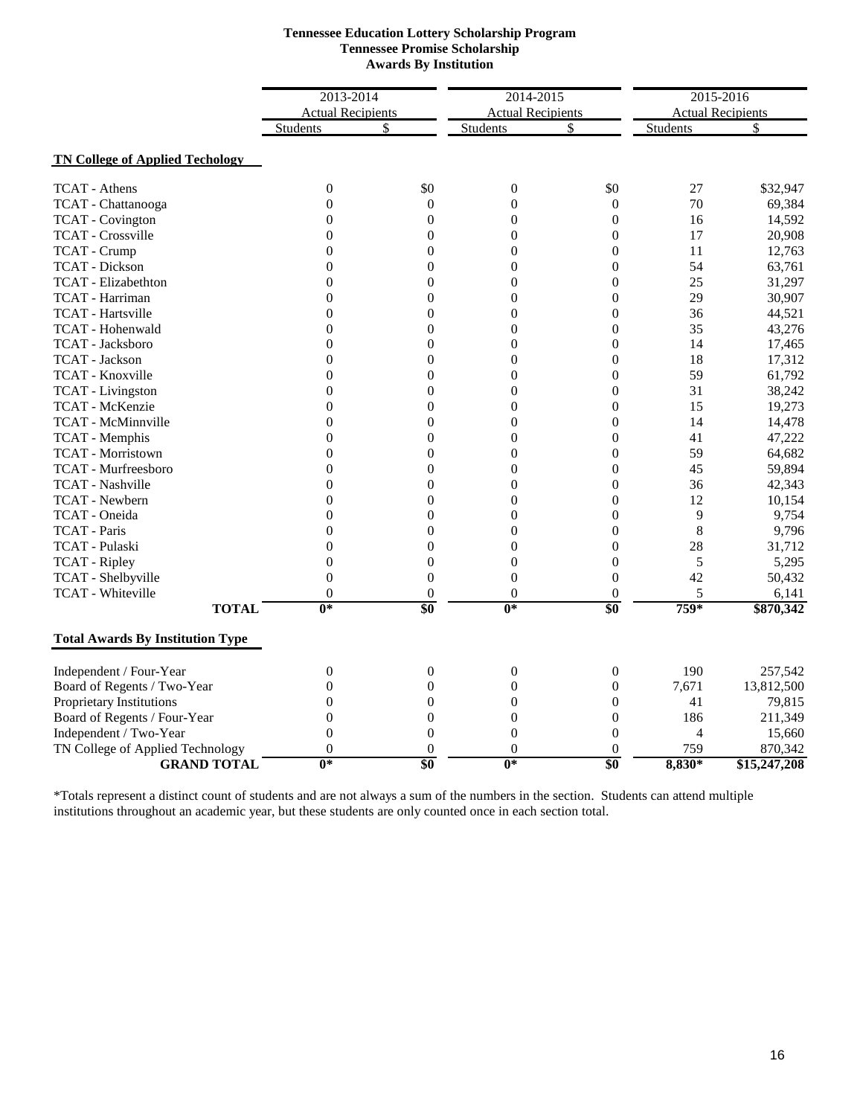| <b>Tennessee Education Lottery Scholarship Program</b> |
|--------------------------------------------------------|
| <b>Tennessee Promise Scholarship</b>                   |
| <b>Awards By Institution</b>                           |

|                                         | 2013-2014                 |                  | 2014-2015        |                          | 2015-2016       |                          |  |
|-----------------------------------------|---------------------------|------------------|------------------|--------------------------|-----------------|--------------------------|--|
|                                         | <b>Actual Recipients</b>  |                  |                  | <b>Actual Recipients</b> |                 | <b>Actual Recipients</b> |  |
|                                         | <b>Students</b>           | \$               | <b>Students</b>  | \$                       | <b>Students</b> |                          |  |
| <b>TN College of Applied Techology</b>  |                           |                  |                  |                          |                 |                          |  |
| <b>TCAT</b> - Athens                    | $\theta$                  | \$0              | $\boldsymbol{0}$ | \$0                      | 27              | \$32,947                 |  |
| TCAT - Chattanooga                      | $\overline{0}$            | $\overline{0}$   | $\mathbf{0}$     | $\overline{0}$           | 70              | 69,384                   |  |
| <b>TCAT</b> - Covington                 | $\theta$                  | $\overline{0}$   | $\boldsymbol{0}$ | $\overline{0}$           | 16              | 14,592                   |  |
| TCAT - Crossville                       | $\overline{0}$            | $\boldsymbol{0}$ | $\boldsymbol{0}$ | $\boldsymbol{0}$         | 17              | 20,908                   |  |
| <b>TCAT</b> - Crump                     | $\overline{0}$            | $\overline{0}$   | $\overline{0}$   | $\overline{0}$           | 11              | 12,763                   |  |
| <b>TCAT</b> - Dickson                   | $\boldsymbol{0}$          | $\boldsymbol{0}$ | $\boldsymbol{0}$ | $\boldsymbol{0}$         | 54              | 63,761                   |  |
| <b>TCAT</b> - Elizabethton              | $\overline{0}$            | $\overline{0}$   | $\overline{0}$   | $\overline{0}$           | 25              | 31,297                   |  |
| TCAT - Harriman                         | $\theta$                  | $\boldsymbol{0}$ | $\boldsymbol{0}$ | $\boldsymbol{0}$         | 29              | 30,907                   |  |
| TCAT - Hartsville                       | $\overline{0}$            | $\boldsymbol{0}$ | $\boldsymbol{0}$ | $\boldsymbol{0}$         | 36              | 44,521                   |  |
| TCAT - Hohenwald                        | $\overline{0}$            | $\overline{0}$   | $\overline{0}$   | $\overline{0}$           | 35              | 43,276                   |  |
| TCAT - Jacksboro                        | $\mathbf{0}$              | $\overline{0}$   | $\overline{0}$   | $\boldsymbol{0}$         | 14              | 17,465                   |  |
| <b>TCAT</b> - Jackson                   | $\overline{0}$            | $\overline{0}$   | $\overline{0}$   | $\overline{0}$           | 18              | 17,312                   |  |
| TCAT - Knoxville                        | $\boldsymbol{0}$          | $\boldsymbol{0}$ | $\boldsymbol{0}$ | $\boldsymbol{0}$         | 59              | 61,792                   |  |
| <b>TCAT</b> - Livingston                | $\overline{0}$            | $\overline{0}$   | $\boldsymbol{0}$ | $\overline{0}$           | 31              | 38,242                   |  |
| TCAT - McKenzie                         | $\overline{0}$            | $\overline{0}$   | $\overline{0}$   | $\overline{0}$           | 15              | 19,273                   |  |
| <b>TCAT</b> - McMinnville               | $\boldsymbol{0}$          | $\mathbf{0}$     | $\overline{0}$   | $\boldsymbol{0}$         | 14              | 14,478                   |  |
| TCAT - Memphis                          | $\boldsymbol{0}$          | $\boldsymbol{0}$ | $\boldsymbol{0}$ | $\boldsymbol{0}$         | 41              | 47,222                   |  |
| <b>TCAT</b> - Morristown                | $\theta$                  | $\overline{0}$   | $\overline{0}$   | $\boldsymbol{0}$         | 59              | 64,682                   |  |
| <b>TCAT</b> - Murfreesboro              | $\boldsymbol{0}$          | $\boldsymbol{0}$ | $\boldsymbol{0}$ | $\boldsymbol{0}$         | 45              | 59,894                   |  |
| <b>TCAT</b> - Nashville                 | $\overline{0}$            | $\overline{0}$   | $\overline{0}$   | $\overline{0}$           | 36              | 42,343                   |  |
| <b>TCAT</b> - Newbern                   | $\overline{0}$            | $\overline{0}$   | $\overline{0}$   | $\overline{0}$           | 12              | 10,154                   |  |
| TCAT - Oneida                           | $\overline{0}$            | $\boldsymbol{0}$ | $\boldsymbol{0}$ | $\boldsymbol{0}$         | 9               | 9,754                    |  |
| <b>TCAT</b> - Paris                     | $\overline{0}$            | $\overline{0}$   | $\overline{0}$   | $\overline{0}$           | 8               | 9,796                    |  |
| TCAT - Pulaski                          | $\overline{0}$            | $\overline{0}$   | $\boldsymbol{0}$ | $\overline{0}$           | 28              | 31,712                   |  |
| <b>TCAT</b> - Ripley                    | $\overline{0}$            | $\boldsymbol{0}$ | $\boldsymbol{0}$ | $\boldsymbol{0}$         | 5               | 5,295                    |  |
| TCAT - Shelbyville                      | $\boldsymbol{0}$          | $\boldsymbol{0}$ | $\boldsymbol{0}$ | $\overline{0}$           | 42              | 50,432                   |  |
| <b>TCAT</b> - Whiteville                | $\theta$                  | $\overline{0}$   | $\overline{0}$   | $\theta$                 | 5               | 6,141                    |  |
| <b>TOTAL</b>                            | $\overline{\mathbf{0}}^*$ | $\overline{\$0}$ | $0*$             | $\overline{\$0}$         | 759*            | \$870,342                |  |
| <b>Total Awards By Institution Type</b> |                           |                  |                  |                          |                 |                          |  |
| Independent / Four-Year                 | $\boldsymbol{0}$          | $\boldsymbol{0}$ | $\boldsymbol{0}$ | $\boldsymbol{0}$         | 190             | 257,542                  |  |
| Board of Regents / Two-Year             | $\overline{0}$            | $\boldsymbol{0}$ | $\boldsymbol{0}$ | $\boldsymbol{0}$         | 7,671           | 13,812,500               |  |
| Proprietary Institutions                | $\theta$                  | $\theta$         | $\mathbf{0}$     | $\theta$                 | 41              | 79,815                   |  |
| Board of Regents / Four-Year            | $\overline{0}$            | $\boldsymbol{0}$ | $\boldsymbol{0}$ | $\boldsymbol{0}$         | 186             | 211,349                  |  |
| Independent / Two-Year                  | $\overline{0}$            | $\overline{0}$   | $\overline{0}$   | $\overline{0}$           | 4               | 15,660                   |  |
| TN College of Applied Technology        | $\overline{0}$            | $\overline{0}$   | $\overline{0}$   | $\theta$                 | 759             | 870,342                  |  |
| <b>GRAND TOTAL</b>                      | $0*$                      | \$0              | $0*$             | \$0                      | 8,830*          | \$15,247,208             |  |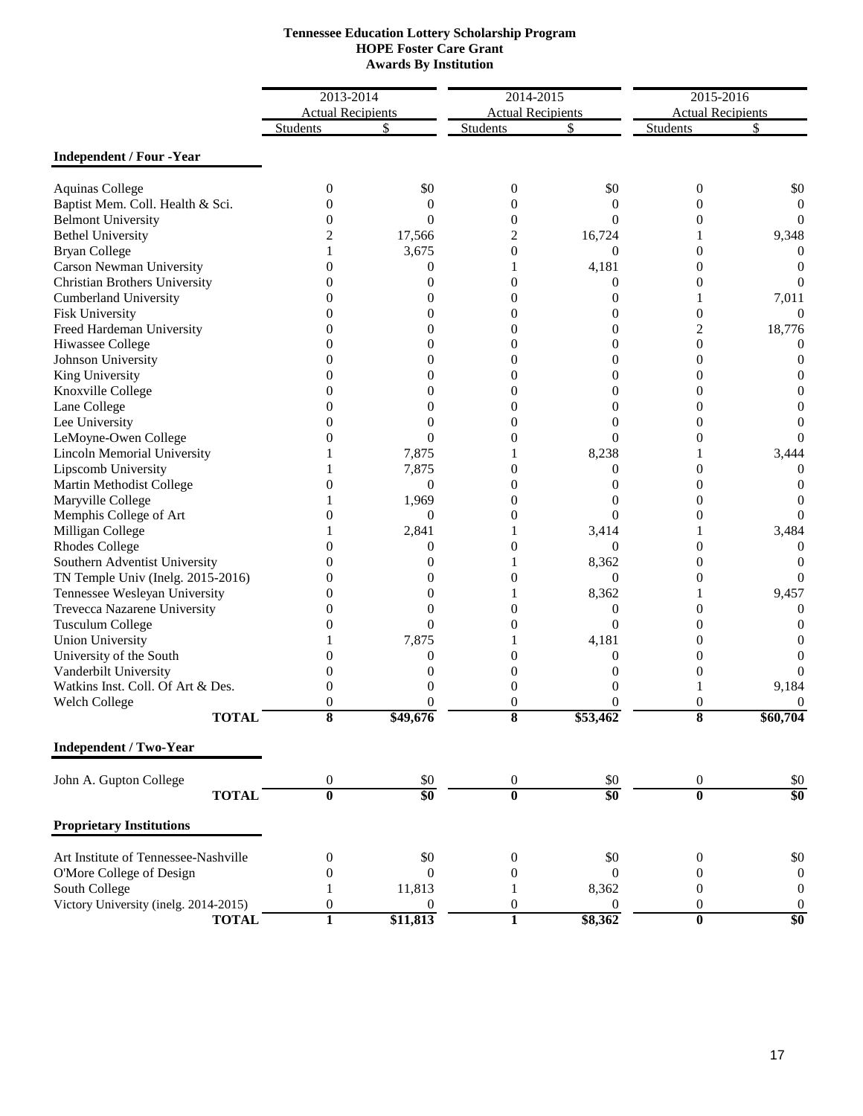| <b>Tennessee Education Lottery Scholarship Program</b> |
|--------------------------------------------------------|
| <b>HOPE Foster Care Grant</b>                          |
| <b>Awards By Institution</b>                           |

|                                       | 2013-2014                |                  | 2014-2015                |                | 2015-2016                |                  |
|---------------------------------------|--------------------------|------------------|--------------------------|----------------|--------------------------|------------------|
|                                       | <b>Actual Recipients</b> |                  | <b>Actual Recipients</b> |                | <b>Actual Recipients</b> |                  |
|                                       | <b>Students</b>          |                  | Students                 | S              | <b>Students</b>          |                  |
| <b>Independent / Four -Year</b>       |                          |                  |                          |                |                          |                  |
| <b>Aquinas College</b>                | $\theta$                 | \$0              | $\mathbf{0}$             | \$0            | 0                        | \$0              |
| Baptist Mem. Coll. Health & Sci.      | 0                        | $\Omega$         | $\Omega$                 | $\Omega$       | 0                        | 0                |
| <b>Belmont University</b>             | $^{(1)}$                 | $\Omega$         | $\overline{0}$           | $\Omega$       | 0                        |                  |
| <b>Bethel University</b>              | 2                        | 17,566           | 2                        | 16,724         |                          | 9,348            |
| <b>Bryan College</b>                  |                          | 3,675            | $\overline{0}$           | $\overline{0}$ | 0                        | $\left( \right)$ |
| Carson Newman University              | 0                        | $\overline{0}$   |                          | 4,181          | $\overline{0}$           | $\theta$         |
| Christian Brothers University         | 0                        | $\Omega$         | $\theta$                 | $\Omega$       | 0                        |                  |
| <b>Cumberland University</b>          | $\theta$                 | $\theta$         | 0                        | 0              |                          | 7,011            |
| Fisk University                       | $\theta$                 | $\theta$         | $\overline{0}$           | $\theta$       | 0                        | $\mathbf{0}$     |
| Freed Hardeman University             | 0                        | $\theta$         | $\boldsymbol{0}$         | 0              | 2                        | 18,776           |
| Hiwassee College                      |                          | 0                | $\boldsymbol{0}$         | 0              | 0                        | $\theta$         |
| Johnson University                    | 0                        | 0                | $\boldsymbol{0}$         | 0              | 0                        |                  |
| King University                       | 0                        | 0                | $\boldsymbol{0}$         | $\theta$       | 0                        |                  |
| Knoxville College                     | 0                        | 0                | $\boldsymbol{0}$         | 0              | 0                        |                  |
| Lane College                          | 0                        | 0                | $\Omega$                 | $\theta$       | 0                        |                  |
| Lee University                        | 0                        | 0                | $\overline{0}$           | 0              | $\overline{0}$           |                  |
| LeMoyne-Owen College                  | 0                        | $\Omega$         | $\boldsymbol{0}$         | 0              | 0                        |                  |
| <b>Lincoln Memorial University</b>    |                          | 7,875            |                          | 8,238          |                          | 3,444            |
| Lipscomb University                   |                          | 7,875            | $\theta$                 | $\theta$       | 0                        | $\left( \right)$ |
| Martin Methodist College              | $\theta$                 | $\overline{0}$   | $\theta$                 | 0              | 0                        | $\theta$         |
| Maryville College                     |                          | 1,969            | 0                        | $\mathbf{0}$   | 0                        |                  |
| Memphis College of Art                | 0                        | $\overline{0}$   | $\theta$                 | 0              | 0                        |                  |
| Milligan College                      |                          | 2,841            |                          | 3,414          |                          | 3,484            |
| <b>Rhodes College</b>                 | 0                        | $\Omega$         | 0                        | $\Omega$       | 0                        | $\theta$         |
| Southern Adventist University         | 0                        | $\theta$         |                          | 8,362          | 0                        |                  |
| TN Temple Univ (Inelg. 2015-2016)     | $\theta$                 | 0                | 0                        | $\mathbf{0}$   | 0                        | $\theta$         |
| Tennessee Wesleyan University         | $\theta$                 | 0                |                          | 8,362          | 1                        | 9,457            |
| Trevecca Nazarene University          | $\theta$                 | 0                | $\boldsymbol{0}$         | 0              | 0                        | 0                |
| <b>Tusculum College</b>               | 0                        | $\theta$         | $\boldsymbol{0}$         | $\theta$       | $\overline{0}$           |                  |
| <b>Union University</b>               |                          | 7,875            |                          | 4,181          | $\theta$                 |                  |
| University of the South               | 0                        | $\overline{0}$   | 0                        | $\theta$       | $\theta$                 |                  |
| Vanderbilt University                 |                          | $\Omega$         | 0                        | 0              | $\theta$                 | $\theta$         |
| Watkins Inst. Coll. Of Art & Des.     | 0                        | $\Omega$         | $\Omega$                 | 0              |                          | 9,184            |
| Welch College                         | 0                        | 0                | $\Omega$                 | $\Omega$       | 0                        | $\overline{0}$   |
| <b>TOTAL</b>                          | ð                        | \$49,676         | ŏ                        | \$53,462       | ŏ                        | \$60,704         |
| <b>Independent / Two-Year</b>         |                          |                  |                          |                |                          |                  |
| John A. Gupton College                | $\boldsymbol{0}$         | \$0              | $\boldsymbol{0}$         | \$0            | $\boldsymbol{0}$         | \$0              |
| <b>TOTAL</b>                          | $\bf{0}$                 | \$0              | $\overline{\mathbf{0}}$  | \$0            | $\overline{\mathbf{0}}$  | \$0              |
| <b>Proprietary Institutions</b>       |                          |                  |                          |                |                          |                  |
| Art Institute of Tennessee-Nashville  | $\boldsymbol{0}$         | \$0              | $\boldsymbol{0}$         | \$0            | $\boldsymbol{0}$         | \$0              |
| O'More College of Design              | $\mathbf{0}$             | $\theta$         | $\mathbf{0}$             | $\overline{0}$ | $\boldsymbol{0}$         | $\boldsymbol{0}$ |
| South College                         | 1                        | 11,813           | 1                        | 8,362          | $\mathbf{0}$             | $\boldsymbol{0}$ |
| Victory University (inelg. 2014-2015) | $\boldsymbol{0}$         | $\boldsymbol{0}$ | $\boldsymbol{0}$         | 0              | $\boldsymbol{0}$         | $\boldsymbol{0}$ |
| <b>TOTAL</b>                          | 1                        | \$11,813         | $\mathbf{1}$             | \$8,362        | $\overline{\mathbf{0}}$  | \$0              |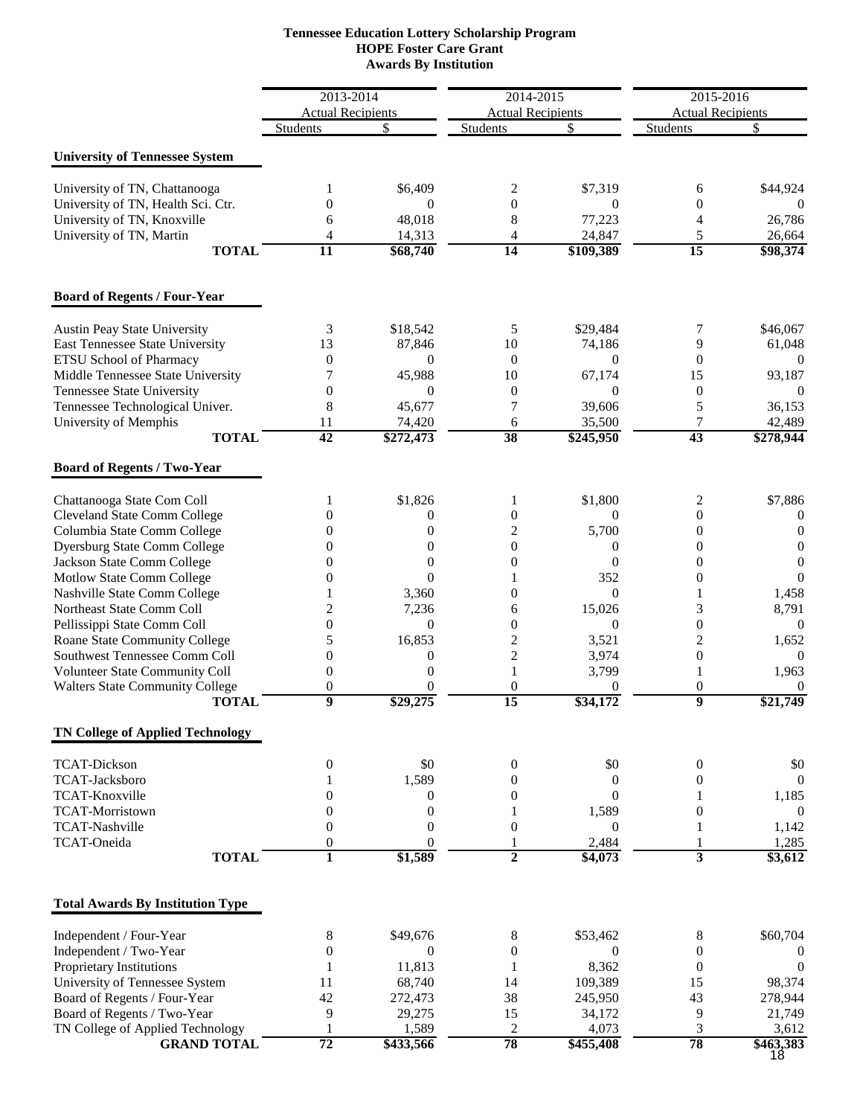### **HOPE Foster Care Grant Awards By Institution Tennessee Education Lottery Scholarship Program**

|                                                                   | 2013-2014                        |                                  | 2014-2015                          |                             | 2015-2016                          |                            |
|-------------------------------------------------------------------|----------------------------------|----------------------------------|------------------------------------|-----------------------------|------------------------------------|----------------------------|
|                                                                   | <b>Actual Recipients</b>         |                                  | <b>Actual Recipients</b>           |                             | <b>Actual Recipients</b>           |                            |
|                                                                   | Students                         | \$                               | <b>Students</b>                    | \$                          | Students                           | \$                         |
| <b>University of Tennessee System</b>                             |                                  |                                  |                                    |                             |                                    |                            |
| University of TN, Chattanooga                                     | 1                                | \$6,409                          | 2                                  | \$7,319                     | 6                                  | \$44,924                   |
| University of TN, Health Sci. Ctr.                                | $\Omega$                         | $\theta$                         | $\mathbf{0}$                       | $\Omega$                    | $\overline{0}$                     | $\Omega$                   |
| University of TN, Knoxville<br>University of TN, Martin           | 6<br>4                           | 48,018<br>14,313                 | 8<br>4                             | 77,223<br>24,847            | 4<br>5                             | 26,786<br>26,664           |
| <b>TOTAL</b>                                                      | $\overline{11}$                  | \$68,740                         | $\overline{14}$                    | \$109,389                   | $\overline{15}$                    | \$98,374                   |
| <b>Board of Regents / Four-Year</b>                               |                                  |                                  |                                    |                             |                                    |                            |
| <b>Austin Peay State University</b>                               | 3                                | \$18,542                         | 5                                  | \$29,484                    | 7                                  | \$46,067                   |
| East Tennessee State University                                   | 13                               | 87,846                           | 10                                 | 74,186                      | 9                                  | 61,048                     |
| ETSU School of Pharmacy                                           | $\mathbf{0}$                     | $\theta$                         | $\mathbf{0}$                       | $\Omega$                    | $\theta$                           | $\overline{0}$             |
| Middle Tennessee State University                                 | 7                                | 45,988                           | 10                                 | 67,174                      | 15                                 | 93,187                     |
| Tennessee State University                                        | $\overline{0}$                   | $\Omega$                         | $\boldsymbol{0}$                   | $\Omega$                    | $\boldsymbol{0}$                   | $\Omega$                   |
| Tennessee Technological Univer.                                   | 8                                | 45,677                           | 7                                  | 39,606                      | 5                                  | 36,153                     |
| University of Memphis<br><b>TOTAL</b>                             | 11<br>42                         | 74,420<br>\$272,473              | 6<br>38                            | 35,500<br>$\sqrt{$245,950}$ | 7<br>43                            | 42,489<br>\$278,944        |
| <b>Board of Regents / Two-Year</b>                                |                                  |                                  |                                    |                             |                                    |                            |
| Chattanooga State Com Coll                                        | 1                                | \$1,826                          | 1                                  | \$1,800                     | 2                                  | \$7,886                    |
| Cleveland State Comm College                                      | 0                                | 0                                | $\boldsymbol{0}$                   | $\Omega$                    | $\overline{0}$                     | $\mathbf{0}$               |
| Columbia State Comm College                                       | 0                                | $\overline{0}$                   | $\overline{c}$                     | 5,700                       | $\boldsymbol{0}$                   | $\theta$                   |
| <b>Dyersburg State Comm College</b><br>Jackson State Comm College | 0<br>0                           | $\overline{0}$<br>$\overline{0}$ | $\boldsymbol{0}$<br>$\overline{0}$ | $\theta$<br>$\theta$        | $\boldsymbol{0}$<br>$\overline{0}$ | $\overline{0}$<br>$\theta$ |
| Motlow State Comm College                                         | 0                                | $\theta$                         |                                    | 352                         | $\overline{0}$                     | $\theta$                   |
| Nashville State Comm College                                      |                                  | 3,360                            | $\mathbf{0}$                       | $\Omega$                    | 1                                  | 1,458                      |
| Northeast State Comm Coll                                         | 2                                | 7,236                            | 6                                  | 15,026                      | 3                                  | 8,791                      |
| Pellissippi State Comm Coll                                       | $\overline{0}$                   | $\theta$                         | $\boldsymbol{0}$                   | $\theta$                    | $\boldsymbol{0}$                   | $\overline{0}$             |
| Roane State Community College                                     | 5                                | 16,853                           | $\overline{\mathbf{c}}$            | 3,521                       | $\overline{c}$                     | 1,652                      |
| <b>Southwest Tennessee Comm Coll</b>                              | 0                                | $\theta$                         | $\overline{c}$                     | 3,974                       | $\boldsymbol{0}$                   | $\overline{0}$             |
| Volunteer State Community Coll                                    | $\theta$                         | $\theta$                         | 1                                  | 3,799                       | 1                                  | 1,963                      |
| <b>Walters State Community College</b><br><b>TOTAL</b>            | $\overline{0}$<br>$\overline{9}$ | 0<br>\$29,275                    | $\overline{0}$<br>$\overline{15}$  | $\theta$<br>\$34,172        | $\boldsymbol{0}$<br>$\overline{9}$ | 0<br>\$21,749              |
| <b>TN College of Applied Technology</b>                           |                                  |                                  |                                    |                             |                                    |                            |
| <b>TCAT-Dickson</b>                                               | 0                                | \$0                              | $\boldsymbol{0}$                   | \$0                         | $\boldsymbol{0}$                   | \$0                        |
| TCAT-Jacksboro                                                    |                                  | 1,589                            | $\theta$                           | $\theta$                    | $\boldsymbol{0}$                   | $\mathbf{0}$               |
| <b>TCAT-Knoxville</b>                                             | $\Omega$                         | $\overline{0}$                   | $\mathbf{0}$                       | $\Omega$                    | 1                                  | 1,185                      |
| TCAT-Morristown                                                   | $\overline{0}$                   | $\boldsymbol{0}$                 | 1                                  | 1,589                       | 0                                  | $\Omega$                   |
| <b>TCAT-Nashville</b>                                             | $\overline{0}$                   | $\overline{0}$                   | $\mathbf{0}$                       | $\Omega$                    | 1                                  | 1,142                      |
| TCAT-Oneida<br><b>TOTAL</b>                                       | 0<br>$\mathbf{1}$                | $\Omega$<br>\$1,589              | 1<br>$\mathbf{2}$                  | 2,484<br>\$4,073            | 1<br>3                             | 1,285<br>\$3,612           |
|                                                                   |                                  |                                  |                                    |                             |                                    |                            |
| <b>Total Awards By Institution Type</b>                           |                                  |                                  |                                    |                             |                                    |                            |
| Independent / Four-Year                                           | 8                                | \$49,676                         | 8                                  | \$53,462                    | 8                                  | \$60,704                   |
| Independent / Two-Year                                            | $\overline{0}$                   | $\theta$                         | $\boldsymbol{0}$                   | $\theta$                    | $\boldsymbol{0}$                   | $\theta$                   |
| Proprietary Institutions                                          | 11                               | 11,813<br>68,740                 | 1<br>14                            | 8,362<br>109,389            | $\boldsymbol{0}$<br>15             | $\overline{0}$<br>98,374   |
| University of Tennessee System<br>Board of Regents / Four-Year    | 42                               | 272,473                          | 38                                 | 245,950                     | 43                                 | 278,944                    |
| Board of Regents / Two-Year                                       | 9                                | 29,275                           | 15                                 | 34,172                      | 9                                  | 21,749                     |
| TN College of Applied Technology                                  | 1                                | 1,589                            | $\overline{c}$                     | 4,073                       | 3                                  | 3,612                      |
| <b>GRAND TOTAL</b>                                                | $\overline{72}$                  | \$433,566                        | 78                                 | \$455,408                   | 78                                 | \$463,383<br>18            |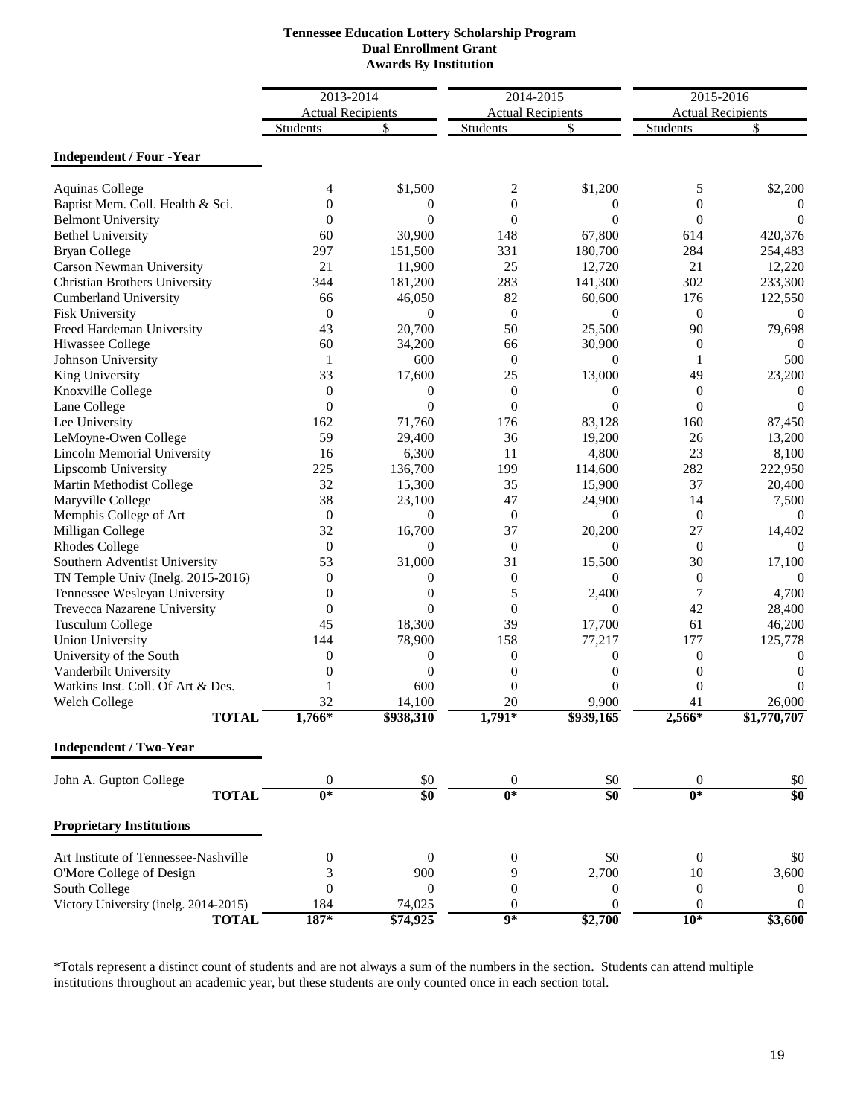| <b>Tennessee Education Lottery Scholarship Program</b> |
|--------------------------------------------------------|
| <b>Dual Enrollment Grant</b>                           |
| <b>Awards By Institution</b>                           |

|                                       | 2013-2014                |                  | 2014-2015                |                  | 2015-2016                |                  |
|---------------------------------------|--------------------------|------------------|--------------------------|------------------|--------------------------|------------------|
|                                       | <b>Actual Recipients</b> |                  | <b>Actual Recipients</b> |                  | <b>Actual Recipients</b> |                  |
|                                       | Students                 | S                | <b>Students</b>          | S                | <b>Students</b>          | S                |
| <b>Independent / Four -Year</b>       |                          |                  |                          |                  |                          |                  |
| <b>Aquinas College</b>                | 4                        | \$1,500          | 2                        | \$1,200          | 5                        | \$2,200          |
| Baptist Mem. Coll. Health & Sci.      | $\Omega$                 | 0                | $\theta$                 | 0                | $\overline{0}$           | $\theta$         |
| <b>Belmont University</b>             | $\Omega$                 | $\Omega$         | $\boldsymbol{0}$         | $\Omega$         | $\theta$                 | $\Omega$         |
| <b>Bethel University</b>              | 60                       | 30,900           | 148                      | 67,800           | 614                      | 420,376          |
| <b>Bryan College</b>                  | 297                      | 151,500          | 331                      | 180,700          | 284                      | 254,483          |
| Carson Newman University              | 21                       | 11,900           | 25                       | 12,720           | 21                       | 12,220           |
| Christian Brothers University         | 344                      | 181,200          | 283                      | 141,300          | 302                      | 233,300          |
| <b>Cumberland University</b>          | 66                       | 46,050           | 82                       | 60,600           | 176                      | 122,550          |
| <b>Fisk University</b>                | $\boldsymbol{0}$         | $\theta$         | $\mathbf{0}$             | $\theta$         | $\boldsymbol{0}$         | 0                |
| Freed Hardeman University             | 43                       | 20,700           | 50                       | 25,500           | 90                       | 79,698           |
| Hiwassee College                      | 60                       | 34,200           | 66                       | 30,900           | $\overline{0}$           | $\Omega$         |
| Johnson University                    | 1                        | 600              | $\theta$                 | $\theta$         | 1                        | 500              |
| King University                       | 33                       | 17,600           | 25                       | 13,000           | 49                       | 23,200           |
| Knoxville College                     | $\theta$                 | $\boldsymbol{0}$ | $\theta$                 | $\overline{0}$   | $\overline{0}$           | 0                |
| Lane College                          | $\theta$                 | $\overline{0}$   | $\theta$                 | $\theta$         | $\theta$                 | $\Omega$         |
| Lee University                        | 162                      | 71,760           | 176                      | 83,128           | 160                      | 87,450           |
| LeMoyne-Owen College                  | 59                       | 29,400           | 36                       | 19,200           | 26                       | 13,200           |
| Lincoln Memorial University           | 16                       | 6,300            | 11                       | 4,800            | 23                       | 8,100            |
| Lipscomb University                   | 225                      | 136,700          | 199                      | 114,600          | 282                      | 222,950          |
| Martin Methodist College              | 32                       | 15,300           | 35                       | 15,900           | 37                       | 20,400           |
| Maryville College                     | 38                       | 23,100           | 47                       | 24,900           | 14                       | 7,500            |
| Memphis College of Art                | $\boldsymbol{0}$         | $\theta$         | $\mathbf{0}$             | $\mathbf{0}$     | $\boldsymbol{0}$         | $\Omega$         |
| Milligan College                      | 32                       | 16,700           | 37                       | 20,200           | 27                       | 14,402           |
| <b>Rhodes College</b>                 | $\theta$                 | $\theta$         | $\theta$                 | $\Omega$         | $\overline{0}$           | 0                |
| Southern Adventist University         | 53                       | 31,000           | 31                       | 15,500           | 30                       | 17,100           |
| TN Temple Univ (Inelg. 2015-2016)     | $\theta$                 | 0                | $\boldsymbol{0}$         | $\overline{0}$   | $\boldsymbol{0}$         | 0                |
| Tennessee Wesleyan University         | $\theta$                 | $\theta$         | 5                        | 2,400            | 7                        | 4,700            |
| Trevecca Nazarene University          | $\overline{0}$           | $\theta$         | $\boldsymbol{0}$         | $\theta$         | 42                       | 28,400           |
| <b>Tusculum College</b>               | 45                       | 18,300           | 39                       | 17,700           | 61                       | 46,200           |
| <b>Union University</b>               | 144                      | 78,900           | 158                      | 77,217           | 177                      | 125,778          |
| University of the South               | $\boldsymbol{0}$         | $\boldsymbol{0}$ | $\boldsymbol{0}$         | $\theta$         | $\overline{0}$           | $\boldsymbol{0}$ |
| Vanderbilt University                 | $\overline{0}$           | $\boldsymbol{0}$ | $\theta$                 | $\overline{0}$   | $\mathbf{0}$             | 0                |
| Watkins Inst. Coll. Of Art & Des.     | 1                        | 600              | $\theta$                 | $\Omega$         | $\overline{0}$           | 0                |
| Welch College                         | 32                       | 14,100           | 20                       | 9,900            | 41                       | 26,000           |
| <b>TOTAL</b>                          | $1,766*$                 | \$938,310        | $1,791*$                 | \$939,165        | 2,566*                   | \$1,770,707      |
| <b>Independent / Two-Year</b>         |                          |                  |                          |                  |                          |                  |
| John A. Gupton College                | $\boldsymbol{0}$         | \$0              | $\boldsymbol{0}$         | \$0              | $\mathbf{0}$             | \$0              |
| <b>TOTAL</b>                          | $\overline{0^*}$         | $\overline{\$0}$ | $0*$                     | \$0              | $0*$                     | \$0              |
| <b>Proprietary Institutions</b>       |                          |                  |                          |                  |                          |                  |
| Art Institute of Tennessee-Nashville  | 0                        | $\boldsymbol{0}$ | $\mathbf{0}$             | \$0              | $\boldsymbol{0}$         | \$0              |
| O'More College of Design              | 3                        | 900              | 9                        | 2,700            | 10                       | 3,600            |
| South College                         | $\boldsymbol{0}$         | 0                | $\mathbf{0}$             | $\boldsymbol{0}$ | $\boldsymbol{0}$         | $\mathbf{0}$     |
| Victory University (inelg. 2014-2015) | 184                      | 74,025           | 0                        | $\boldsymbol{0}$ | $\mathbf{0}$             | $\theta$         |
| <b>TOTAL</b>                          | 187*                     | \$74,925         | $\overline{9*}$          | \$2,700          | $10*$                    | \$3,600          |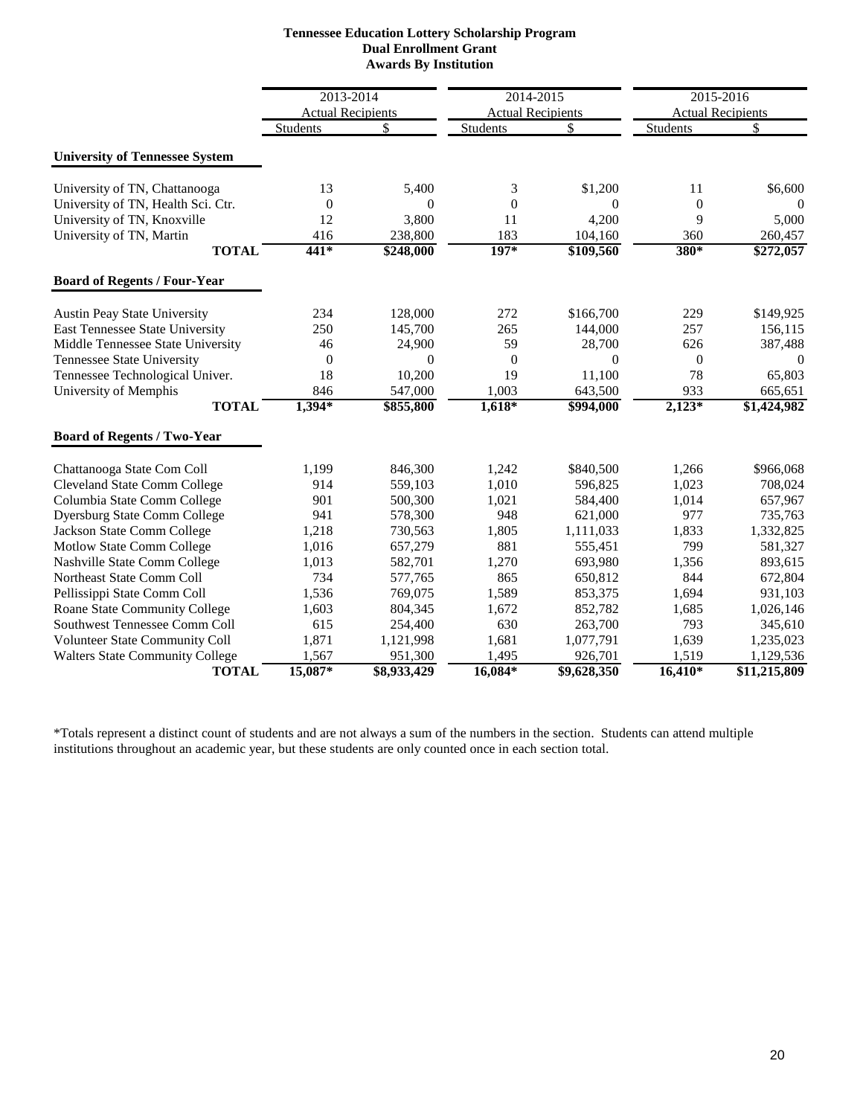|                                        | 2013-2014                |             | 2014-2015                |                   | 2015-2016        |                          |
|----------------------------------------|--------------------------|-------------|--------------------------|-------------------|------------------|--------------------------|
|                                        | <b>Actual Recipients</b> |             | <b>Actual Recipients</b> |                   |                  | <b>Actual Recipients</b> |
|                                        | <b>Students</b>          | \$          | <b>Students</b>          | \$                | Students         | \$                       |
| <b>University of Tennessee System</b>  |                          |             |                          |                   |                  |                          |
| University of TN, Chattanooga          | 13                       | 5,400       | 3                        | \$1,200           | 11               | \$6,600                  |
| University of TN, Health Sci. Ctr.     | $\overline{0}$           | $\Omega$    | $\overline{0}$           | 0                 | $\boldsymbol{0}$ | $\Omega$                 |
| University of TN, Knoxville            | 12                       | 3,800       | 11                       | 4,200             | 9                | 5,000                    |
| University of TN, Martin               | 416                      | 238,800     | 183                      | 104,160           | 360              | 260,457                  |
| <b>TOTAL</b>                           | $441*$                   | \$248,000   | $197*$                   | \$109,560         | 380*             | \$272,057                |
| <b>Board of Regents / Four-Year</b>    |                          |             |                          |                   |                  |                          |
| <b>Austin Peay State University</b>    | 234                      | 128,000     | 272                      | \$166,700         | 229              | \$149,925                |
| East Tennessee State University        | 250                      | 145,700     | 265                      | 144,000           | 257              | 156,115                  |
| Middle Tennessee State University      | 46                       | 24,900      | 59                       | 28,700            | 626              | 387,488                  |
| <b>Tennessee State University</b>      | $\boldsymbol{0}$         | $\theta$    | $\boldsymbol{0}$         | $\theta$          | $\boldsymbol{0}$ | $\theta$                 |
| Tennessee Technological Univer.        | 18                       | 10,200      | 19                       | 11,100            | 78               | 65,803                   |
| University of Memphis                  | 846                      | 547,000     | 1,003                    | 643,500           | 933              | 665,651                  |
| <b>TOTAL</b>                           | $1,394*$                 | \$855,800   | $1,618*$                 | $\sqrt{$994,000}$ | $2,123*$         | \$1,424,982              |
| <b>Board of Regents / Two-Year</b>     |                          |             |                          |                   |                  |                          |
| Chattanooga State Com Coll             | 1,199                    | 846,300     | 1,242                    | \$840,500         | 1,266            | \$966,068                |
| <b>Cleveland State Comm College</b>    | 914                      | 559,103     | 1,010                    | 596.825           | 1,023            | 708,024                  |
| Columbia State Comm College            | 901                      | 500,300     | 1,021                    | 584,400           | 1,014            | 657,967                  |
| <b>Dyersburg State Comm College</b>    | 941                      | 578,300     | 948                      | 621,000           | 977              | 735,763                  |
| Jackson State Comm College             | 1,218                    | 730,563     | 1,805                    | 1,111,033         | 1,833            | 1,332,825                |
| Motlow State Comm College              | 1,016                    | 657,279     | 881                      | 555,451           | 799              | 581,327                  |
| Nashville State Comm College           | 1,013                    | 582,701     | 1,270                    | 693,980           | 1,356            | 893,615                  |
| Northeast State Comm Coll              | 734                      | 577,765     | 865                      | 650,812           | 844              | 672,804                  |
| Pellissippi State Comm Coll            | 1,536                    | 769,075     | 1,589                    | 853,375           | 1,694            | 931,103                  |
| <b>Roane State Community College</b>   | 1,603                    | 804,345     | 1,672                    | 852,782           | 1,685            | 1,026,146                |
| Southwest Tennessee Comm Coll          | 615                      | 254,400     | 630                      | 263,700           | 793              | 345,610                  |
| Volunteer State Community Coll         | 1,871                    | 1,121,998   | 1,681                    | 1,077,791         | 1,639            | 1,235,023                |
| <b>Walters State Community College</b> | 1,567                    | 951,300     | 1,495                    | 926,701           | 1,519            | 1,129,536                |
| <b>TOTAL</b>                           | 15,087*                  | \$8,933,429 | $16,084*$                | \$9,628,350       | $16,410*$        | \$11,215,809             |

#### **Tennessee Education Lottery Scholarship Program Dual Enrollment Grant Awards By Institution**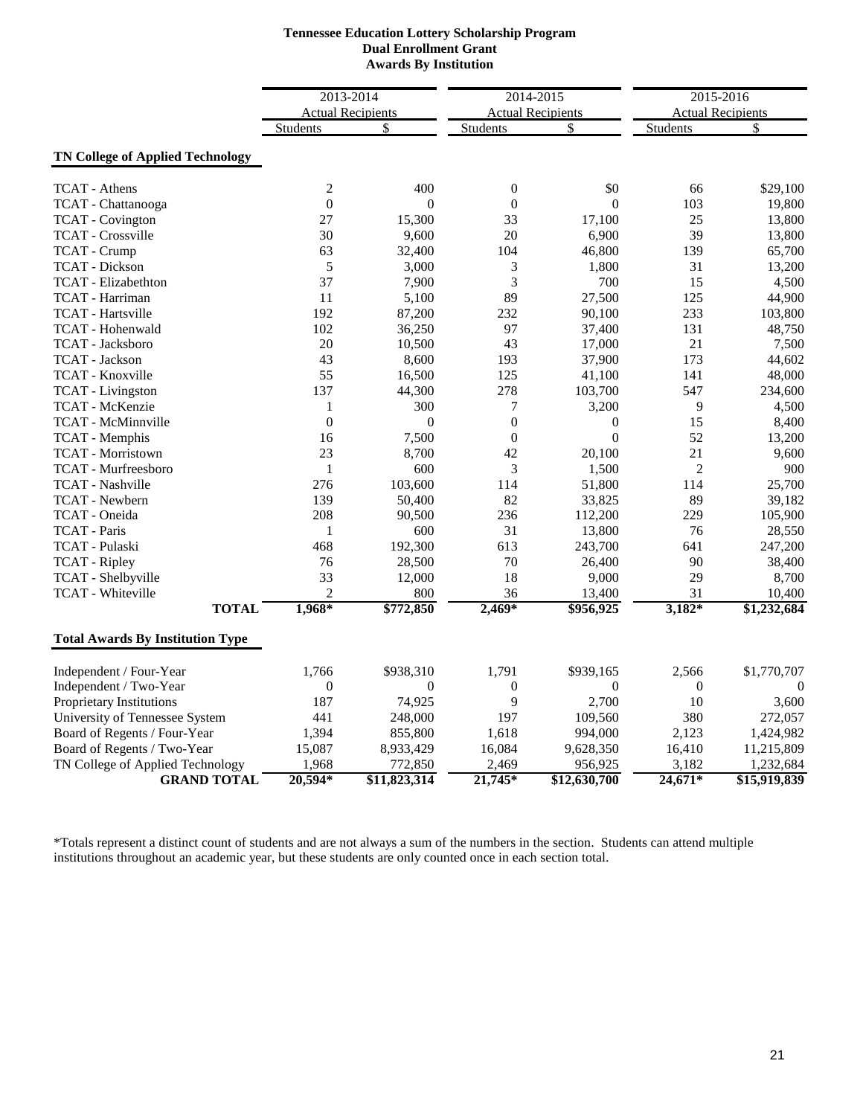#### **Dual Enrollment Grant Tennessee Education Lottery Scholarship Program Awards By Institution**

|                                         | 2013-2014                |                | 2014-2015        |                          | 2015-2016        |                          |
|-----------------------------------------|--------------------------|----------------|------------------|--------------------------|------------------|--------------------------|
|                                         | <b>Actual Recipients</b> |                |                  | <b>Actual Recipients</b> |                  | <b>Actual Recipients</b> |
|                                         | <b>Students</b>          | \$             | Students         | \$                       | Students         | \$                       |
| <b>TN College of Applied Technology</b> |                          |                |                  |                          |                  |                          |
| <b>TCAT</b> - Athens                    | $\mathfrak{2}$           | 400            | $\boldsymbol{0}$ | \$0                      | 66               | \$29,100                 |
| TCAT - Chattanooga                      | $\boldsymbol{0}$         | $\overline{0}$ | $\boldsymbol{0}$ | $\overline{0}$           | 103              | 19,800                   |
| <b>TCAT</b> - Covington                 | 27                       | 15,300         | 33               | 17,100                   | 25               | 13,800                   |
| <b>TCAT</b> - Crossville                | 30                       | 9,600          | 20               | 6,900                    | 39               | 13,800                   |
| <b>TCAT</b> - Crump                     | 63                       | 32,400         | 104              | 46,800                   | 139              | 65,700                   |
| <b>TCAT</b> - Dickson                   | 5                        | 3,000          | 3                | 1,800                    | 31               | 13,200                   |
| <b>TCAT</b> - Elizabethton              | 37                       | 7,900          | 3                | 700                      | 15               | 4,500                    |
| TCAT - Harriman                         | 11                       | 5,100          | 89               | 27,500                   | 125              | 44,900                   |
| <b>TCAT</b> - Hartsville                | 192                      | 87,200         | 232              | 90,100                   | 233              | 103,800                  |
| TCAT - Hohenwald                        | 102                      | 36,250         | 97               | 37,400                   | 131              | 48,750                   |
| TCAT - Jacksboro                        | 20                       | 10,500         | 43               | 17,000                   | 21               | 7,500                    |
| <b>TCAT</b> - Jackson                   | 43                       | 8,600          | 193              | 37,900                   | 173              | 44,602                   |
| TCAT - Knoxville                        | 55                       | 16,500         | 125              | 41,100                   | 141              | 48,000                   |
| <b>TCAT</b> - Livingston                | 137                      | 44,300         | 278              | 103,700                  | 547              | 234,600                  |
| TCAT - McKenzie                         | $\mathbf{1}$             | 300            | 7                | 3,200                    | 9                | 4,500                    |
| <b>TCAT</b> - McMinnville               | $\overline{0}$           | $\overline{0}$ | $\boldsymbol{0}$ | $\boldsymbol{0}$         | 15               | 8,400                    |
| TCAT - Memphis                          | 16                       | 7,500          | $\boldsymbol{0}$ | $\boldsymbol{0}$         | 52               | 13,200                   |
| <b>TCAT</b> - Morristown                | 23                       | 8,700          | 42               | 20,100                   | 21               | 9,600                    |
| <b>TCAT</b> - Murfreesboro              | $\mathbf{1}$             | 600            | 3                | 1,500                    | $\overline{2}$   | 900                      |
| TCAT - Nashville                        | 276                      | 103,600        | 114              | 51,800                   | 114              | 25,700                   |
| TCAT - Newbern                          | 139                      | 50,400         | 82               | 33,825                   | 89               | 39,182                   |
| TCAT - Oneida                           | 208                      | 90,500         | 236              | 112,200                  | 229              | 105,900                  |
| <b>TCAT</b> - Paris                     | $\mathbf{1}$             | 600            | 31               | 13,800                   | 76               | 28,550                   |
| TCAT - Pulaski                          | 468                      | 192,300        | 613              | 243,700                  | 641              | 247,200                  |
| <b>TCAT</b> - Ripley                    | 76                       | 28,500         | 70               | 26,400                   | 90               | 38,400                   |
| TCAT - Shelbyville                      | 33                       | 12,000         | 18               | 9,000                    | 29               | 8,700                    |
| TCAT - Whiteville                       | $\overline{2}$           | 800            | 36               | 13,400                   | 31               | 10,400                   |
| <b>TOTAL</b>                            | 1,968*                   | \$772,850      | $2,469*$         | \$956,925                | $3,182*$         | \$1,232,684              |
| <b>Total Awards By Institution Type</b> |                          |                |                  |                          |                  |                          |
| Independent / Four-Year                 | 1,766                    | \$938,310      | 1,791            | \$939,165                | 2,566            | \$1,770,707              |
| Independent / Two-Year                  | $\boldsymbol{0}$         | $\overline{0}$ | $\boldsymbol{0}$ | $\theta$                 | $\boldsymbol{0}$ | $\overline{0}$           |
| Proprietary Institutions                | 187                      | 74,925         | 9                | 2,700                    | 10               | 3,600                    |
| University of Tennessee System          | 441                      | 248,000        | 197              | 109,560                  | 380              | 272,057                  |
| Board of Regents / Four-Year            | 1,394                    | 855,800        | 1,618            | 994,000                  | 2,123            | 1,424,982                |
| Board of Regents / Two-Year             | 15,087                   | 8,933,429      | 16,084           | 9,628,350                | 16,410           | 11,215,809               |
| TN College of Applied Technology        | 1,968                    | 772,850        | 2,469            | 956,925                  | 3,182            | 1,232,684                |
| <b>GRAND TOTAL</b>                      | $20,594*$                | \$11,823,314   | $21,745*$        | \$12,630,700             | $24,671*$        | \$15,919,839             |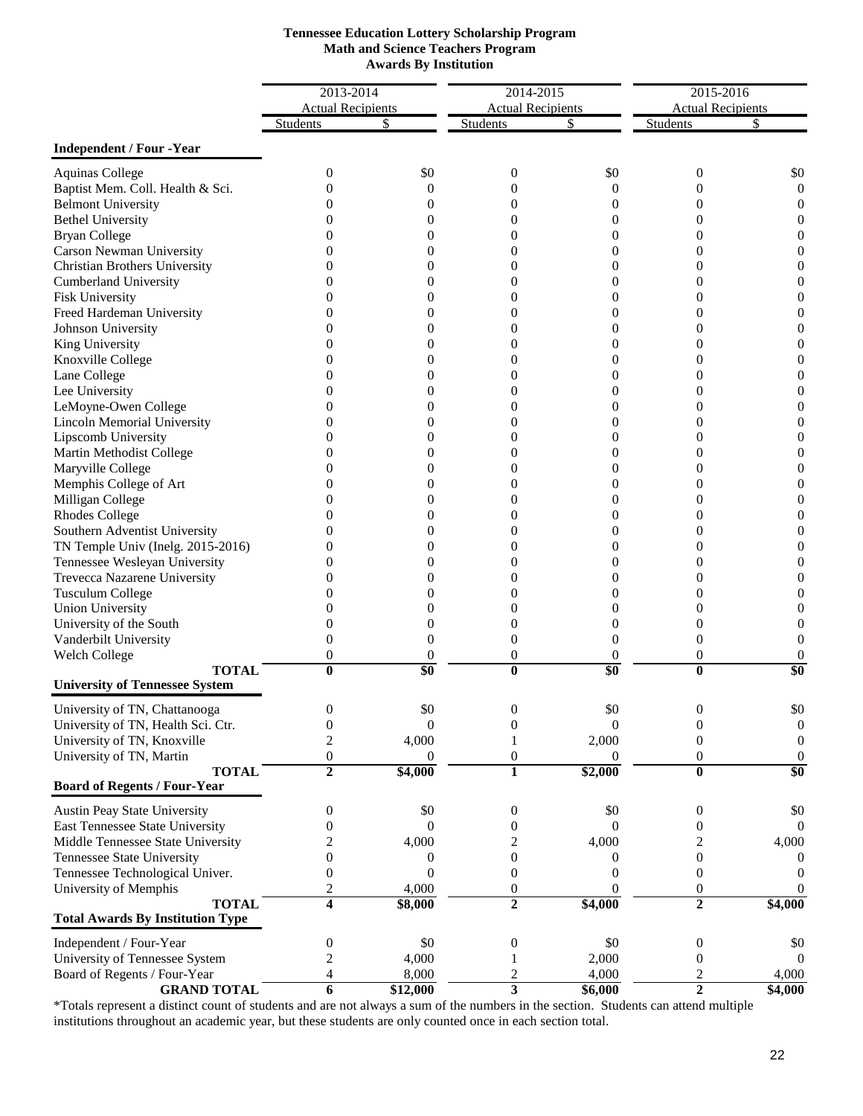|                                         | 2013-2014                |                  | 2014-2015                |                  | 2015-2016                |                  |
|-----------------------------------------|--------------------------|------------------|--------------------------|------------------|--------------------------|------------------|
|                                         | <b>Actual Recipients</b> |                  | <b>Actual Recipients</b> |                  | <b>Actual Recipients</b> |                  |
|                                         | Students                 | \$               | <b>Students</b>          | S                | <b>Students</b>          |                  |
| <b>Independent / Four -Year</b>         |                          |                  |                          |                  |                          |                  |
| <b>Aquinas College</b>                  | 0                        | \$0              | 0                        | \$0              | $\boldsymbol{0}$         | \$0              |
| Baptist Mem. Coll. Health & Sci.        | 0                        | 0                | 0                        | 0                | 0                        | $\boldsymbol{0}$ |
| <b>Belmont University</b>               |                          | 0                | 0                        | 0                | 0                        | $\boldsymbol{0}$ |
| <b>Bethel University</b>                | $\theta$                 | 0                | 0                        | 0                | 0                        | 0                |
| <b>Bryan College</b>                    | $\theta$                 | 0                | 0                        | 0                | 0                        |                  |
| Carson Newman University                | 0                        | 0                | 0                        | 0                | $\Omega$                 | $\Omega$         |
| <b>Christian Brothers University</b>    | 0                        | 0                | 0                        | 0                | $\mathbf{0}$             | $\overline{0}$   |
| <b>Cumberland University</b>            |                          | 0                | 0                        | 0                | 0                        |                  |
| <b>Fisk University</b>                  | 0                        | 0                | 0                        | 0                | $\Omega$                 | $\theta$         |
| Freed Hardeman University               | $\theta$                 | 0                | 0                        | 0                | $\mathbf{0}$             | 0                |
| Johnson University                      |                          | 0                | 0                        | 0                | $\Omega$                 |                  |
| King University                         | $\theta$                 | 0                | 0                        | 0                | $\Omega$                 |                  |
| Knoxville College                       | $^{(1)}$                 | 0                | 0                        | 0                | 0                        |                  |
| Lane College                            |                          | 0                | 0                        | 0                | 0                        |                  |
| Lee University                          | 0                        | 0                | 0                        | 0                | $\Omega$                 | $\Omega$         |
| LeMoyne-Owen College                    | 0                        | 0                | 0                        | 0                | $\Omega$                 | 0                |
| <b>Lincoln Memorial University</b>      | $\theta$                 | 0                | 0                        | 0                | 0                        |                  |
| Lipscomb University                     | 0                        | 0                | 0                        | 0                | $\Omega$                 |                  |
| Martin Methodist College                | $^{(1)}$                 | 0                | 0                        | 0                | 0                        | 0                |
| Maryville College                       | $^{(1)}$                 | 0                | 0                        | 0                | 0                        | 0                |
| Memphis College of Art                  | 0                        | 0                | 0                        | 0                | $\Omega$                 | $\Omega$         |
| Milligan College                        | $\mathbf{0}$             | 0                | 0                        | 0                | 0                        | 0                |
| <b>Rhodes College</b>                   |                          | $_{0}$           | 0                        | 0                | 0                        |                  |
| Southern Adventist University           | $\mathbf{0}$             | $\Omega$         | 0                        | $\Omega$         | 0                        |                  |
| TN Temple Univ (Inelg. 2015-2016)       | $\theta$                 | 0                | 0                        | 0                | 0                        |                  |
| Tennessee Wesleyan University           | $^{(1)}$                 | 0                | 0                        | 0                | 0                        |                  |
| Trevecca Nazarene University            | 0                        | 0                | 0                        | 0                | 0                        |                  |
| <b>Tusculum College</b>                 | 0                        | 0                | 0                        | 0                | 0                        |                  |
| <b>Union University</b>                 | 0                        | 0                | 0                        | 0                | 0                        |                  |
| University of the South                 | 0                        | 0                | 0                        | 0                | 0                        |                  |
| Vanderbilt University                   | 0                        | 0                | 0                        | $\overline{0}$   | $\overline{0}$           |                  |
| Welch College                           | 0                        | 0                | 0                        | 0                | $\boldsymbol{0}$         |                  |
| <b>TOTAL</b>                            | $\bf{0}$                 | $\overline{\$0}$ | $\bf{0}$                 | \$0              | $\bf{0}$                 | \$0              |
| <b>University of Tennessee System</b>   |                          |                  |                          |                  |                          |                  |
| University of TN, Chattanooga           | 0                        | \$0              |                          | \$0              | 0                        |                  |
| University of TN, Health Sci. Ctr.      | $\boldsymbol{0}$         | $\mathbf{0}$     | $\boldsymbol{0}$         | $\boldsymbol{0}$ | 0                        | $\boldsymbol{0}$ |
| University of TN, Knoxville             | 2                        | 4,000            |                          | 2,000            | $\boldsymbol{0}$         | $\boldsymbol{0}$ |
| University of TN, Martin                | 0                        | $\theta$         | 0                        | $\theta$         | 0                        | $\boldsymbol{0}$ |
| <b>TOTAL</b>                            | $\overline{2}$           | \$4,000          | $\mathbf{1}$             | \$2,000          | $\overline{\mathbf{0}}$  | \$0              |
| <b>Board of Regents / Four-Year</b>     |                          |                  |                          |                  |                          |                  |
| Austin Peay State University            | 0                        | \$0              | 0                        | \$0              | 0                        | \$0              |
| East Tennessee State University         | 0                        | $\theta$         | 0                        | $\Omega$         | $\mathbf{0}$             | $\theta$         |
| Middle Tennessee State University       |                          | 4,000            | 2                        | 4,000            | 2                        | 4,000            |
| Tennessee State University              | 0                        | $\theta$         | $\boldsymbol{0}$         | 0                | $\boldsymbol{0}$         | $\theta$         |
| Tennessee Technological Univer.         | 0                        | $\overline{0}$   | $\mathbf{0}$             | 0                | $\boldsymbol{0}$         | $\Omega$         |
| University of Memphis                   | 2                        | 4,000            | $\boldsymbol{0}$         | $\theta$         | $\boldsymbol{0}$         | $\theta$         |
| <b>TOTAL</b>                            | 4                        | \$8,000          | $\overline{2}$           | \$4,000          | $\overline{2}$           | \$4,000          |
| <b>Total Awards By Institution Type</b> |                          |                  |                          |                  |                          |                  |
| Independent / Four-Year                 | 0                        | \$0              | $\boldsymbol{0}$         | \$0              | $\boldsymbol{0}$         | \$0              |
| University of Tennessee System          | 2                        | 4,000            |                          | 2,000            | $\boldsymbol{0}$         | $\theta$         |
| Board of Regents / Four-Year            | 4                        | 8,000            | 2                        | 4,000            | $\overline{c}$           | 4,000            |
| <b>GRAND TOTAL</b>                      | 6                        | \$12,000         | $\overline{\mathbf{3}}$  | \$6,000          | $\overline{2}$           | \$4,000          |

## **Math and Science Teachers Program Awards By Institution Tennessee Education Lottery Scholarship Program**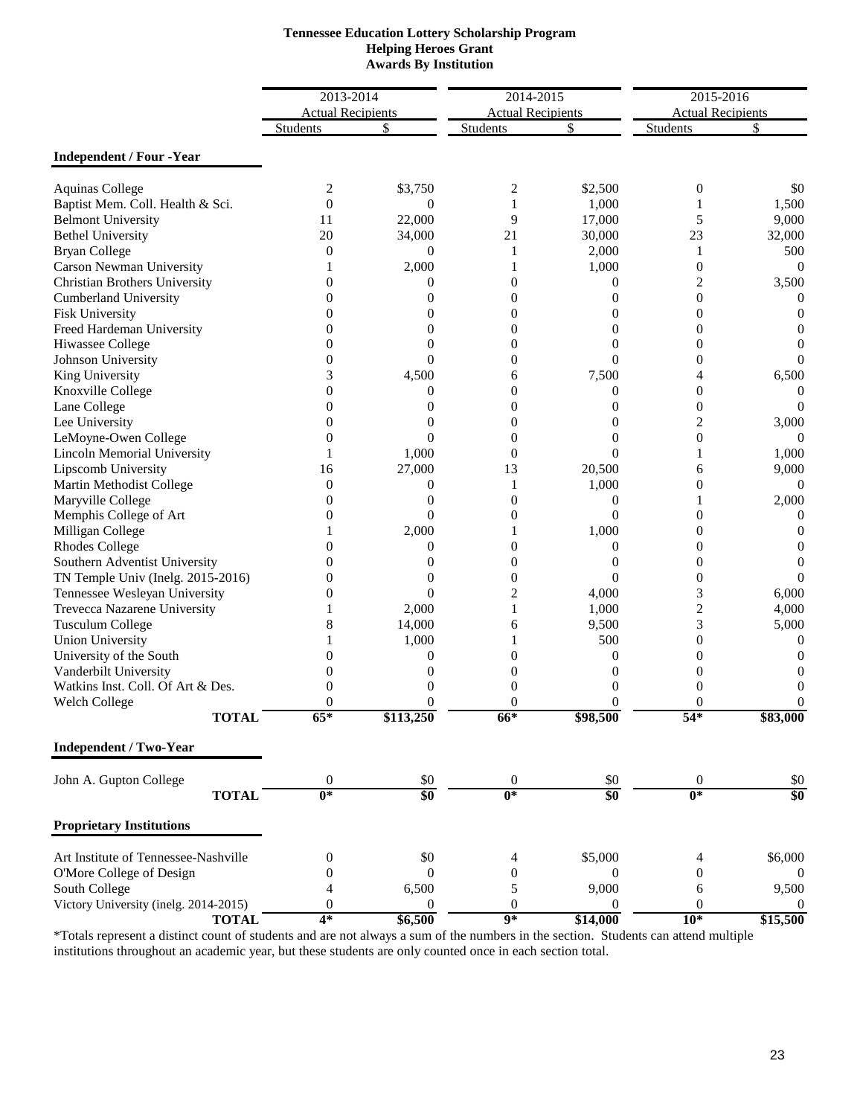| <b>Tennessee Education Lottery Scholarship Program</b> |
|--------------------------------------------------------|
| <b>Helping Heroes Grant</b>                            |
| <b>Awards By Institution</b>                           |

|                                       | 2013-2014                |                  | 2014-2015                |                             | 2015-2016                |                  |
|---------------------------------------|--------------------------|------------------|--------------------------|-----------------------------|--------------------------|------------------|
|                                       | <b>Actual Recipients</b> |                  | <b>Actual Recipients</b> |                             | <b>Actual Recipients</b> |                  |
|                                       | <b>Students</b>          | \$               | <b>Students</b>          | S                           | <b>Students</b>          | S                |
| <b>Independent / Four -Year</b>       |                          |                  |                          |                             |                          |                  |
| <b>Aquinas College</b>                | 2                        | \$3,750          | 2                        | \$2,500                     | $\boldsymbol{0}$         | \$0              |
| Baptist Mem. Coll. Health & Sci.      | $\theta$                 | $\theta$         | 1                        | 1,000                       | 1                        | 1,500            |
| <b>Belmont University</b>             | 11                       | 22,000           | 9                        | 17,000                      | 5                        | 9,000            |
| <b>Bethel University</b>              | 20                       | 34,000           | 21                       | 30,000                      | 23                       | 32,000           |
| <b>Bryan College</b>                  | $\overline{0}$           | $\theta$         | 1                        | 2,000                       | 1                        | 500              |
| Carson Newman University              |                          | 2,000            |                          | 1,000                       | $\boldsymbol{0}$         | $\overline{0}$   |
| Christian Brothers University         | $\theta$                 | $\theta$         | $\Omega$                 | 0                           | 2                        | 3,500            |
| <b>Cumberland University</b>          | 0                        | 0                | $\Omega$                 | $\Omega$                    | $\overline{0}$           | 0                |
| <b>Fisk University</b>                | $\theta$                 | 0                | $\boldsymbol{0}$         | $\overline{0}$              | 0                        | 0                |
| Freed Hardeman University             | 0                        | 0                | $\boldsymbol{0}$         | 0                           | 0                        | 0                |
| Hiwassee College                      | $\theta$                 | 0                | $\overline{0}$           | $\theta$                    | $\overline{0}$           | 0                |
| Johnson University                    | $\overline{0}$           | $\Omega$         | $\overline{0}$           | $\Omega$                    | $\overline{0}$           | 0                |
| King University                       | 3                        | 4,500            | 6                        | 7,500                       | 4                        | 6,500            |
| Knoxville College                     | $\theta$                 | 0                | $\overline{0}$           | $\overline{0}$              | $\overline{0}$           | 0                |
| Lane College                          | $\overline{0}$           | 0                | $\overline{0}$           | $\Omega$                    | $\boldsymbol{0}$         | 0                |
| Lee University                        | 0                        | 0                | $\boldsymbol{0}$         | $\theta$                    | $\overline{c}$           | 3,000            |
| LeMoyne-Owen College                  | $\overline{0}$           | $\theta$         | $\overline{0}$           | $\theta$                    | $\boldsymbol{0}$         | $\Omega$         |
| Lincoln Memorial University           | 1                        | 1,000            | $\overline{0}$           | $\theta$                    | 1                        | 1,000            |
| Lipscomb University                   | 16                       | 27,000           | 13                       | 20,500                      | 6                        | 9,000            |
| Martin Methodist College              | $\overline{0}$           | 0                | 1                        | 1,000                       | 0                        | 0                |
| Maryville College                     | $\Omega$                 | $\theta$         | $\theta$                 | $\overline{0}$              | 1                        | 2,000            |
| Memphis College of Art                | 0                        | $\Omega$         | $\overline{0}$           | $\Omega$                    | 0                        | 0                |
| Milligan College                      |                          | 2,000            |                          | 1,000                       | $\overline{0}$           | $\left( \right)$ |
| <b>Rhodes College</b>                 | 0                        | 0                | $\overline{0}$           | $\Omega$                    | $\overline{0}$           | 0                |
| Southern Adventist University         | 0                        | 0                | $\theta$                 | $\theta$                    | $\overline{0}$           | 0                |
| TN Temple Univ (Inelg. 2015-2016)     | 0                        | 0                | $\theta$                 | $\overline{0}$              | $\boldsymbol{0}$         | 0                |
| Tennessee Wesleyan University         | 0                        | $\overline{0}$   | $\overline{2}$           | 4,000                       | 3                        | 6,000            |
| Trevecca Nazarene University          |                          | 2,000            | 1                        | 1,000                       | $\overline{c}$           | 4,000            |
| <b>Tusculum College</b>               | 8                        | 14,000           | 6                        | 9,500                       | 3                        | 5,000            |
| <b>Union University</b>               |                          | 1,000            | 1                        | 500                         | $\overline{0}$           | 0                |
| University of the South               | 0                        | $\boldsymbol{0}$ | 0                        | $\theta$                    | 0                        | $\theta$         |
| Vanderbilt University                 | 0                        | $\theta$         | $\theta$                 | $\Omega$                    | $\mathbf{0}$             |                  |
| Watkins Inst. Coll. Of Art & Des.     | 0                        | $\theta$         | $\theta$                 | $\Omega$                    | $\boldsymbol{0}$         | $\theta$         |
| Welch College                         | $\overline{0}$           | $\boldsymbol{0}$ | $\overline{0}$           | $\boldsymbol{0}$            | 0                        | 0                |
| <b>TOTAL</b>                          | $65*$                    | \$113,250        | $66*$                    | \$98,500                    | $54*$                    | \$83,000         |
| <b>Independent / Two-Year</b>         |                          |                  |                          |                             |                          |                  |
| John A. Gupton College                | $\boldsymbol{0}$         | \$0              | $\boldsymbol{0}$         | \$0                         | $\mathbf{0}$             | \$0              |
| <b>TOTAL</b>                          | $\overline{0^*}$         | $\overline{\$0}$ | $0*$                     | $\overline{\boldsymbol{S}}$ | $0*$                     | \$0              |
| <b>Proprietary Institutions</b>       |                          |                  |                          |                             |                          |                  |
| Art Institute of Tennessee-Nashville  | $\boldsymbol{0}$         | \$0              | 4                        | \$5,000                     | 4                        | \$6,000          |
| O'More College of Design              | $\theta$                 | $\overline{0}$   | $\mathbf{0}$             | $\bf{0}$                    | $\mathbf{0}$             | 0                |
| South College                         | 4                        | 6,500            | $\mathfrak s$            | 9,000                       | 6                        | 9,500            |
| Victory University (inelg. 2014-2015) | $\overline{0}$           | 0                | $\boldsymbol{0}$         | $\overline{0}$              | $\boldsymbol{0}$         | 0                |
| <b>TOTAL</b>                          | $4*$                     | \$6,500          | $\overline{9*}$          | \$14,000                    | $10*$                    | \$15,500         |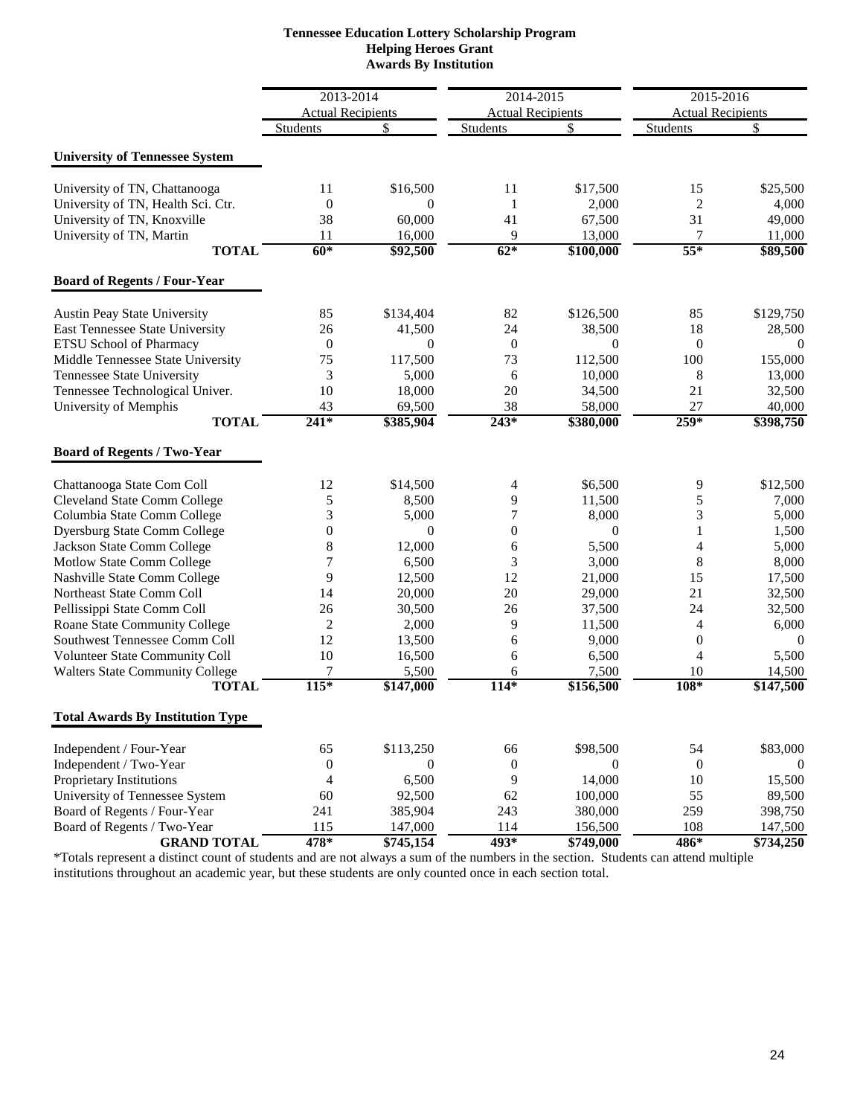| <b>Tennessee Education Lottery Scholarship Program</b> |
|--------------------------------------------------------|
| <b>Helping Heroes Grant</b>                            |
| <b>Awards By Institution</b>                           |

|                                                                        | 2013-2014                |                          | 2014-2015                |                          | 2015-2016                |                     |
|------------------------------------------------------------------------|--------------------------|--------------------------|--------------------------|--------------------------|--------------------------|---------------------|
|                                                                        | <b>Actual Recipients</b> |                          | <b>Actual Recipients</b> |                          | <b>Actual Recipients</b> |                     |
|                                                                        | <b>Students</b>          | \$                       | Students                 | \$                       | <b>Students</b>          | \$                  |
| <b>University of Tennessee System</b>                                  |                          |                          |                          |                          |                          |                     |
|                                                                        |                          |                          |                          |                          |                          |                     |
| University of TN, Chattanooga                                          | 11                       | \$16,500                 | 11                       | \$17,500                 | 15                       | \$25,500            |
| University of TN, Health Sci. Ctr.                                     | $\mathbf{0}$             | $\Omega$                 | 1                        | 2,000                    | $\overline{c}$           | 4,000               |
| University of TN, Knoxville                                            | 38                       | 60,000                   | 41                       | 67,500                   | 31                       | 49,000              |
| University of TN, Martin                                               | 11                       | 16,000                   | 9                        | 13,000                   | 7                        | 11,000              |
| <b>TOTAL</b>                                                           | $60*$                    | \$92,500                 | $62*$                    | \$100,000                | $55*$                    | \$89,500            |
| <b>Board of Regents / Four-Year</b>                                    |                          |                          |                          |                          |                          |                     |
|                                                                        | 85                       |                          | 82                       | \$126,500                | 85                       | \$129,750           |
| <b>Austin Peay State University</b><br>East Tennessee State University |                          | \$134,404                |                          |                          | 18                       |                     |
|                                                                        | 26<br>$\boldsymbol{0}$   | 41,500<br>$\overline{0}$ | 24<br>$\boldsymbol{0}$   | 38,500<br>$\overline{0}$ |                          | 28,500<br>$\theta$  |
| ETSU School of Pharmacy                                                |                          |                          |                          |                          | $\boldsymbol{0}$         |                     |
| Middle Tennessee State University                                      | 75                       | 117,500                  | 73                       | 112,500                  | 100                      | 155,000             |
| Tennessee State University                                             | 3                        | 5,000                    | 6                        | 10,000                   | 8                        | 13,000              |
| Tennessee Technological Univer.                                        | 10                       | 18,000                   | 20                       | 34,500                   | 21                       | 32,500              |
| University of Memphis<br><b>TOTAL</b>                                  | 43<br>$241*$             | 69,500<br>\$385,904      | 38<br>$243*$             | 58,000<br>\$380,000      | 27<br>$259*$             | 40,000<br>\$398,750 |
|                                                                        |                          |                          |                          |                          |                          |                     |
| <b>Board of Regents / Two-Year</b>                                     |                          |                          |                          |                          |                          |                     |
| Chattanooga State Com Coll                                             | 12                       | \$14,500                 | 4                        | \$6,500                  | 9                        | \$12,500            |
| <b>Cleveland State Comm College</b>                                    | 5                        | 8,500                    | 9                        | 11,500                   | 5                        | 7,000               |
| Columbia State Comm College                                            | 3                        | 5,000                    | $\tau$                   | 8,000                    | 3                        | 5,000               |
| <b>Dyersburg State Comm College</b>                                    | $\overline{0}$           | $\overline{0}$           | $\boldsymbol{0}$         | $\theta$                 | $\mathbf{1}$             | 1,500               |
| Jackson State Comm College                                             | 8                        | 12,000                   | 6                        | 5,500                    | $\overline{4}$           | 5,000               |
| Motlow State Comm College                                              | 7                        | 6,500                    | 3                        | 3,000                    | 8                        | 8,000               |
| Nashville State Comm College                                           | 9                        | 12,500                   | 12                       | 21,000                   | 15                       | 17,500              |
| Northeast State Comm Coll                                              | 14                       | 20,000                   | 20                       | 29,000                   | 21                       | 32,500              |
| Pellissippi State Comm Coll                                            | 26                       | 30,500                   | 26                       | 37,500                   | 24                       | 32,500              |
| Roane State Community College                                          | 2                        | 2,000                    | 9                        | 11,500                   | 4                        | 6,000               |
| Southwest Tennessee Comm Coll                                          | 12                       | 13,500                   | 6                        | 9,000                    | $\boldsymbol{0}$         | $\mathbf{0}$        |
| Volunteer State Community Coll                                         | 10                       | 16,500                   | 6                        | 6,500                    | 4                        | 5,500               |
| <b>Walters State Community College</b>                                 | 7                        | 5,500                    | 6                        | 7,500                    | 10                       | 14,500              |
| <b>TOTAL</b>                                                           | $115*$                   | \$147,000                | $114*$                   | \$156,500                | 108*                     | \$147,500           |
| <b>Total Awards By Institution Type</b>                                |                          |                          |                          |                          |                          |                     |
| Independent / Four-Year                                                | 65                       | \$113,250                | 66                       | \$98,500                 | 54                       | \$83,000            |
| Independent / Two-Year                                                 | $\boldsymbol{0}$         | $\overline{0}$           | $\boldsymbol{0}$         | $\mathbf{0}$             | $\mathbf{0}$             | $\theta$            |
| Proprietary Institutions                                               | $\overline{4}$           | 6,500                    | 9                        | 14,000                   | 10                       | 15,500              |
| University of Tennessee System                                         | 60                       | 92,500                   | 62                       | 100,000                  | 55                       | 89,500              |
| Board of Regents / Four-Year                                           | 241                      | 385,904                  | 243                      | 380,000                  | 259                      | 398,750             |
| Board of Regents / Two-Year                                            | 115                      | 147,000                  | 114                      | 156,500                  | 108                      | 147,500             |
| <b>GRAND TOTAL</b>                                                     | 478*                     | \$745,154                | $493*$                   | \$749,000                | 486*                     | \$734,250           |